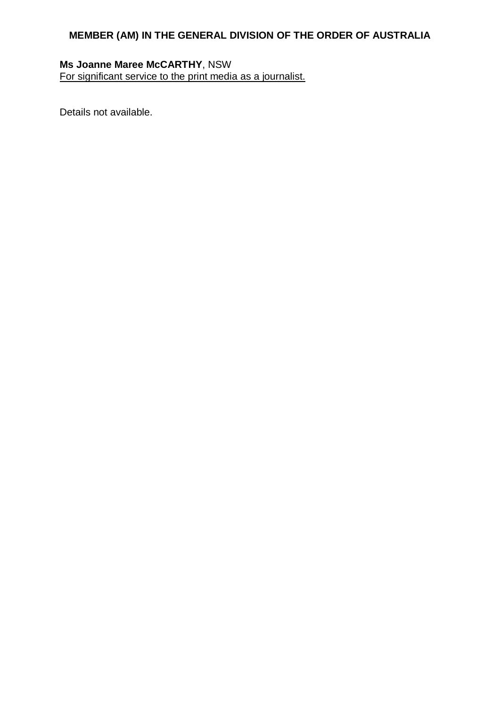# **Ms Joanne Maree McCARTHY**, NSW

For significant service to the print media as a journalist.

Details not available.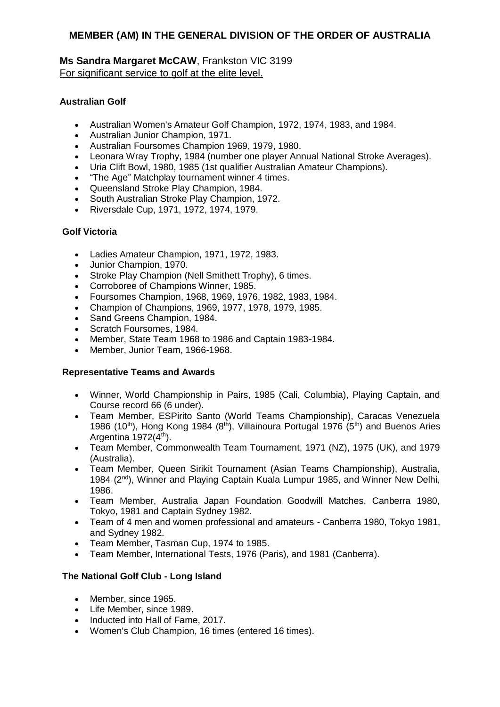# **Ms Sandra Margaret McCAW**, Frankston VIC 3199 For significant service to golf at the elite level.

# **Australian Golf**

- Australian Women's Amateur Golf Champion, 1972, 1974, 1983, and 1984.
- Australian Junior Champion, 1971.
- Australian Foursomes Champion 1969, 1979, 1980.
- Leonara Wray Trophy, 1984 (number one player Annual National Stroke Averages).
- Uria Clift Bowl, 1980, 1985 (1st qualifier Australian Amateur Champions).
- "The Age" Matchplay tournament winner 4 times.
- Queensland Stroke Play Champion, 1984.
- South Australian Stroke Play Champion, 1972.
- Riversdale Cup, 1971, 1972, 1974, 1979.

# **Golf Victoria**

- Ladies Amateur Champion, 1971, 1972, 1983.
- Junior Champion, 1970.
- Stroke Play Champion (Nell Smithett Trophy), 6 times.
- Corroboree of Champions Winner, 1985.
- Foursomes Champion, 1968, 1969, 1976, 1982, 1983, 1984.
- Champion of Champions, 1969, 1977, 1978, 1979, 1985.
- Sand Greens Champion, 1984.
- Scratch Foursomes, 1984.
- Member, State Team 1968 to 1986 and Captain 1983-1984.
- Member, Junior Team, 1966-1968.

## **Representative Teams and Awards**

- Winner, World Championship in Pairs, 1985 (Cali, Columbia), Playing Captain, and Course record 66 (6 under).
- Team Member, ESPirito Santo (World Teams Championship), Caracas Venezuela 1986 (10<sup>th</sup>), Hong Kong 1984 (8<sup>th</sup>), Villainoura Portugal 1976 (5<sup>th</sup>) and Buenos Aries Argentina  $1972(4<sup>th</sup>)$ .
- Team Member, Commonwealth Team Tournament, 1971 (NZ), 1975 (UK), and 1979 (Australia).
- Team Member, Queen Sirikit Tournament (Asian Teams Championship), Australia, 1984 (2<sup>nd</sup>), Winner and Playing Captain Kuala Lumpur 1985, and Winner New Delhi, 1986.
- Team Member, Australia Japan Foundation Goodwill Matches, Canberra 1980, Tokyo, 1981 and Captain Sydney 1982.
- Team of 4 men and women professional and amateurs Canberra 1980, Tokyo 1981, and Sydney 1982.
- Team Member, Tasman Cup, 1974 to 1985.
- Team Member, International Tests, 1976 (Paris), and 1981 (Canberra).

## **The National Golf Club - Long Island**

- Member, since 1965.
- Life Member, since 1989.
- Inducted into Hall of Fame, 2017.
- Women's Club Champion, 16 times (entered 16 times).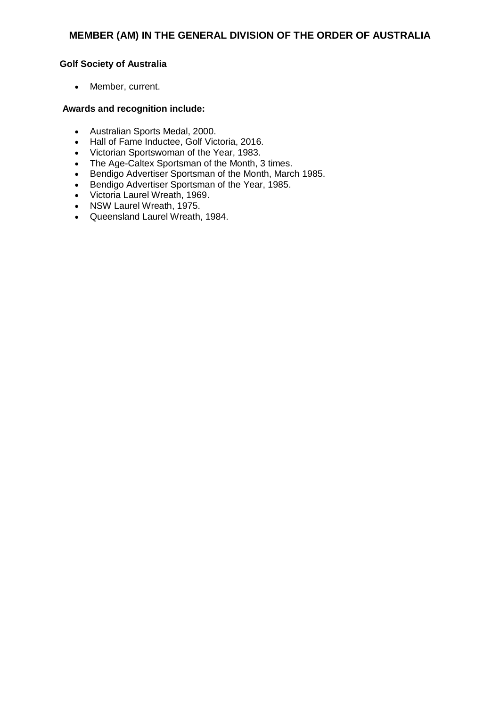# **Golf Society of Australia**

Member, current.

- Australian Sports Medal, 2000.
- Hall of Fame Inductee, Golf Victoria, 2016.
- Victorian Sportswoman of the Year, 1983.
- The Age-Caltex Sportsman of the Month, 3 times.
- Bendigo Advertiser Sportsman of the Month, March 1985.
- Bendigo Advertiser Sportsman of the Year, 1985.
- Victoria Laurel Wreath, 1969.
- NSW Laurel Wreath, 1975.
- Queensland Laurel Wreath, 1984.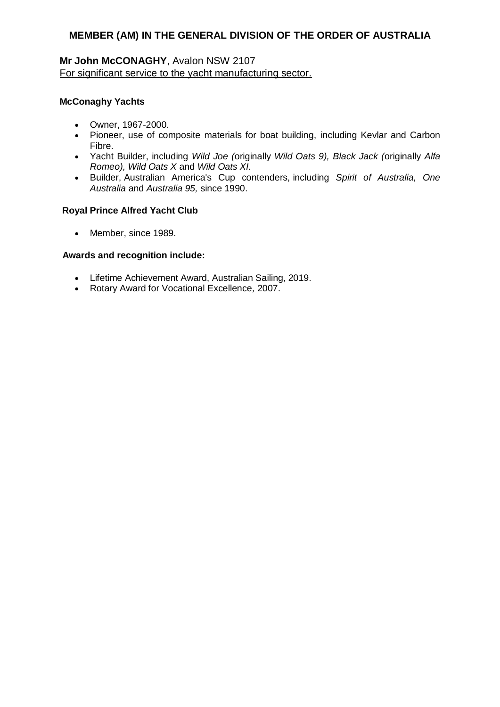# **Mr John McCONAGHY**, Avalon NSW 2107 For significant service to the yacht manufacturing sector.

# **McConaghy Yachts**

- Owner, 1967-2000.
- Pioneer, use of composite materials for boat building, including Kevlar and Carbon Fibre.
- Yacht Builder, including *Wild Joe (*originally *Wild Oats 9), Black Jack (*originally *Alfa Romeo), Wild Oats X* and *Wild Oats XI.*
- Builder, Australian America's Cup contenders, including *Spirit of Australia, One Australia* and *Australia 95,* since 1990.

## **Royal Prince Alfred Yacht Club**

• Member, since 1989.

- Lifetime Achievement Award, Australian Sailing, 2019.
- Rotary Award for Vocational Excellence*,* 2007.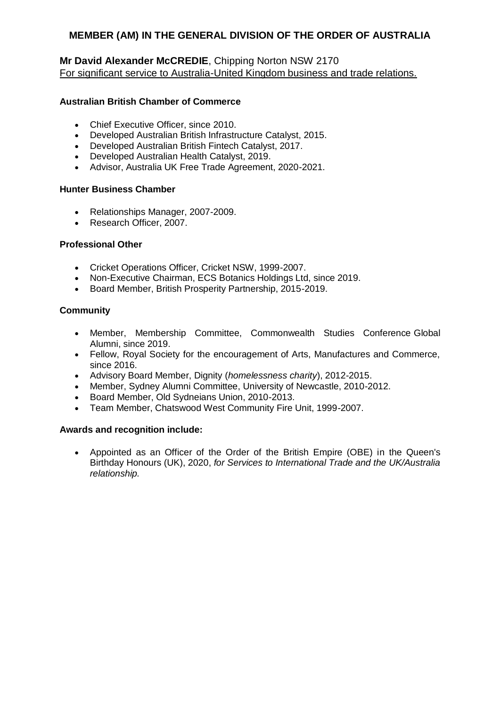# **Mr David Alexander McCREDIE**, Chipping Norton NSW 2170 For significant service to Australia-United Kingdom business and trade relations.

## **Australian British Chamber of Commerce**

- Chief Executive Officer, since 2010.
- Developed Australian British Infrastructure Catalyst, 2015.
- Developed Australian British Fintech Catalyst, 2017.
- Developed Australian Health Catalyst, 2019.
- Advisor, Australia UK Free Trade Agreement, 2020-2021.

#### **Hunter Business Chamber**

- Relationships Manager, 2007-2009.
- Research Officer, 2007.

#### **Professional Other**

- Cricket Operations Officer, Cricket NSW, 1999-2007.
- Non-Executive Chairman, ECS Botanics Holdings Ltd, since 2019.
- Board Member, British Prosperity Partnership, 2015-2019.

#### **Community**

- Member, Membership Committee, Commonwealth Studies Conference Global Alumni, since 2019.
- Fellow, Royal Society for the encouragement of Arts, Manufactures and Commerce, since 2016.
- Advisory Board Member, Dignity (*homelessness charity*), 2012-2015.
- Member, Sydney Alumni Committee, University of Newcastle, 2010-2012.
- Board Member, Old Sydneians Union, 2010-2013.
- Team Member, Chatswood West Community Fire Unit, 1999-2007.

## **Awards and recognition include:**

 Appointed as an Officer of the Order of the British Empire (OBE) in the Queen's Birthday Honours (UK), 2020, *for Services to International Trade and the UK/Australia relationship.*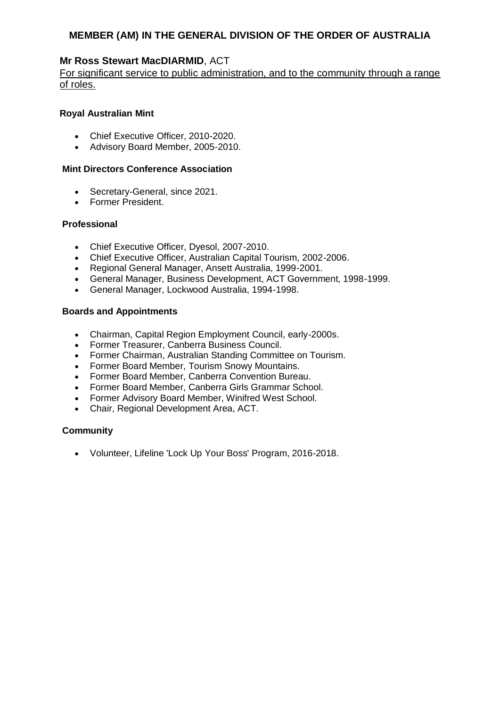# **Mr Ross Stewart MacDIARMID**, ACT

For significant service to public administration, and to the community through a range of roles.

#### **Royal Australian Mint**

- Chief Executive Officer, 2010-2020.
- Advisory Board Member, 2005-2010.

#### **Mint Directors Conference Association**

- Secretary-General, since 2021.
- Former President.

#### **Professional**

- Chief Executive Officer, Dyesol, 2007-2010.
- Chief Executive Officer, Australian Capital Tourism, 2002-2006.
- Regional General Manager, Ansett Australia, 1999-2001.
- General Manager, Business Development, ACT Government, 1998-1999.
- General Manager, Lockwood Australia, 1994-1998.

## **Boards and Appointments**

- Chairman, Capital Region Employment Council, early-2000s.
- Former Treasurer, Canberra Business Council.
- Former Chairman, Australian Standing Committee on Tourism.
- Former Board Member, Tourism Snowy Mountains.
- Former Board Member, Canberra Convention Bureau.
- Former Board Member, Canberra Girls Grammar School.
- Former Advisory Board Member, Winifred West School.
- Chair, Regional Development Area, ACT.

## **Community**

Volunteer, Lifeline 'Lock Up Your Boss' Program, 2016-2018.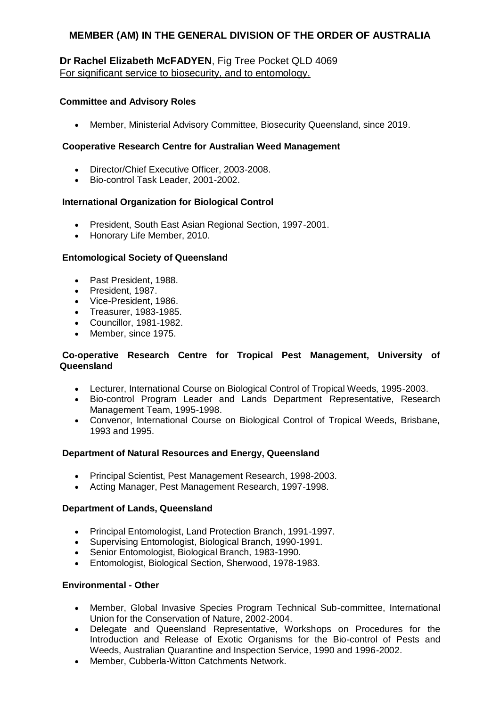# **Dr Rachel Elizabeth McFADYEN**, Fig Tree Pocket QLD 4069 For significant service to biosecurity, and to entomology.

## **Committee and Advisory Roles**

Member, Ministerial Advisory Committee, Biosecurity Queensland, since 2019.

## **Cooperative Research Centre for Australian Weed Management**

- Director/Chief Executive Officer, 2003-2008.
- Bio-control Task Leader, 2001-2002.

## **International Organization for Biological Control**

- President, South East Asian Regional Section, 1997-2001.
- Honorary Life Member, 2010.

#### **Entomological Society of Queensland**

- Past President, 1988.
- President, 1987.
- Vice-President, 1986.
- Treasurer, 1983-1985.
- Councillor, 1981-1982.
- Member, since 1975.

#### **Co-operative Research Centre for Tropical Pest Management, University of Queensland**

- Lecturer, International Course on Biological Control of Tropical Weeds, 1995-2003.
- Bio-control Program Leader and Lands Department Representative, Research Management Team, 1995-1998.
- Convenor, International Course on Biological Control of Tropical Weeds, Brisbane, 1993 and 1995.

## **Department of Natural Resources and Energy, Queensland**

- Principal Scientist, Pest Management Research, 1998-2003.
- Acting Manager, Pest Management Research, 1997-1998.

#### **Department of Lands, Queensland**

- Principal Entomologist, Land Protection Branch, 1991-1997.
- Supervising Entomologist, Biological Branch, 1990-1991.
- Senior Entomologist, Biological Branch, 1983-1990.
- Entomologist, Biological Section, Sherwood, 1978-1983.

#### **Environmental - Other**

- Member, Global Invasive Species Program Technical Sub-committee, International Union for the Conservation of Nature, 2002-2004.
- Delegate and Queensland Representative, Workshops on Procedures for the Introduction and Release of Exotic Organisms for the Bio-control of Pests and Weeds, Australian Quarantine and Inspection Service, 1990 and 1996-2002.
- Member, Cubberla-Witton Catchments Network.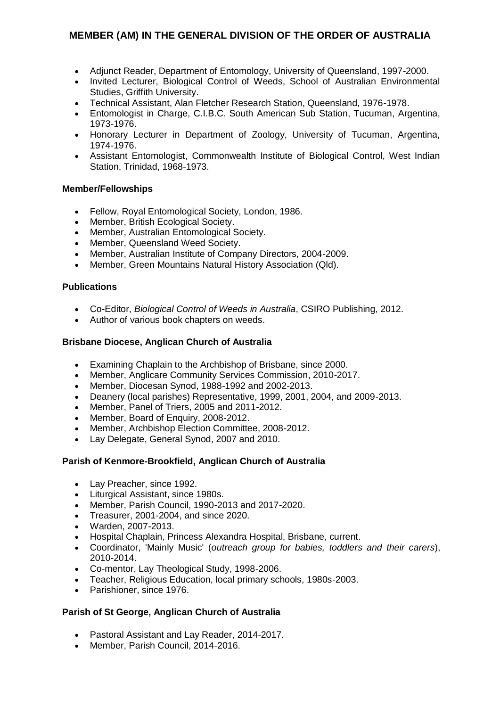- Adjunct Reader, Department of Entomology, University of Queensland, 1997-2000.
- Invited Lecturer, Biological Control of Weeds, School of Australian Environmental Studies, Griffith University.
- Technical Assistant, Alan Fletcher Research Station, Queensland, 1976-1978.
- Entomologist in Charge, C.I.B.C. South American Sub Station, Tucuman, Argentina, 1973-1976.
- Honorary Lecturer in Department of Zoology, University of Tucuman, Argentina, 1974-1976.
- Assistant Entomologist, Commonwealth Institute of Biological Control, West Indian Station, Trinidad, 1968-1973.

## **Member/Fellowships**

- Fellow, Royal Entomological Society, London, 1986.
- Member, British Ecological Society.
- Member, Australian Entomological Society.
- Member, Queensland Weed Society.
- Member, Australian Institute of Company Directors, 2004-2009.
- Member, Green Mountains Natural History Association (Qld).

## **Publications**

- Co-Editor, *Biological Control of Weeds in Australia*, CSIRO Publishing, 2012.
- Author of various book chapters on weeds.

# **Brisbane Diocese, Anglican Church of Australia**

- Examining Chaplain to the Archbishop of Brisbane, since 2000.
- Member, Anglicare Community Services Commission, 2010-2017.
- Member, Diocesan Synod, 1988-1992 and 2002-2013.
- Deanery (local parishes) Representative, 1999, 2001, 2004, and 2009-2013.
- Member, Panel of Triers, 2005 and 2011-2012.
- Member, Board of Enquiry, 2008-2012.
- Member, Archbishop Election Committee, 2008-2012.
- Lay Delegate, General Synod, 2007 and 2010.

## **Parish of Kenmore-Brookfield, Anglican Church of Australia**

- Lay Preacher, since 1992.
- Liturgical Assistant, since 1980s.
- Member, Parish Council, 1990-2013 and 2017-2020.
- Treasurer, 2001-2004, and since 2020.
- Warden, 2007-2013.
- Hospital Chaplain, Princess Alexandra Hospital, Brisbane, current.
- Coordinator, 'Mainly Music' (*outreach group for babies, toddlers and their carers*), 2010-2014.
- Co-mentor, Lay Theological Study, 1998-2006.
- Teacher, Religious Education, local primary schools, 1980s-2003.
- Parishioner, since 1976.

# **Parish of St George, Anglican Church of Australia**

- Pastoral Assistant and Lay Reader, 2014-2017.
- Member, Parish Council, 2014-2016.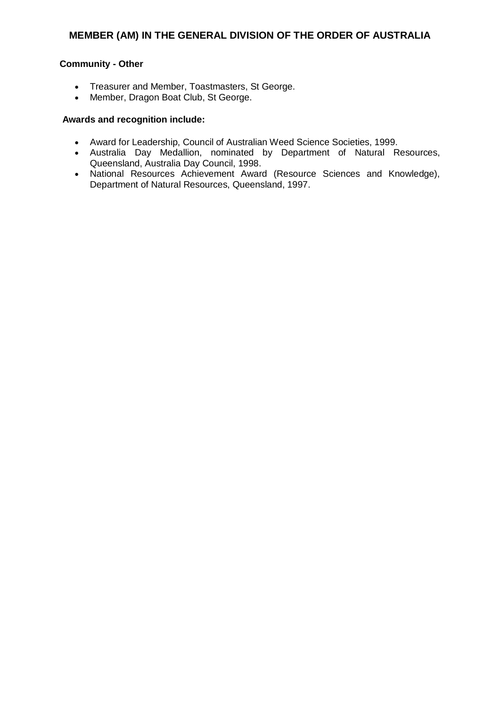# **Community - Other**

- Treasurer and Member, Toastmasters, St George.
- Member, Dragon Boat Club, St George.

- Award for Leadership, Council of Australian Weed Science Societies, 1999.
- Australia Day Medallion, nominated by Department of Natural Resources, Queensland, Australia Day Council, 1998.
- National Resources Achievement Award (Resource Sciences and Knowledge), Department of Natural Resources, Queensland, 1997.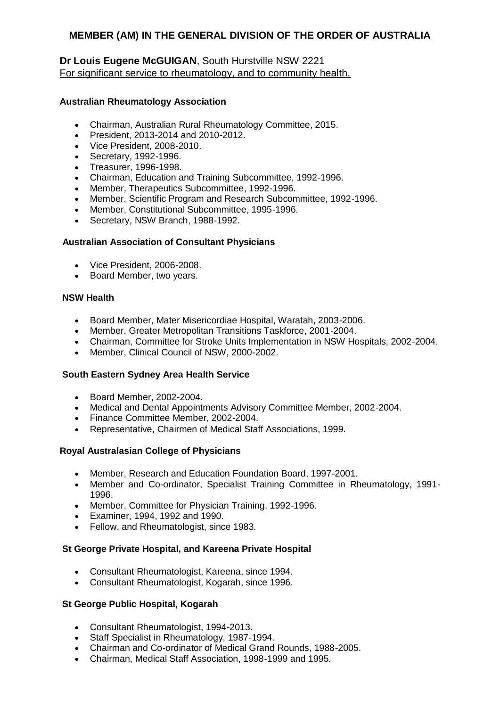# **Dr Louis Eugene McGUIGAN**, South Hurstville NSW 2221 For significant service to rheumatology, and to community health.

## **Australian Rheumatology Association**

- Chairman, Australian Rural Rheumatology Committee, 2015.
- President, 2013-2014 and 2010-2012.
- Vice President, 2008-2010.
- Secretary, 1992-1996.
- Treasurer, 1996-1998.
- Chairman, Education and Training Subcommittee, 1992-1996.
- Member, Therapeutics Subcommittee, 1992-1996.
- Member, Scientific Program and Research Subcommittee, 1992-1996.
- Member, Constitutional Subcommittee, 1995-1996.
- Secretary, NSW Branch, 1988-1992.

# **Australian Association of Consultant Physicians**

- Vice President, 2006-2008.
- Board Member, two years.

## **NSW Health**

- Board Member, Mater Misericordiae Hospital, Waratah, 2003-2006.
- Member, Greater Metropolitan Transitions Taskforce, 2001-2004.
- Chairman, Committee for Stroke Units Implementation in NSW Hospitals, 2002-2004.
- Member, Clinical Council of NSW, 2000-2002.

## **South Eastern Sydney Area Health Service**

- Board Member, 2002-2004.
- Medical and Dental Appointments Advisory Committee Member, 2002-2004.
- Finance Committee Member, 2002-2004.
- Representative, Chairmen of Medical Staff Associations, 1999.

## **Royal Australasian College of Physicians**

- Member, Research and Education Foundation Board, 1997-2001.
- Member and Co-ordinator, Specialist Training Committee in Rheumatology, 1991- 1996.
- Member, Committee for Physician Training, 1992-1996.
- Examiner, 1994, 1992 and 1990.
- Fellow, and Rheumatologist, since 1983.

## **St George Private Hospital, and Kareena Private Hospital**

- Consultant Rheumatologist, Kareena, since 1994.
- Consultant Rheumatologist, Kogarah, since 1996.

## **St George Public Hospital, Kogarah**

- Consultant Rheumatologist, 1994-2013.
- Staff Specialist in Rheumatology, 1987-1994.
- Chairman and Co-ordinator of Medical Grand Rounds, 1988-2005.
- Chairman, Medical Staff Association, 1998-1999 and 1995.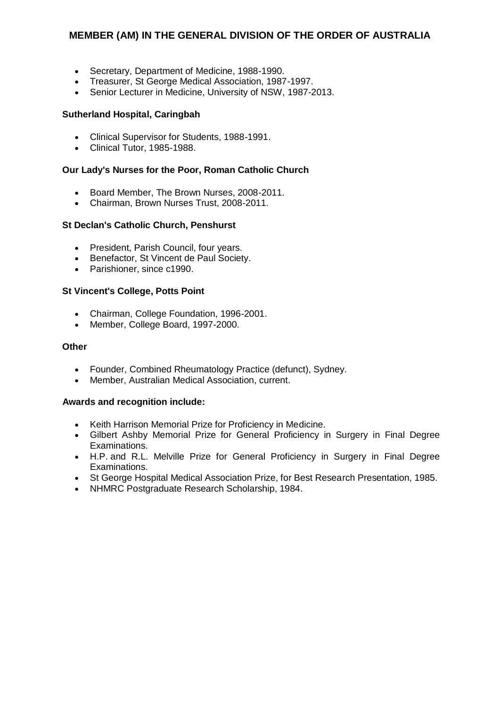- Secretary, Department of Medicine, 1988-1990.
- Treasurer, St George Medical Association, 1987-1997.
- Senior Lecturer in Medicine, University of NSW, 1987-2013.

# **Sutherland Hospital, Caringbah**

- Clinical Supervisor for Students, 1988-1991.
- Clinical Tutor, 1985-1988.

## **Our Lady's Nurses for the Poor, Roman Catholic Church**

- Board Member, The Brown Nurses, 2008-2011.
- Chairman, Brown Nurses Trust, 2008-2011.

## **St Declan's Catholic Church, Penshurst**

- President, Parish Council, four years.
- Benefactor, St Vincent de Paul Society.
- Parishioner, since c1990.

# **St Vincent's College, Potts Point**

- Chairman, College Foundation, 1996-2001.
- Member, College Board, 1997-2000.

#### **Other**

- Founder, Combined Rheumatology Practice (defunct), Sydney.
- Member, Australian Medical Association, current.

- Keith Harrison Memorial Prize for Proficiency in Medicine.
- Gilbert Ashby Memorial Prize for General Proficiency in Surgery in Final Degree Examinations.
- H.P. and R.L. Melville Prize for General Proficiency in Surgery in Final Degree Examinations.
- St George Hospital Medical Association Prize, for Best Research Presentation, 1985.
- NHMRC Postgraduate Research Scholarship, 1984.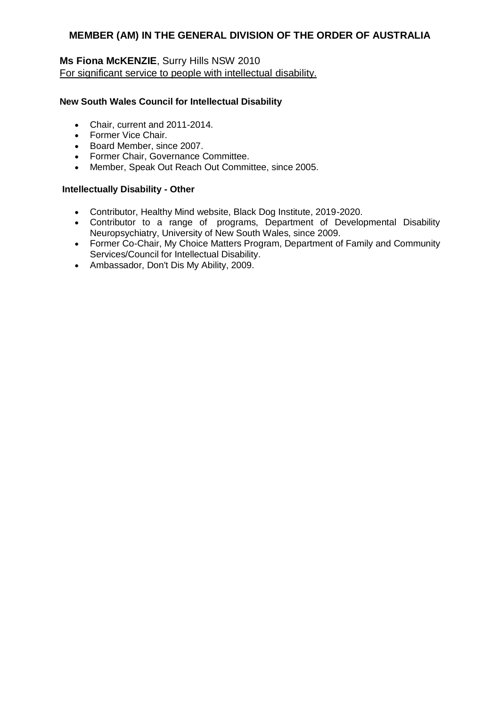# **Ms Fiona McKENZIE**, Surry Hills NSW 2010 For significant service to people with intellectual disability.

# **New South Wales Council for Intellectual Disability**

- Chair, current and 2011-2014.
- Former Vice Chair.
- Board Member, since 2007.
- Former Chair, Governance Committee.
- Member, Speak Out Reach Out Committee, since 2005.

## **Intellectually Disability - Other**

- Contributor, Healthy Mind website, Black Dog Institute, 2019-2020.
- Contributor to a range of programs, Department of Developmental Disability Neuropsychiatry, University of New South Wales, since 2009.
- Former Co-Chair, My Choice Matters Program, Department of Family and Community Services/Council for Intellectual Disability.
- Ambassador, Don't Dis My Ability, 2009.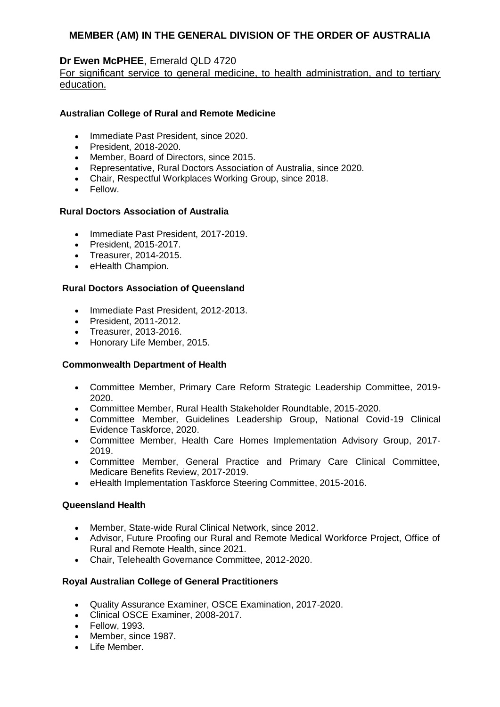# **Dr Ewen McPHEE**, Emerald QLD 4720

# For significant service to general medicine, to health administration, and to tertiary education.

# **Australian College of Rural and Remote Medicine**

- Immediate Past President, since 2020.
- President, 2018-2020.
- Member, Board of Directors, since 2015.
- Representative, Rural Doctors Association of Australia, since 2020.
- Chair, Respectful Workplaces Working Group, since 2018.
- Fellow.

#### **Rural Doctors Association of Australia**

- Immediate Past President, 2017-2019.
- President, 2015-2017.
- Treasurer, 2014-2015.
- eHealth Champion.

#### **Rural Doctors Association of Queensland**

- Immediate Past President, 2012-2013.
- President, 2011-2012.
- Treasurer, 2013-2016.
- Honorary Life Member, 2015.

#### **Commonwealth Department of Health**

- Committee Member, Primary Care Reform Strategic Leadership Committee, 2019- 2020.
- Committee Member, Rural Health Stakeholder Roundtable, 2015-2020.
- Committee Member, Guidelines Leadership Group, National Covid-19 Clinical Evidence Taskforce, 2020.
- Committee Member, Health Care Homes Implementation Advisory Group, 2017- 2019.
- Committee Member, General Practice and Primary Care Clinical Committee, Medicare Benefits Review, 2017-2019.
- eHealth Implementation Taskforce Steering Committee, 2015-2016.

## **Queensland Health**

- Member, State-wide Rural Clinical Network, since 2012.
- Advisor, Future Proofing our Rural and Remote Medical Workforce Project, Office of Rural and Remote Health, since 2021.
- Chair, Telehealth Governance Committee, 2012-2020.

## **Royal Australian College of General Practitioners**

- Quality Assurance Examiner, OSCE Examination, 2017-2020.
- Clinical OSCE Examiner, 2008-2017.
- Fellow, 1993.
- Member, since 1987.
- Life Member.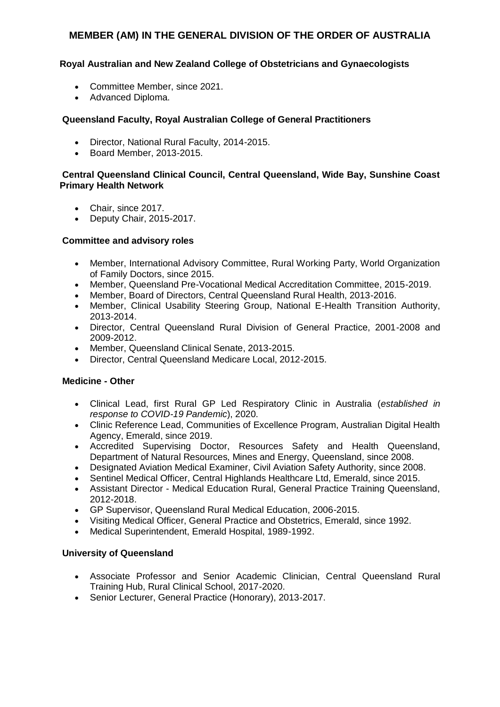# **Royal Australian and New Zealand College of Obstetricians and Gynaecologists**

- Committee Member, since 2021.
- Advanced Diploma.

# **Queensland Faculty, Royal Australian College of General Practitioners**

- Director, National Rural Faculty, 2014-2015.
- Board Member, 2013-2015.

# **Central Queensland Clinical Council, Central Queensland, Wide Bay, Sunshine Coast Primary Health Network**

- Chair, since 2017.
- Deputy Chair, 2015-2017.

# **Committee and advisory roles**

- Member, International Advisory Committee, Rural Working Party, World Organization of Family Doctors, since 2015.
- Member, Queensland Pre-Vocational Medical Accreditation Committee, 2015-2019.
- Member, Board of Directors, Central Queensland Rural Health, 2013-2016.
- Member, Clinical Usability Steering Group, National E-Health Transition Authority, 2013-2014.
- Director, Central Queensland Rural Division of General Practice, 2001-2008 and 2009-2012.
- Member, Queensland Clinical Senate, 2013-2015.
- Director, Central Queensland Medicare Local, 2012-2015.

## **Medicine - Other**

- Clinical Lead, first Rural GP Led Respiratory Clinic in Australia (*established in response to COVID-19 Pandemic*), 2020.
- Clinic Reference Lead, Communities of Excellence Program, Australian Digital Health Agency, Emerald, since 2019.
- Accredited Supervising Doctor, Resources Safety and Health Queensland, Department of Natural Resources, Mines and Energy, Queensland, since 2008.
- Designated Aviation Medical Examiner, Civil Aviation Safety Authority, since 2008.
- Sentinel Medical Officer, Central Highlands Healthcare Ltd, Emerald, since 2015.
- Assistant Director Medical Education Rural, General Practice Training Queensland, 2012-2018.
- GP Supervisor, Queensland Rural Medical Education, 2006-2015.
- Visiting Medical Officer, General Practice and Obstetrics, Emerald, since 1992.
- Medical Superintendent, Emerald Hospital, 1989-1992.

## **University of Queensland**

- Associate Professor and Senior Academic Clinician, Central Queensland Rural Training Hub, Rural Clinical School, 2017-2020.
- Senior Lecturer, General Practice (Honorary), 2013-2017.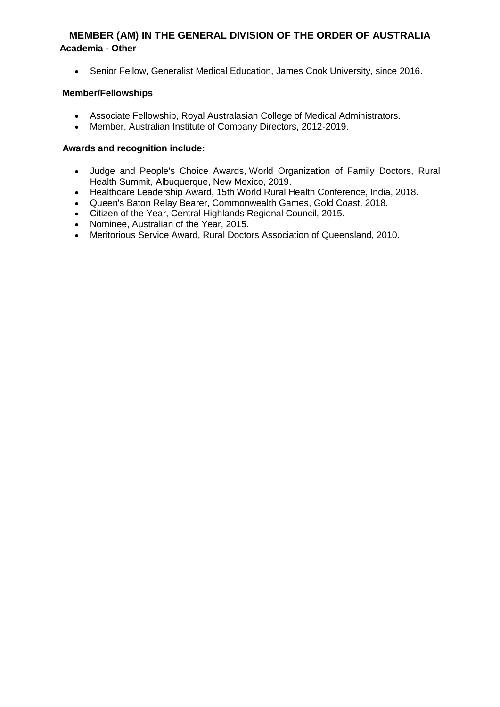# **MEMBER (AM) IN THE GENERAL DIVISION OF THE ORDER OF AUSTRALIA Academia - Other**

Senior Fellow, Generalist Medical Education, James Cook University, since 2016.

# **Member/Fellowships**

- Associate Fellowship, Royal Australasian College of Medical Administrators.
- Member, Australian Institute of Company Directors, 2012-2019.

- Judge and People's Choice Awards, World Organization of Family Doctors, Rural Health Summit, Albuquerque, New Mexico, 2019.
- Healthcare Leadership Award, 15th World Rural Health Conference, India, 2018.
- Queen's Baton Relay Bearer, Commonwealth Games, Gold Coast, 2018.
- Citizen of the Year, Central Highlands Regional Council, 2015.
- Nominee, Australian of the Year, 2015.
- Meritorious Service Award, Rural Doctors Association of Queensland, 2010.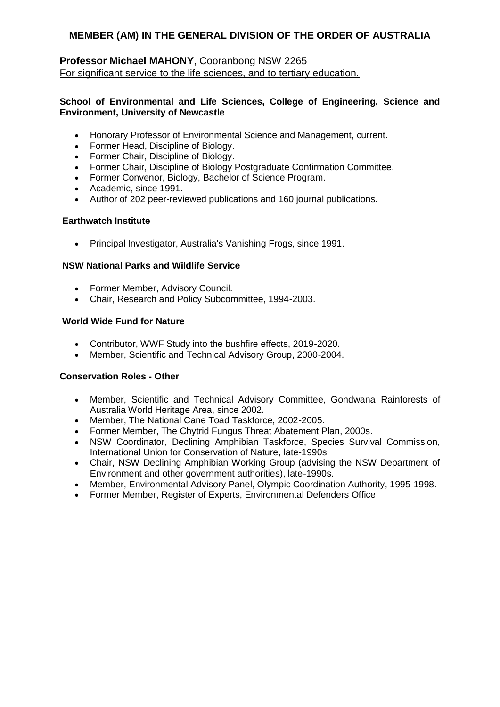# **Professor Michael MAHONY**, Cooranbong NSW 2265 For significant service to the life sciences, and to tertiary education.

## **School of Environmental and Life Sciences, College of Engineering, Science and Environment, University of Newcastle**

- Honorary Professor of Environmental Science and Management, current.
- Former Head, Discipline of Biology.
- Former Chair, Discipline of Biology.
- Former Chair, Discipline of Biology Postgraduate Confirmation Committee.
- Former Convenor, Biology, Bachelor of Science Program.
- Academic, since 1991.
- Author of 202 peer-reviewed publications and 160 journal publications.

## **Earthwatch Institute**

Principal Investigator, Australia's Vanishing Frogs, since 1991.

## **NSW National Parks and Wildlife Service**

- Former Member, Advisory Council.
- Chair, Research and Policy Subcommittee, 1994-2003.

## **World Wide Fund for Nature**

- Contributor, WWF Study into the bushfire effects, 2019-2020.
- Member, Scientific and Technical Advisory Group, 2000-2004.

## **Conservation Roles - Other**

- Member, Scientific and Technical Advisory Committee, Gondwana Rainforests of Australia World Heritage Area, since 2002.
- Member, The National Cane Toad Taskforce, 2002-2005.
- Former Member, The Chytrid Fungus Threat Abatement Plan, 2000s.
- NSW Coordinator, Declining Amphibian Taskforce, Species Survival Commission, International Union for Conservation of Nature, late-1990s.
- Chair, NSW Declining Amphibian Working Group (advising the NSW Department of Environment and other government authorities), late-1990s.
- Member, Environmental Advisory Panel, Olympic Coordination Authority, 1995-1998.
- Former Member, Register of Experts, Environmental Defenders Office.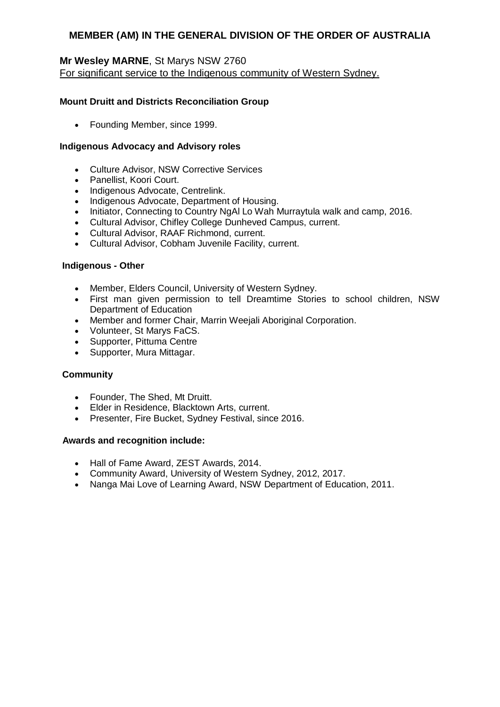# **Mr Wesley MARNE**, St Marys NSW 2760 For significant service to the Indigenous community of Western Sydney.

# **Mount Druitt and Districts Reconciliation Group**

Founding Member, since 1999.

# **Indigenous Advocacy and Advisory roles**

- Culture Advisor, NSW Corrective Services
- Panellist, Koori Court.
- Indigenous Advocate, Centrelink.
- Indigenous Advocate, Department of Housing.
- Initiator, Connecting to Country NgAI Lo Wah Murraytula walk and camp, 2016.
- Cultural Advisor, Chifley College Dunheved Campus, current.
- Cultural Advisor, RAAF Richmond, current.
- Cultural Advisor, Cobham Juvenile Facility, current.

## **Indigenous - Other**

- Member, Elders Council, University of Western Sydney.
- First man given permission to tell Dreamtime Stories to school children, NSW Department of Education
- Member and former Chair, Marrin Weejali Aboriginal Corporation.
- Volunteer, St Marys FaCS.
- Supporter, Pittuma Centre
- Supporter, Mura Mittagar.

## **Community**

- Founder, The Shed, Mt Druitt.
- Elder in Residence, Blacktown Arts, current.
- Presenter, Fire Bucket, Sydney Festival, since 2016.

- Hall of Fame Award, ZEST Awards, 2014.
- Community Award, University of Western Sydney, 2012, 2017.
- Nanga Mai Love of Learning Award, NSW Department of Education, 2011.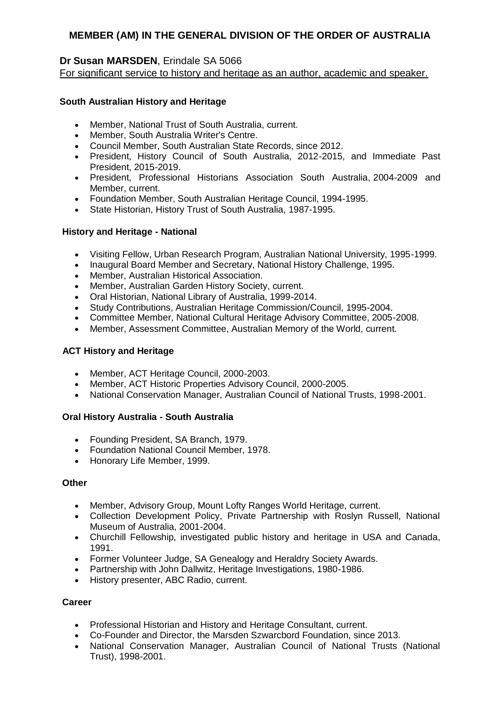# **Dr Susan MARSDEN**, Erindale SA 5066

For significant service to history and heritage as an author, academic and speaker.

# **South Australian History and Heritage**

- Member, National Trust of South Australia, current.
- Member, South Australia Writer's Centre.
- Council Member, South Australian State Records, since 2012.
- President, History Council of South Australia, 2012-2015, and Immediate Past President, 2015-2019.
- President, Professional Historians Association South Australia, 2004-2009 and Member, current.
- Foundation Member, South Australian Heritage Council, 1994-1995.
- State Historian, History Trust of South Australia, 1987-1995.

## **History and Heritage - National**

- Visiting Fellow, Urban Research Program, Australian National University, 1995-1999.
- Inaugural Board Member and Secretary, National History Challenge, 1995.
- Member, Australian Historical Association.
- Member, Australian Garden History Society, current.
- Oral Historian, National Library of Australia, 1999-2014.
- Study Contributions, Australian Heritage Commission/Council, 1995-2004.
- Committee Member, National Cultural Heritage Advisory Committee, 2005-2008.
- Member, Assessment Committee, Australian Memory of the World, current.

# **ACT History and Heritage**

- Member, ACT Heritage Council, 2000-2003.
- Member, ACT Historic Properties Advisory Council, 2000-2005.
- National Conservation Manager, Australian Council of National Trusts, 1998-2001.

## **Oral History Australia - South Australia**

- Founding President, SA Branch, 1979.
- Foundation National Council Member, 1978.
- Honorary Life Member, 1999.

## **Other**

- Member, Advisory Group, Mount Lofty Ranges World Heritage, current.
- Collection Development Policy, Private Partnership with Roslyn Russell, National Museum of Australia, 2001-2004.
- Churchill Fellowship, investigated public history and heritage in USA and Canada, 1991.
- Former Volunteer Judge, SA Genealogy and Heraldry Society Awards.
- Partnership with John Dallwitz, Heritage Investigations, 1980-1986.
- History presenter, ABC Radio, current.

## **Career**

- Professional Historian and History and Heritage Consultant, current.
- Co-Founder and Director, the Marsden Szwarcbord Foundation, since 2013.
- National Conservation Manager, Australian Council of National Trusts (National Trust), 1998-2001.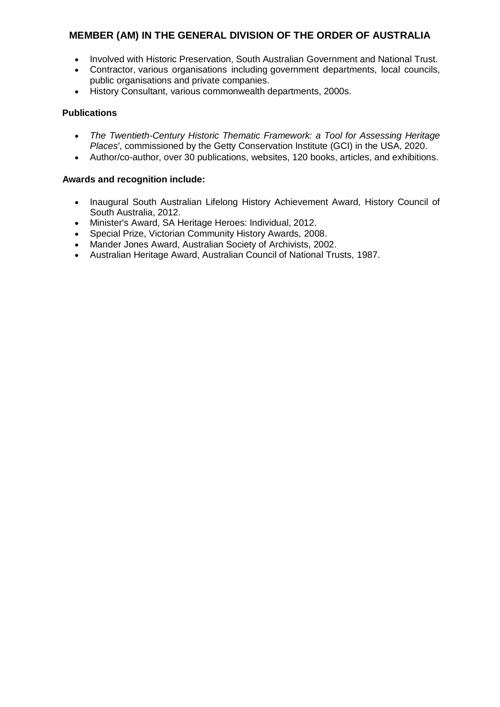- Involved with Historic Preservation, South Australian Government and National Trust.
- Contractor, various organisations including government departments, local councils, public organisations and private companies.
- History Consultant, various commonwealth departments, 2000s.

# **Publications**

- *The Twentieth-Century Historic Thematic Framework: a Tool for Assessing Heritage Places'*, commissioned by the Getty Conservation Institute (GCI) in the USA, 2020.
- Author/co-author, over 30 publications, websites, 120 books, articles, and exhibitions.

- Inaugural South Australian Lifelong History Achievement Award, History Council of South Australia, 2012.
- Minister's Award, SA Heritage Heroes: Individual, 2012.
- Special Prize, Victorian Community History Awards, 2008.
- Mander Jones Award, Australian Society of Archivists, 2002.
- Australian Heritage Award, Australian Council of National Trusts, 1987.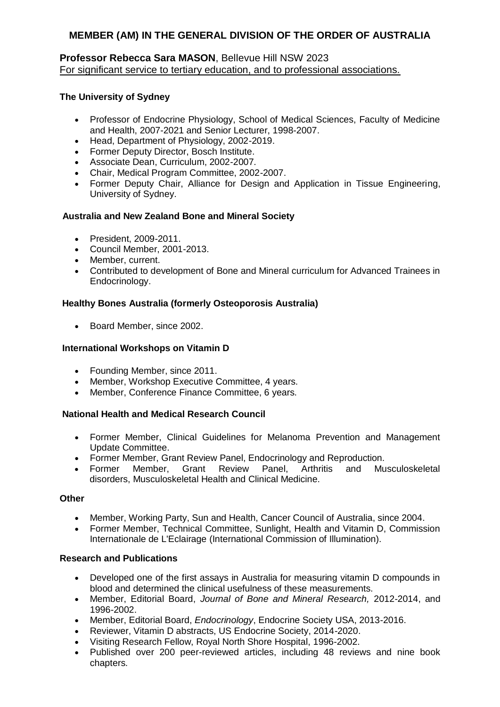# **Professor Rebecca Sara MASON**, Bellevue Hill NSW 2023 For significant service to tertiary education, and to professional associations.

# **The University of Sydney**

- Professor of Endocrine Physiology, School of Medical Sciences, Faculty of Medicine and Health, 2007-2021 and Senior Lecturer, 1998-2007.
- Head, Department of Physiology, 2002-2019.
- Former Deputy Director, Bosch Institute.
- Associate Dean, Curriculum, 2002-2007.
- Chair, Medical Program Committee, 2002-2007.
- Former Deputy Chair, Alliance for Design and Application in Tissue Engineering, University of Sydney.

# **Australia and New Zealand Bone and Mineral Society**

- President, 2009-2011.
- Council Member, 2001-2013.
- Member, current.
- Contributed to development of Bone and Mineral curriculum for Advanced Trainees in Endocrinology.

## **Healthy Bones Australia (formerly Osteoporosis Australia)**

• Board Member, since 2002.

# **International Workshops on Vitamin D**

- Founding Member, since 2011.
- Member, Workshop Executive Committee, 4 years.
- Member, Conference Finance Committee, 6 years.

# **National Health and Medical Research Council**

- Former Member, Clinical Guidelines for Melanoma Prevention and Management Update Committee.
- Former Member, Grant Review Panel, Endocrinology and Reproduction.
- Former Member, Grant Review Panel, Arthritis and Musculoskeletal disorders, Musculoskeletal Health and Clinical Medicine.

## **Other**

- Member, Working Party, Sun and Health, Cancer Council of Australia, since 2004.
- Former Member, Technical Committee, Sunlight, Health and Vitamin D, Commission Internationale de L'Eclairage (International Commission of Illumination).

## **Research and Publications**

- Developed one of the first assays in Australia for measuring vitamin D compounds in blood and determined the clinical usefulness of these measurements.
- Member, Editorial Board, *Journal of Bone and Mineral Research,* 2012-2014, and 1996-2002.
- Member, Editorial Board, *Endocrinology*, Endocrine Society USA, 2013-2016.
- Reviewer, Vitamin D abstracts, US Endocrine Society, 2014-2020.
- Visiting Research Fellow, Royal North Shore Hospital, 1996-2002.
- Published over 200 peer-reviewed articles, including 48 reviews and nine book chapters.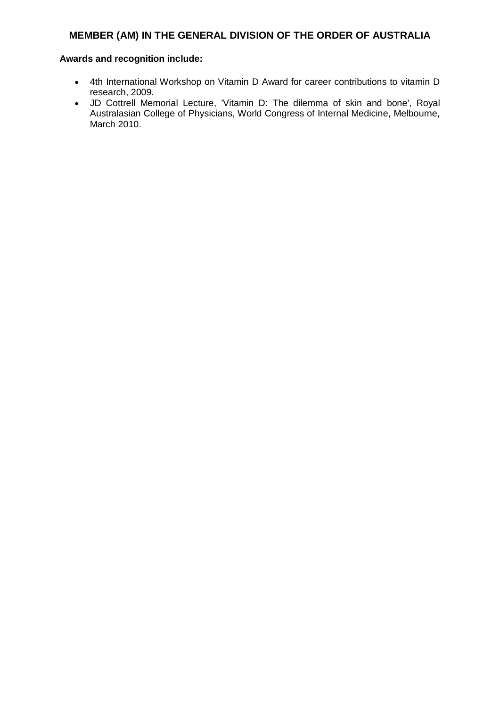- 4th International Workshop on Vitamin D Award for career contributions to vitamin D research, 2009.
- JD Cottrell Memorial Lecture, 'Vitamin D: The dilemma of skin and bone', Royal Australasian College of Physicians, World Congress of Internal Medicine, Melbourne, March 2010.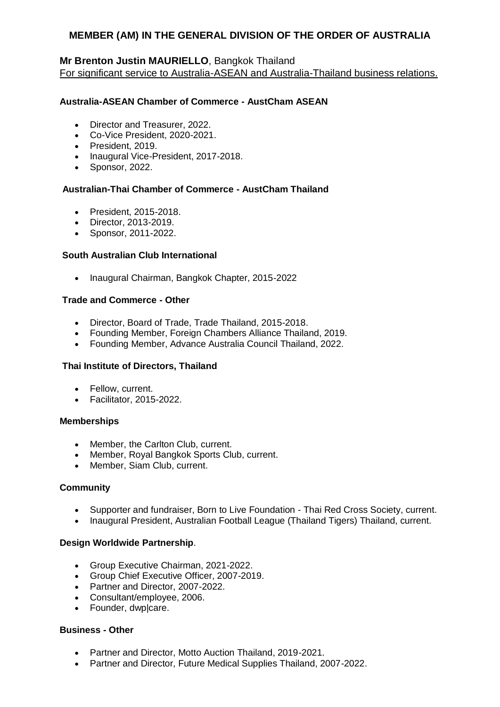# **Mr Brenton Justin MAURIELLO**, Bangkok Thailand

For significant service to Australia-ASEAN and Australia-Thailand business relations.

## **Australia-ASEAN Chamber of Commerce - AustCham ASEAN**

- Director and Treasurer, 2022.
- Co-Vice President, 2020-2021.
- President, 2019.
- Inaugural Vice-President, 2017-2018.
- Sponsor, 2022.

#### **Australian-Thai Chamber of Commerce - AustCham Thailand**

- President, 2015-2018.
- Director, 2013-2019.
- Sponsor, 2011-2022.

#### **South Australian Club International**

• Inaugural Chairman, Bangkok Chapter, 2015-2022

#### **Trade and Commerce - Other**

- Director, Board of Trade, Trade Thailand, 2015-2018.
- Founding Member, Foreign Chambers Alliance Thailand, 2019.
- Founding Member, Advance Australia Council Thailand, 2022.

#### **Thai Institute of Directors, Thailand**

- Fellow, current.
- Facilitator, 2015-2022.

#### **Memberships**

- Member, the Carlton Club, current.
- Member, Royal Bangkok Sports Club, current.
- Member, Siam Club, current.

#### **Community**

- Supporter and fundraiser, Born to Live Foundation Thai Red Cross Society, current.
- Inaugural President, Australian Football League (Thailand Tigers) Thailand, current.

#### **Design Worldwide Partnership**.

- Group Executive Chairman, 2021-2022.
- Group Chief Executive Officer, 2007-2019.
- Partner and Director, 2007-2022.
- Consultant/employee, 2006.
- Founder, dwplcare.

#### **Business - Other**

- Partner and Director, Motto Auction Thailand, 2019-2021.
- Partner and Director, Future Medical Supplies Thailand, 2007-2022.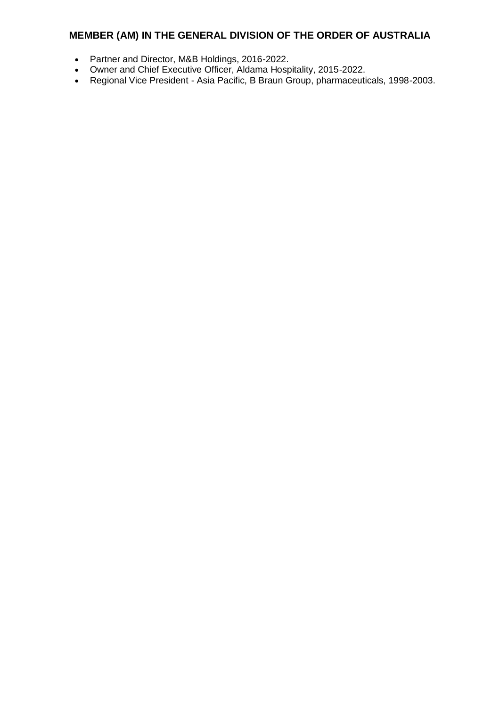- Partner and Director, M&B Holdings, 2016-2022.
- Owner and Chief Executive Officer, Aldama Hospitality, 2015-2022.
- Regional Vice President Asia Pacific, B Braun Group, pharmaceuticals, 1998-2003.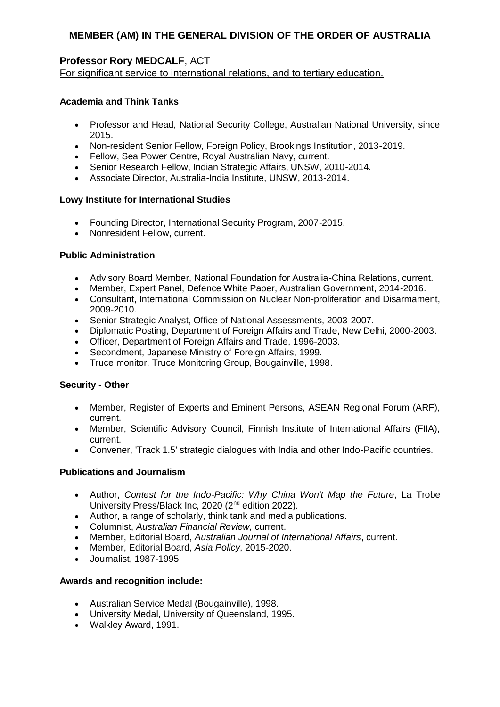# **Professor Rory MEDCALF**, ACT

For significant service to international relations, and to tertiary education.

# **Academia and Think Tanks**

- Professor and Head, National Security College, Australian National University, since 2015.
- Non-resident Senior Fellow, Foreign Policy, Brookings Institution, 2013-2019.
- Fellow, Sea Power Centre, Royal Australian Navy, current.
- Senior Research Fellow, Indian Strategic Affairs, UNSW, 2010-2014.
- Associate Director, Australia-India Institute, UNSW, 2013-2014.

#### **Lowy Institute for International Studies**

- Founding Director, International Security Program, 2007-2015.
- Nonresident Fellow, current.

## **Public Administration**

- Advisory Board Member, National Foundation for Australia-China Relations, current.
- Member, Expert Panel, Defence White Paper, Australian Government, 2014-2016.
- Consultant, International Commission on Nuclear Non-proliferation and Disarmament, 2009-2010.
- Senior Strategic Analyst, Office of National Assessments, 2003-2007.
- Diplomatic Posting, Department of Foreign Affairs and Trade, New Delhi, 2000-2003.
- Officer, Department of Foreign Affairs and Trade, 1996-2003.
- Secondment, Japanese Ministry of Foreign Affairs, 1999.
- Truce monitor, Truce Monitoring Group, Bougainville, 1998.

## **Security - Other**

- Member, Register of Experts and Eminent Persons, ASEAN Regional Forum (ARF), current.
- Member, Scientific Advisory Council, Finnish Institute of International Affairs (FIIA), current.
- Convener, 'Track 1.5' strategic dialogues with India and other Indo-Pacific countries.

## **Publications and Journalism**

- Author, *Contest for the Indo-Pacific: Why China Won't Map the Future*, La Trobe University Press/Black Inc, 2020 (2nd edition 2022).
- Author, a range of scholarly, think tank and media publications.
- Columnist, *Australian Financial Review,* current.
- Member, Editorial Board, *Australian Journal of International Affairs*, current.
- Member, Editorial Board, *Asia Policy*, 2015-2020.
- Journalist, 1987-1995.

- Australian Service Medal (Bougainville), 1998.
- University Medal, University of Queensland, 1995.
- Walkley Award, 1991.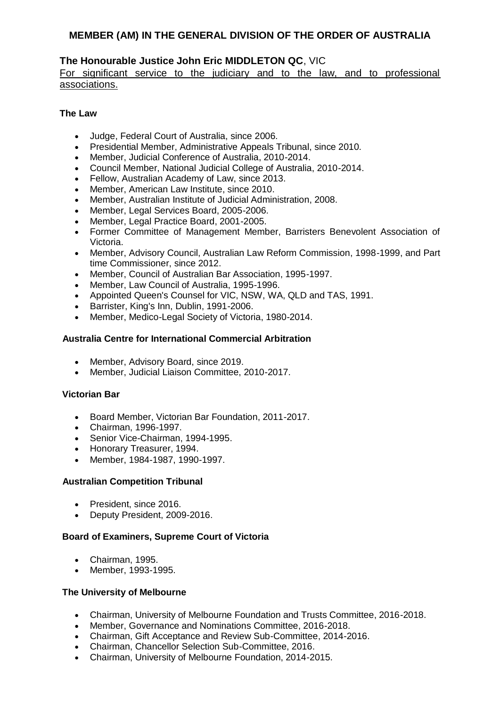# **The Honourable Justice John Eric MIDDLETON QC**, VIC

For significant service to the judiciary and to the law, and to professional associations.

## **The Law**

- Judge, Federal Court of Australia, since 2006.
- Presidential Member, Administrative Appeals Tribunal, since 2010.
- Member, Judicial Conference of Australia, 2010-2014.
- Council Member, National Judicial College of Australia, 2010-2014.
- Fellow, Australian Academy of Law, since 2013.
- Member, American Law Institute, since 2010.
- Member, Australian Institute of Judicial Administration, 2008.
- Member, Legal Services Board, 2005-2006.
- Member, Legal Practice Board, 2001-2005.
- Former Committee of Management Member, Barristers Benevolent Association of Victoria.
- Member, Advisory Council, Australian Law Reform Commission, 1998-1999, and Part time Commissioner, since 2012.
- Member, Council of Australian Bar Association, 1995-1997.
- Member, Law Council of Australia, 1995-1996.
- Appointed Queen's Counsel for VIC, NSW, WA, QLD and TAS, 1991.
- **Barrister, King's Inn, Dublin, 1991-2006.**
- Member, Medico-Legal Society of Victoria, 1980-2014.

## **Australia Centre for International Commercial Arbitration**

- Member, Advisory Board, since 2019.
- Member, Judicial Liaison Committee, 2010-2017.

## **Victorian Bar**

- Board Member, Victorian Bar Foundation, 2011-2017.
- Chairman, 1996-1997.
- Senior Vice-Chairman, 1994-1995.
- Honorary Treasurer, 1994.
- Member, 1984-1987, 1990-1997.

## **Australian Competition Tribunal**

- President, since 2016.
- Deputy President, 2009-2016.

## **Board of Examiners, Supreme Court of Victoria**

- Chairman, 1995.
- Member, 1993-1995.

## **The University of Melbourne**

- Chairman, University of Melbourne Foundation and Trusts Committee, 2016-2018.
- Member, Governance and Nominations Committee, 2016-2018.
- Chairman, Gift Acceptance and Review Sub-Committee, 2014-2016.
- Chairman, Chancellor Selection Sub-Committee, 2016.
- Chairman, University of Melbourne Foundation, 2014-2015.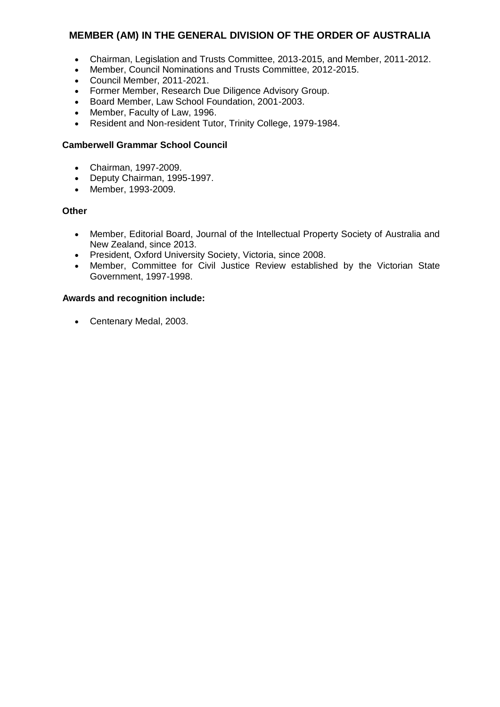- Chairman, Legislation and Trusts Committee, 2013-2015, and Member, 2011-2012.<br>• Member, Council Nominations and Trusts Committee, 2012-2015
- Member, Council Nominations and Trusts Committee, 2012-2015.
- Council Member, 2011-2021.
- Former Member, Research Due Diligence Advisory Group.
- Board Member, Law School Foundation, 2001-2003.
- Member, Faculty of Law, 1996.
- Resident and Non-resident Tutor, Trinity College, 1979-1984.

# **Camberwell Grammar School Council**

- Chairman, 1997-2009.
- Deputy Chairman, 1995-1997.
- Member, 1993-2009.

## **Other**

- Member, Editorial Board, Journal of the Intellectual Property Society of Australia and New Zealand, since 2013.
- President, Oxford University Society, Victoria, since 2008.
- Member, Committee for Civil Justice Review established by the Victorian State Government, 1997-1998.

## **Awards and recognition include:**

Centenary Medal, 2003.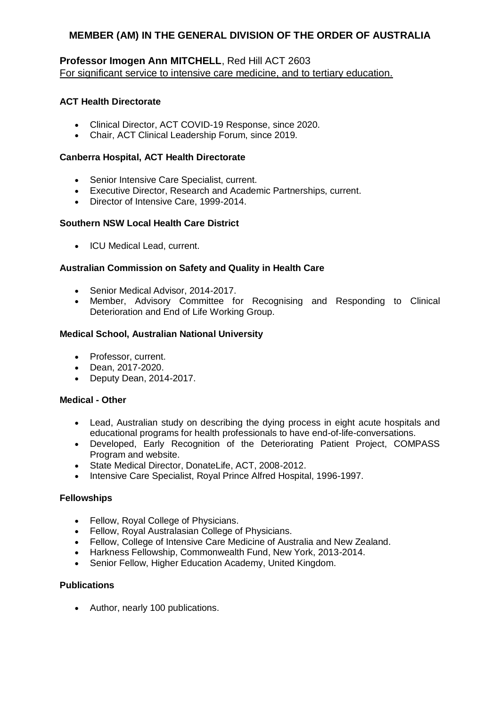# **Professor Imogen Ann MITCHELL**, Red Hill ACT 2603 For significant service to intensive care medicine, and to tertiary education.

# **ACT Health Directorate**

- Clinical Director, ACT COVID-19 Response, since 2020.
- Chair, ACT Clinical Leadership Forum, since 2019.

# **Canberra Hospital, ACT Health Directorate**

- Senior Intensive Care Specialist, current.
- Executive Director, Research and Academic Partnerships, current.
- Director of Intensive Care, 1999-2014.

# **Southern NSW Local Health Care District**

• ICU Medical Lead, current.

# **Australian Commission on Safety and Quality in Health Care**

- Senior Medical Advisor, 2014-2017.
- Member, Advisory Committee for Recognising and Responding to Clinical Deterioration and End of Life Working Group.

# **Medical School, Australian National University**

- Professor, current.
- Dean, 2017-2020.
- Deputy Dean, 2014-2017.

## **Medical - Other**

- Lead, Australian study on describing the dying process in eight acute hospitals and educational programs for health professionals to have end-of-life-conversations.
- Developed, Early Recognition of the Deteriorating Patient Project, COMPASS Program and website.
- State Medical Director, DonateLife, ACT, 2008-2012.
- Intensive Care Specialist, Royal Prince Alfred Hospital, 1996-1997.

## **Fellowships**

- Fellow, Royal College of Physicians.
- Fellow, Royal Australasian College of Physicians.
- Fellow, College of Intensive Care Medicine of Australia and New Zealand.
- Harkness Fellowship, Commonwealth Fund, New York, 2013-2014.
- Senior Fellow, Higher Education Academy, United Kingdom.

# **Publications**

Author, nearly 100 publications.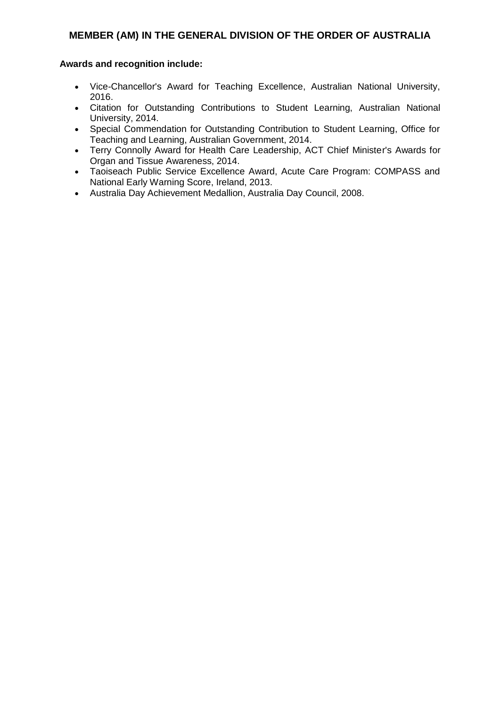- Vice-Chancellor's Award for Teaching Excellence, Australian National University, 2016.
- Citation for Outstanding Contributions to Student Learning, Australian National University, 2014.
- Special Commendation for Outstanding Contribution to Student Learning, Office for Teaching and Learning, Australian Government, 2014.
- Terry Connolly Award for Health Care Leadership, ACT Chief Minister's Awards for Organ and Tissue Awareness, 2014.
- Taoiseach Public Service Excellence Award, Acute Care Program: COMPASS and National Early Warning Score, Ireland, 2013.
- Australia Day Achievement Medallion, Australia Day Council, 2008.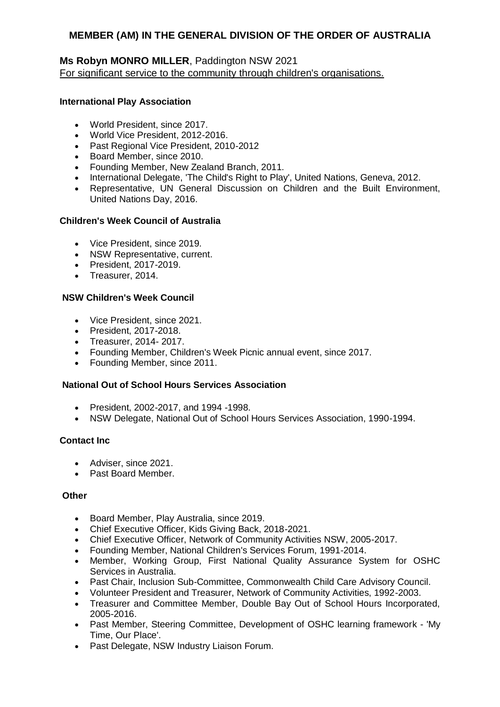# **Ms Robyn MONRO MILLER**, Paddington NSW 2021 For significant service to the community through children's organisations.

## **International Play Association**

- World President, since 2017.
- World Vice President, 2012-2016.
- Past Regional Vice President, 2010-2012
- Board Member, since 2010.
- Founding Member, New Zealand Branch, 2011.
- International Delegate, 'The Child's Right to Play', United Nations, Geneva, 2012.
- Representative, UN General Discussion on Children and the Built Environment, United Nations Day, 2016.

#### **Children's Week Council of Australia**

- Vice President, since 2019.
- NSW Representative, current.
- President, 2017-2019.
- Treasurer, 2014.

#### **NSW Children's Week Council**

- Vice President, since 2021.
- President, 2017-2018.
- Treasurer, 2014-2017.
- Founding Member, Children's Week Picnic annual event, since 2017.
- Founding Member, since 2011.

#### **National Out of School Hours Services Association**

- President, 2002-2017, and 1994 -1998.
- NSW Delegate, National Out of School Hours Services Association, 1990-1994.

#### **Contact Inc**

- Adviser, since 2021.
- Past Board Member.

# **Other**

- Board Member, Play Australia, since 2019.
- Chief Executive Officer, Kids Giving Back, 2018-2021.
- Chief Executive Officer, Network of Community Activities NSW, 2005-2017.
- Founding Member, National Children's Services Forum, 1991-2014.
- Member, Working Group, First National Quality Assurance System for OSHC Services in Australia.
- Past Chair, Inclusion Sub-Committee, Commonwealth Child Care Advisory Council.
- Volunteer President and Treasurer, Network of Community Activities, 1992-2003.
- Treasurer and Committee Member, Double Bay Out of School Hours Incorporated, 2005-2016.
- Past Member, Steering Committee, Development of OSHC learning framework 'My Time, Our Place'.
- Past Delegate, NSW Industry Liaison Forum.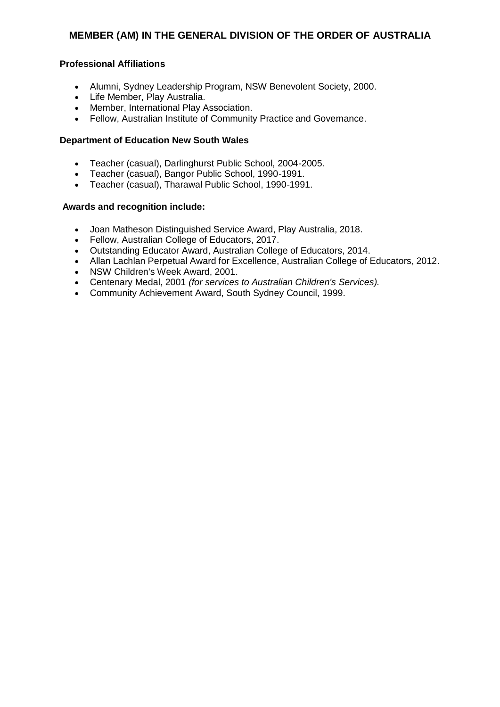## **Professional Affiliations**

- Alumni, Sydney Leadership Program, NSW Benevolent Society, 2000.
- Life Member, Play Australia.
- Member, International Play Association.
- Fellow, Australian Institute of Community Practice and Governance.

## **Department of Education New South Wales**

- Teacher (casual), Darlinghurst Public School, 2004-2005.<br>• Teacher (casual). Bangor Public School, 1990-1991
- Teacher (casual), Bangor Public School, 1990-1991.
- Teacher (casual), Tharawal Public School, 1990-1991.

- Joan Matheson Distinguished Service Award, Play Australia, 2018.
- Fellow, Australian College of Educators, 2017.
- Outstanding Educator Award, Australian College of Educators, 2014.
- Allan Lachlan Perpetual Award for Excellence, Australian College of Educators, 2012.
- NSW Children's Week Award, 2001.
- Centenary Medal, 2001 *(for services to Australian Children's Services).*
- Community Achievement Award, South Sydney Council, 1999.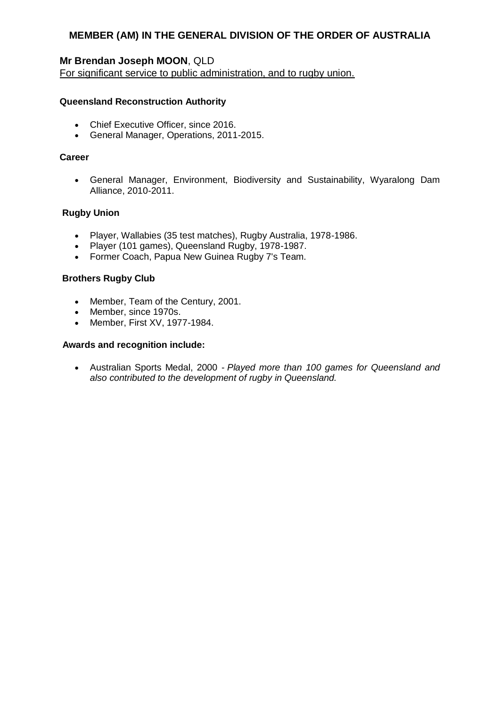# **Mr Brendan Joseph MOON**, QLD

For significant service to public administration, and to rugby union.

#### **Queensland Reconstruction Authority**

- Chief Executive Officer, since 2016.
- General Manager, Operations, 2011-2015.

#### **Career**

 General Manager, Environment, Biodiversity and Sustainability, Wyaralong Dam Alliance, 2010-2011.

#### **Rugby Union**

- Player, Wallabies (35 test matches), Rugby Australia, 1978-1986.
- Player (101 games), Queensland Rugby, 1978-1987.
- Former Coach, Papua New Guinea Rugby 7's Team.

#### **Brothers Rugby Club**

- Member, Team of the Century, 2001.
- Member, since 1970s.
- Member, First XV, 1977-1984.

## **Awards and recognition include:**

 Australian Sports Medal, 2000 - *Played more than 100 games for Queensland and also contributed to the development of rugby in Queensland.*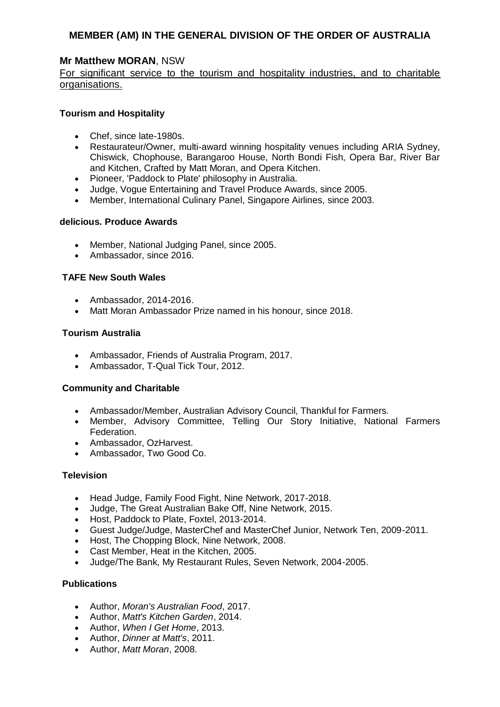# **Mr Matthew MORAN**, NSW

For significant service to the tourism and hospitality industries, and to charitable organisations.

#### **Tourism and Hospitality**

- Chef, since late-1980s.
- Restaurateur/Owner, multi-award winning hospitality venues including ARIA Sydney, Chiswick, Chophouse, Barangaroo House, North Bondi Fish, Opera Bar, River Bar and Kitchen, Crafted by Matt Moran, and Opera Kitchen.
- Pioneer, 'Paddock to Plate' philosophy in Australia.
- Judge, Vogue Entertaining and Travel Produce Awards, since 2005.
- Member, International Culinary Panel, Singapore Airlines, since 2003.

#### **delicious. Produce Awards**

- Member, National Judging Panel, since 2005.
- Ambassador, since 2016.

#### **TAFE New South Wales**

- Ambassador, 2014-2016.
- Matt Moran Ambassador Prize named in his honour, since 2018.

#### **Tourism Australia**

- Ambassador, Friends of Australia Program, 2017.
- Ambassador, T-Qual Tick Tour, 2012.

## **Community and Charitable**

- Ambassador/Member, Australian Advisory Council, Thankful for Farmers.
- Member, Advisory Committee, Telling Our Story Initiative, National Farmers Federation.
- Ambassador, OzHarvest.
- Ambassador, Two Good Co.

#### **Television**

- Head Judge, Family Food Fight, Nine Network, 2017-2018.
- Judge, The Great Australian Bake Off, Nine Network, 2015.
- Host, Paddock to Plate, Foxtel, 2013-2014.
- Guest Judge/Judge, MasterChef and MasterChef Junior, Network Ten, 2009-2011.
- Host, The Chopping Block, Nine Network, 2008.
- Cast Member, Heat in the Kitchen, 2005.
- Judge/The Bank, My Restaurant Rules, Seven Network, 2004-2005.

#### **Publications**

- Author, *Moran's Australian Food*, 2017.
- Author, *Matt's Kitchen Garden*, 2014.
- Author, *When I Get Home*, 2013.
- Author, *Dinner at Matt's*, 2011.
- Author, *Matt Moran*, 2008.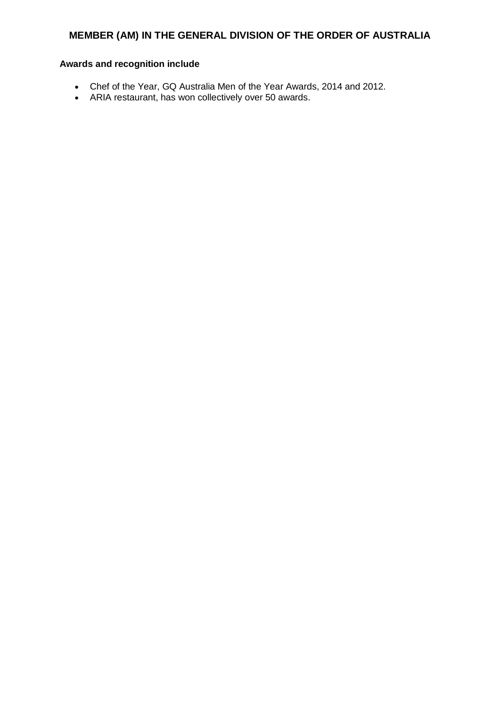- Chef of the Year, GQ Australia Men of the Year Awards, 2014 and 2012.
- ARIA restaurant, has won collectively over 50 awards.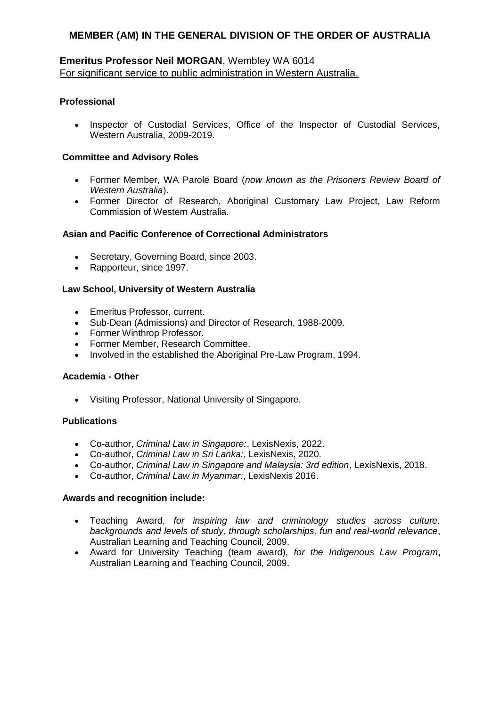# **Emeritus Professor Neil MORGAN**, Wembley WA 6014 For significant service to public administration in Western Australia.

## **Professional**

• Inspector of Custodial Services, Office of the Inspector of Custodial Services, Western Australia, 2009-2019.

#### **Committee and Advisory Roles**

- Former Member, WA Parole Board (*now known as the Prisoners Review Board of Western Australia*).
- Former Director of Research, Aboriginal Customary Law Project, Law Reform Commission of Western Australia.

#### **Asian and Pacific Conference of Correctional Administrators**

- Secretary, Governing Board, since 2003.
- Rapporteur, since 1997.

#### **Law School, University of Western Australia**

- Emeritus Professor, current.
- Sub-Dean (Admissions) and Director of Research, 1988-2009.
- Former Winthrop Professor.
- Former Member, Research Committee.
- Involved in the established the Aboriginal Pre-Law Program, 1994.

#### **Academia - Other**

Visiting Professor, National University of Singapore.

#### **Publications**

- Co-author, *Criminal Law in Singapore:*, LexisNexis, 2022.
- Co-author, *Criminal Law in Sri Lanka:*, LexisNexis, 2020.
- Co-author, *Criminal Law in Singapore and Malaysia: 3rd edition*, LexisNexis, 2018.
- Co-author, *Criminal Law in Myanmar:*, LexisNexis 2016.

- Teaching Award, *for inspiring law and criminology studies across culture, backgrounds and levels of study, through scholarships, fun and real-world relevance*, Australian Learning and Teaching Council, 2009.
- Award for University Teaching (team award), *for the Indigenous Law Program*, Australian Learning and Teaching Council, 2009.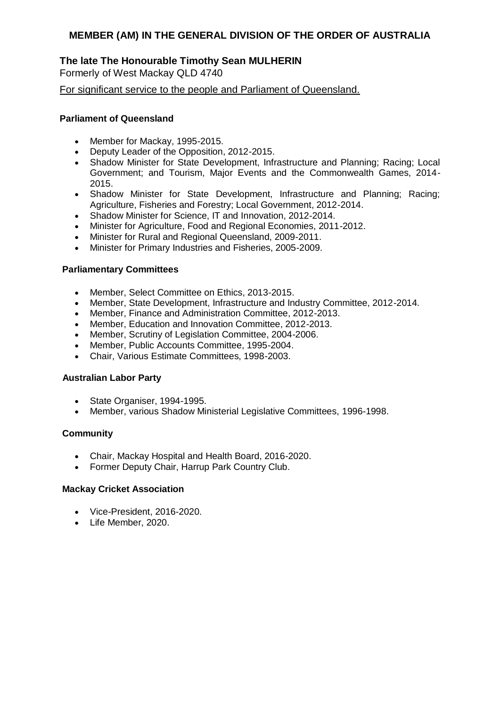# **The late The Honourable Timothy Sean MULHERIN**

Formerly of West Mackay QLD 4740

For significant service to the people and Parliament of Queensland.

# **Parliament of Queensland**

- Member for Mackay, 1995-2015.
- Deputy Leader of the Opposition, 2012-2015.
- Shadow Minister for State Development, Infrastructure and Planning; Racing; Local Government; and Tourism, Major Events and the Commonwealth Games, 2014- 2015.
- Shadow Minister for State Development, Infrastructure and Planning; Racing; Agriculture, Fisheries and Forestry; Local Government, 2012-2014.
- Shadow Minister for Science, IT and Innovation, 2012-2014.
- Minister for Agriculture, Food and Regional Economies, 2011-2012.
- Minister for Rural and Regional Queensland, 2009-2011.
- Minister for Primary Industries and Fisheries, 2005-2009.

## **Parliamentary Committees**

- Member, Select Committee on Ethics, 2013-2015.
- Member, State Development, Infrastructure and Industry Committee, 2012-2014.
- Member, Finance and Administration Committee, 2012-2013.
- Member, Education and Innovation Committee, 2012-2013.
- Member, Scrutiny of Legislation Committee, 2004-2006.
- Member, Public Accounts Committee, 1995-2004.
- Chair, Various Estimate Committees, 1998-2003.

# **Australian Labor Party**

- State Organiser, 1994-1995.
- Member, various Shadow Ministerial Legislative Committees, 1996-1998.

## **Community**

- Chair, Mackay Hospital and Health Board, 2016-2020.
- Former Deputy Chair, Harrup Park Country Club.

## **Mackay Cricket Association**

- Vice-President, 2016-2020.
- Life Member, 2020.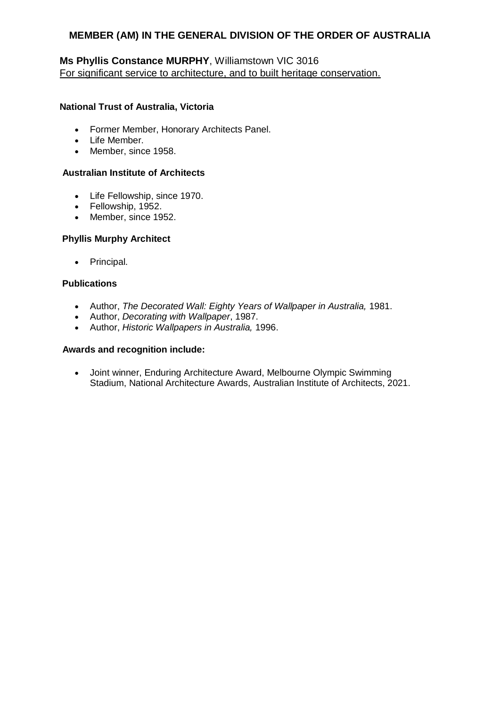# **Ms Phyllis Constance MURPHY**, Williamstown VIC 3016 For significant service to architecture, and to built heritage conservation.

# **National Trust of Australia, Victoria**

- Former Member, Honorary Architects Panel.
- Life Member.
- Member, since 1958.

# **Australian Institute of Architects**

- Life Fellowship, since 1970.
- Fellowship, 1952.
- Member, since 1952.

## **Phyllis Murphy Architect**

• Principal.

## **Publications**

- Author, *The Decorated Wall: Eighty Years of Wallpaper in Australia,* 1981.
- Author, *Decorating with Wallpaper*, 1987.
- Author, *Historic Wallpapers in Australia,* 1996.

# **Awards and recognition include:**

 Joint winner, Enduring Architecture Award, Melbourne Olympic Swimming Stadium, National Architecture Awards, Australian Institute of Architects, 2021.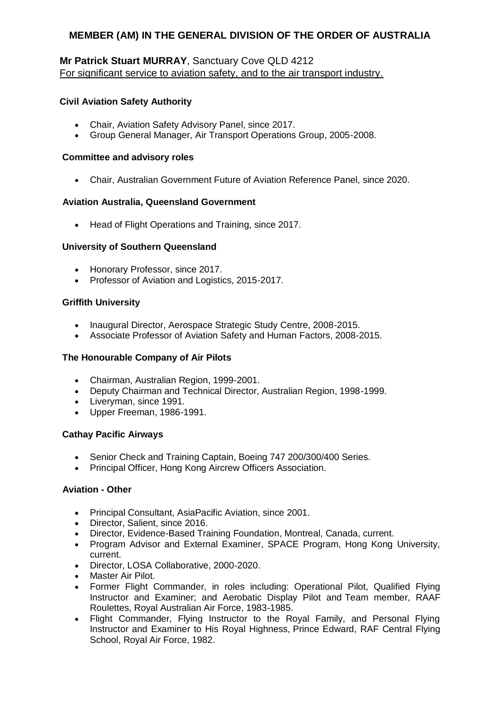## **Mr Patrick Stuart MURRAY**, Sanctuary Cove QLD 4212 For significant service to aviation safety, and to the air transport industry.

### **Civil Aviation Safety Authority**

- Chair, Aviation Safety Advisory Panel, since 2017.
- Group General Manager, Air Transport Operations Group, 2005-2008.

### **Committee and advisory roles**

Chair, Australian Government Future of Aviation Reference Panel, since 2020.

### **Aviation Australia, Queensland Government**

• Head of Flight Operations and Training, since 2017.

## **University of Southern Queensland**

- Honorary Professor, since 2017.
- Professor of Aviation and Logistics, 2015-2017.

## **Griffith University**

- Inaugural Director, Aerospace Strategic Study Centre, 2008-2015.
- Associate Professor of Aviation Safety and Human Factors, 2008-2015.

## **The Honourable Company of Air Pilots**

- Chairman, Australian Region, 1999-2001.
- Deputy Chairman and Technical Director, Australian Region, 1998-1999.
- Liveryman, since 1991.
- Upper Freeman, 1986-1991.

### **Cathay Pacific Airways**

- Senior Check and Training Captain, Boeing 747 200/300/400 Series.
- Principal Officer, Hong Kong Aircrew Officers Association.

### **Aviation - Other**

- Principal Consultant, AsiaPacific Aviation, since 2001.
- Director, Salient, since 2016.
- Director, Evidence-Based Training Foundation, Montreal, Canada, current.
- Program Advisor and External Examiner, SPACE Program, Hong Kong University, current.
- Director, LOSA Collaborative, 2000-2020.
- Master Air Pilot.
- Former Flight Commander, in roles including: Operational Pilot, Qualified Flying Instructor and Examiner; and Aerobatic Display Pilot and Team member, RAAF Roulettes, Royal Australian Air Force, 1983-1985.
- Flight Commander, Flying Instructor to the Royal Family, and Personal Flying Instructor and Examiner to His Royal Highness, Prince Edward, RAF Central Flying School, Royal Air Force, 1982.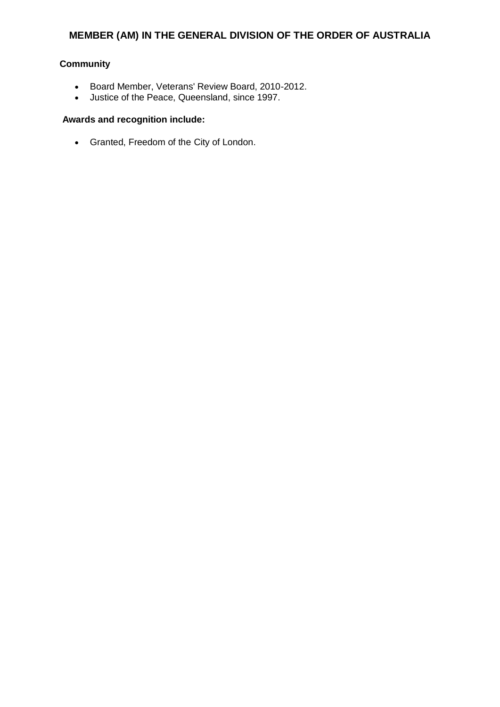# **Community**

- Board Member, Veterans' Review Board, 2010-2012.
- Justice of the Peace, Queensland, since 1997.

## **Awards and recognition include:**

Granted, Freedom of the City of London.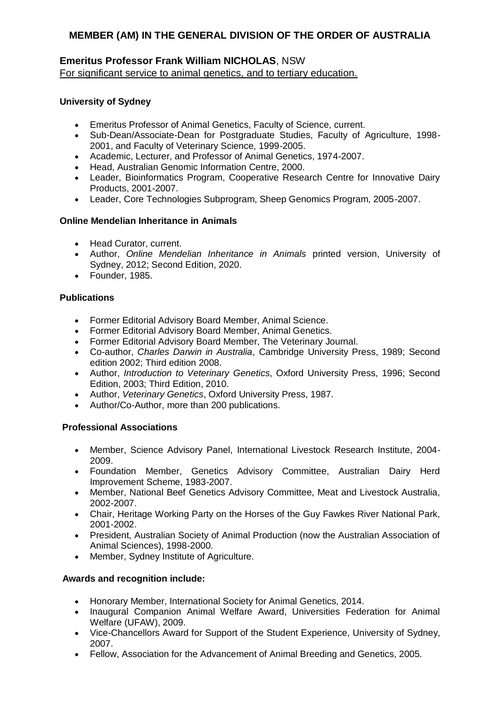## **Emeritus Professor Frank William NICHOLAS**, NSW For significant service to animal genetics, and to tertiary education.

## **University of Sydney**

- Emeritus Professor of Animal Genetics, Faculty of Science, current.
- Sub-Dean/Associate-Dean for Postgraduate Studies, Faculty of Agriculture, 1998- 2001, and Faculty of Veterinary Science, 1999-2005.
- Academic, Lecturer, and Professor of Animal Genetics, 1974-2007.
- Head, Australian Genomic Information Centre, 2000.
- Leader, Bioinformatics Program, Cooperative Research Centre for Innovative Dairy Products, 2001-2007.
- Leader, Core Technologies Subprogram, Sheep Genomics Program, 2005-2007.

## **Online Mendelian Inheritance in Animals**

- Head Curator, current.
- Author, *Online Mendelian Inheritance in Animals* printed version, University of Sydney, 2012; Second Edition, 2020.
- Founder, 1985.

# **Publications**

- Former Editorial Advisory Board Member, Animal Science.
- Former Editorial Advisory Board Member, Animal Genetics.
- Former Editorial Advisory Board Member, The Veterinary Journal.
- Co-author, *Charles Darwin in Australia*, Cambridge University Press, 1989; Second edition 2002; Third edition 2008.
- Author, *Introduction to Veterinary Genetics*, Oxford University Press, 1996; Second Edition, 2003; Third Edition, 2010.
- Author, *Veterinary Genetics*, Oxford University Press, 1987.
- Author/Co-Author, more than 200 publications.

# **Professional Associations**

- Member, Science Advisory Panel, International Livestock Research Institute, 2004- 2009.
- Foundation Member, Genetics Advisory Committee, Australian Dairy Herd Improvement Scheme, 1983-2007.
- Member, National Beef Genetics Advisory Committee, Meat and Livestock Australia, 2002-2007.
- Chair, Heritage Working Party on the Horses of the Guy Fawkes River National Park, 2001-2002.
- President, Australian Society of Animal Production (now the Australian Association of Animal Sciences), 1998-2000.
- Member, Sydney Institute of Agriculture.

- Honorary Member, International Society for Animal Genetics, 2014.
- Inaugural Companion Animal Welfare Award, Universities Federation for Animal Welfare (UFAW), 2009.
- Vice-Chancellors Award for Support of the Student Experience, University of Sydney, 2007.
- Fellow, Association for the Advancement of Animal Breeding and Genetics, 2005.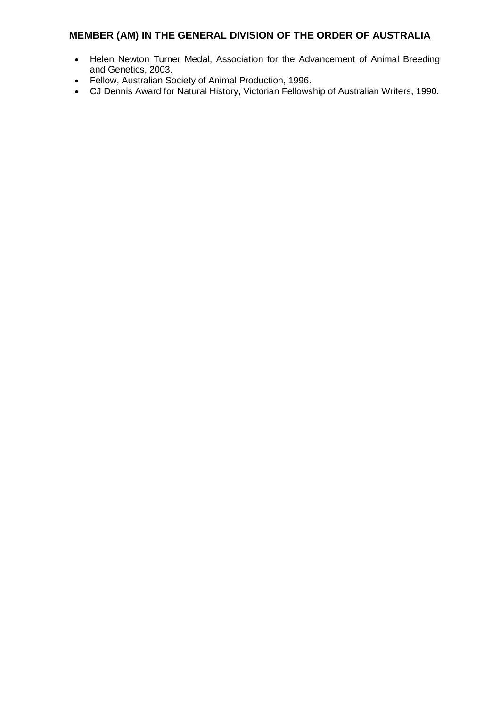- Helen Newton Turner Medal, Association for the Advancement of Animal Breeding and Genetics, 2003.
- Fellow, Australian Society of Animal Production, 1996.
- CJ Dennis Award for Natural History, Victorian Fellowship of Australian Writers, 1990.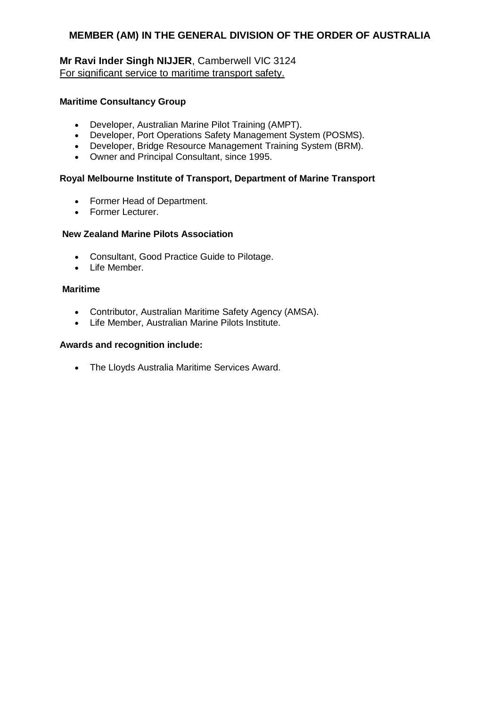## **Mr Ravi Inder Singh NIJJER**, Camberwell VIC 3124 For significant service to maritime transport safety.

### **Maritime Consultancy Group**

- Developer, Australian Marine Pilot Training (AMPT).
- Developer, Port Operations Safety Management System (POSMS).
- Developer, Bridge Resource Management Training System (BRM).
- Owner and Principal Consultant, since 1995.

### **Royal Melbourne Institute of Transport, Department of Marine Transport**

- Former Head of Department.
- Former Lecturer.

## **New Zealand Marine Pilots Association**

- Consultant, Good Practice Guide to Pilotage.
- Life Member.

### **Maritime**

- Contributor, Australian Maritime Safety Agency (AMSA).
- Life Member, Australian Marine Pilots Institute.

### **Awards and recognition include:**

The Lloyds Australia Maritime Services Award.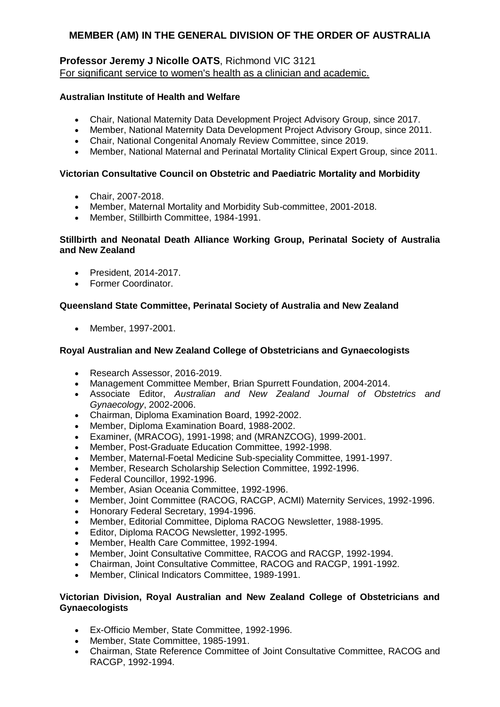# **Professor Jeremy J Nicolle OATS**, Richmond VIC 3121 For significant service to women's health as a clinician and academic.

## **Australian Institute of Health and Welfare**

- Chair, National Maternity Data Development Project Advisory Group, since 2017.
- Member, National Maternity Data Development Project Advisory Group, since 2011.
- Chair, National Congenital Anomaly Review Committee, since 2019.
- Member, National Maternal and Perinatal Mortality Clinical Expert Group, since 2011.

## **Victorian Consultative Council on Obstetric and Paediatric Mortality and Morbidity**

- Chair, 2007-2018.
- Member, Maternal Mortality and Morbidity Sub-committee, 2001-2018.
- Member, Stillbirth Committee, 1984-1991.

### **Stillbirth and Neonatal Death Alliance Working Group, Perinatal Society of Australia and New Zealand**

- President, 2014-2017.
- Former Coordinator.

## **Queensland State Committee, Perinatal Society of Australia and New Zealand**

• Member, 1997-2001.

## **Royal Australian and New Zealand College of Obstetricians and Gynaecologists**

- Research Assessor, 2016-2019.
- Management Committee Member, Brian Spurrett Foundation, 2004-2014.
- Associate Editor, *Australian and New Zealand Journal of Obstetrics and Gynaecology*, 2002-2006.
- Chairman, Diploma Examination Board, 1992-2002.
- Member, Diploma Examination Board, 1988-2002.
- Examiner, (MRACOG), 1991-1998; and (MRANZCOG), 1999-2001.
- Member, Post-Graduate Education Committee, 1992-1998.
- Member, Maternal-Foetal Medicine Sub-speciality Committee, 1991-1997.
- Member, Research Scholarship Selection Committee, 1992-1996.
- Federal Councillor, 1992-1996.
- Member, Asian Oceania Committee, 1992-1996.
- Member, Joint Committee (RACOG, RACGP, ACMI) Maternity Services, 1992-1996.
- Honorary Federal Secretary, 1994-1996.
- Member, Editorial Committee, Diploma RACOG Newsletter, 1988-1995.
- Editor, Diploma RACOG Newsletter, 1992-1995.
- Member, Health Care Committee, 1992-1994.
- Member, Joint Consultative Committee, RACOG and RACGP, 1992-1994.
- Chairman, Joint Consultative Committee, RACOG and RACGP, 1991-1992.
- Member, Clinical Indicators Committee, 1989-1991.

### **Victorian Division, Royal Australian and New Zealand College of Obstetricians and Gynaecologists**

- Ex-Officio Member, State Committee, 1992-1996.
- Member, State Committee, 1985-1991.
- Chairman, State Reference Committee of Joint Consultative Committee, RACOG and RACGP, 1992-1994.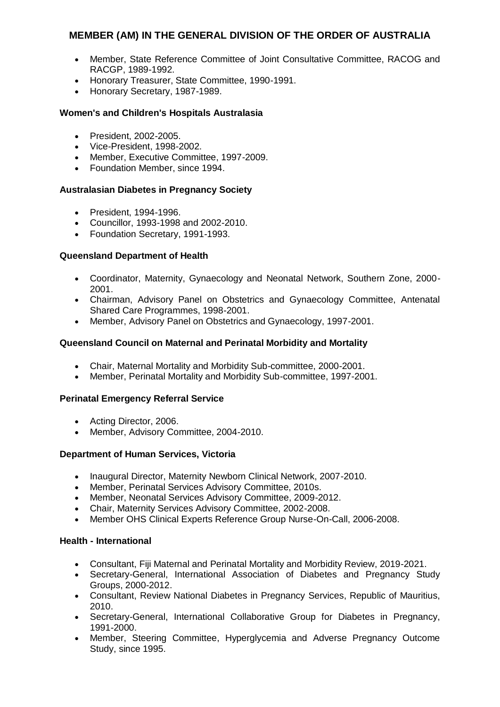- Member, State Reference Committee of Joint Consultative Committee, RACOG and RACGP, 1989-1992.
- Honorary Treasurer, State Committee, 1990-1991.
- Honorary Secretary, 1987-1989.

### **Women's and Children's Hospitals Australasia**

- President, 2002-2005.
- Vice-President, 1998-2002.
- Member, Executive Committee, 1997-2009.
- Foundation Member, since 1994.

### **Australasian Diabetes in Pregnancy Society**

- President, 1994-1996.
- Councillor, 1993-1998 and 2002-2010.
- Foundation Secretary, 1991-1993.

## **Queensland Department of Health**

- Coordinator, Maternity, Gynaecology and Neonatal Network, Southern Zone, 2000- 2001.
- Chairman, Advisory Panel on Obstetrics and Gynaecology Committee, Antenatal Shared Care Programmes, 1998-2001.
- Member, Advisory Panel on Obstetrics and Gynaecology, 1997-2001.

### **Queensland Council on Maternal and Perinatal Morbidity and Mortality**

- Chair, Maternal Mortality and Morbidity Sub-committee, 2000-2001.
- Member, Perinatal Mortality and Morbidity Sub-committee, 1997-2001.

### **Perinatal Emergency Referral Service**

- Acting Director, 2006.
- Member, Advisory Committee, 2004-2010.

### **Department of Human Services, Victoria**

- Inaugural Director, Maternity Newborn Clinical Network, 2007-2010.
- Member, Perinatal Services Advisory Committee, 2010s.
- Member, Neonatal Services Advisory Committee, 2009-2012.
- Chair, Maternity Services Advisory Committee, 2002-2008.
- Member OHS Clinical Experts Reference Group Nurse-On-Call, 2006-2008.

### **Health - International**

- Consultant, Fiji Maternal and Perinatal Mortality and Morbidity Review, 2019-2021.
- Secretary-General, International Association of Diabetes and Pregnancy Study Groups, 2000-2012.
- Consultant, Review National Diabetes in Pregnancy Services, Republic of Mauritius, 2010.
- Secretary-General, International Collaborative Group for Diabetes in Pregnancy, 1991-2000.
- Member, Steering Committee, Hyperglycemia and Adverse Pregnancy Outcome Study, since 1995.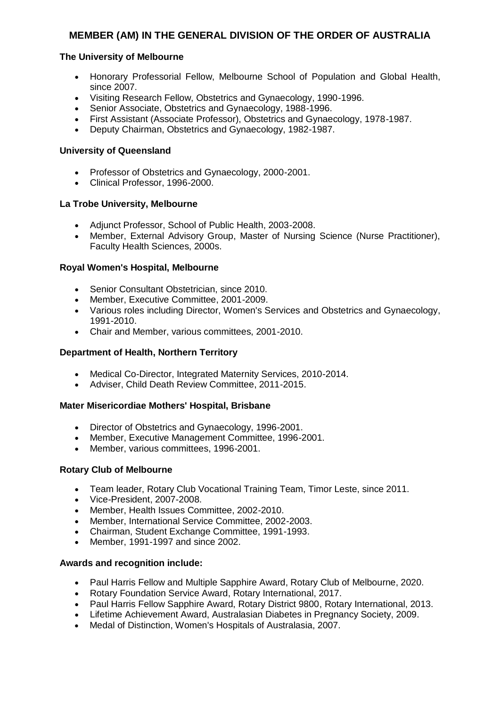### **The University of Melbourne**

- Honorary Professorial Fellow, Melbourne School of Population and Global Health, since 2007.
- Visiting Research Fellow, Obstetrics and Gynaecology, 1990-1996.
- Senior Associate, Obstetrics and Gynaecology, 1988-1996.
- First Assistant (Associate Professor), Obstetrics and Gynaecology, 1978-1987.
- Deputy Chairman, Obstetrics and Gynaecology, 1982-1987.

#### **University of Queensland**

- Professor of Obstetrics and Gynaecology, 2000-2001.
- Clinical Professor, 1996-2000.

#### **La Trobe University, Melbourne**

- Adjunct Professor, School of Public Health, 2003-2008.
- Member, External Advisory Group, Master of Nursing Science (Nurse Practitioner), Faculty Health Sciences, 2000s.

#### **Royal Women's Hospital, Melbourne**

- Senior Consultant Obstetrician, since 2010.
- Member, Executive Committee, 2001-2009.
- Various roles including Director, Women's Services and Obstetrics and Gynaecology, 1991-2010.
- Chair and Member, various committees, 2001-2010.

#### **Department of Health, Northern Territory**

- Medical Co-Director, Integrated Maternity Services, 2010-2014.
- Adviser, Child Death Review Committee, 2011-2015.

#### **Mater Misericordiae Mothers' Hospital, Brisbane**

- Director of Obstetrics and Gynaecology, 1996-2001.
- Member, Executive Management Committee, 1996-2001.
- Member, various committees, 1996-2001.

#### **Rotary Club of Melbourne**

- Team leader, Rotary Club Vocational Training Team, Timor Leste, since 2011.
- Vice-President, 2007-2008.
- Member, Health Issues Committee, 2002-2010.
- Member, International Service Committee, 2002-2003.
- Chairman, Student Exchange Committee, 1991-1993.
- Member, 1991-1997 and since 2002.

- Paul Harris Fellow and Multiple Sapphire Award, Rotary Club of Melbourne, 2020.
- Rotary Foundation Service Award, Rotary International, 2017.
- Paul Harris Fellow Sapphire Award, Rotary District 9800, Rotary International, 2013.
- Lifetime Achievement Award, Australasian Diabetes in Pregnancy Society, 2009.
- Medal of Distinction, Women's Hospitals of Australasia, 2007.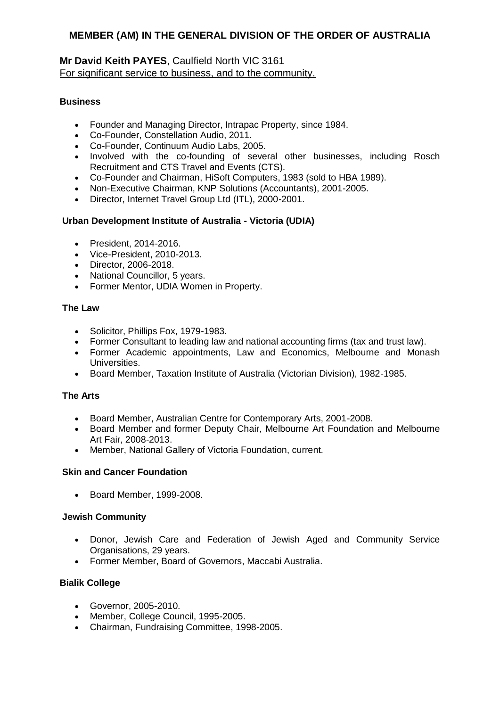## **Mr David Keith PAYES**, Caulfield North VIC 3161 For significant service to business, and to the community.

### **Business**

- Founder and Managing Director, Intrapac Property, since 1984.
- Co-Founder, Constellation Audio, 2011.
- Co-Founder, Continuum Audio Labs, 2005.
- Involved with the co-founding of several other businesses, including Rosch Recruitment and CTS Travel and Events (CTS).
- Co-Founder and Chairman, HiSoft Computers, 1983 (sold to HBA 1989).
- Non-Executive Chairman, KNP Solutions (Accountants), 2001-2005.
- Director, Internet Travel Group Ltd (ITL), 2000-2001.

## **Urban Development Institute of Australia - Victoria (UDIA)**

- President, 2014-2016.
- Vice-President, 2010-2013.
- Director, 2006-2018.
- National Councillor, 5 years.
- Former Mentor, UDIA Women in Property.

### **The Law**

- Solicitor, Phillips Fox, 1979-1983.
- Former Consultant to leading law and national accounting firms (tax and trust law).
- Former Academic appointments, Law and Economics, Melbourne and Monash Universities.
- Board Member, Taxation Institute of Australia (Victorian Division), 1982-1985.

### **The Arts**

- Board Member, Australian Centre for Contemporary Arts, 2001-2008.
- Board Member and former Deputy Chair, Melbourne Art Foundation and Melbourne Art Fair, 2008-2013.
- Member, National Gallery of Victoria Foundation, current.

### **Skin and Cancer Foundation**

• Board Member, 1999-2008.

### **Jewish Community**

- Donor, Jewish Care and Federation of Jewish Aged and Community Service Organisations, 29 years.
- Former Member, Board of Governors, Maccabi Australia.

## **Bialik College**

- Governor, 2005-2010.
- Member, College Council, 1995-2005.
- Chairman, Fundraising Committee, 1998-2005.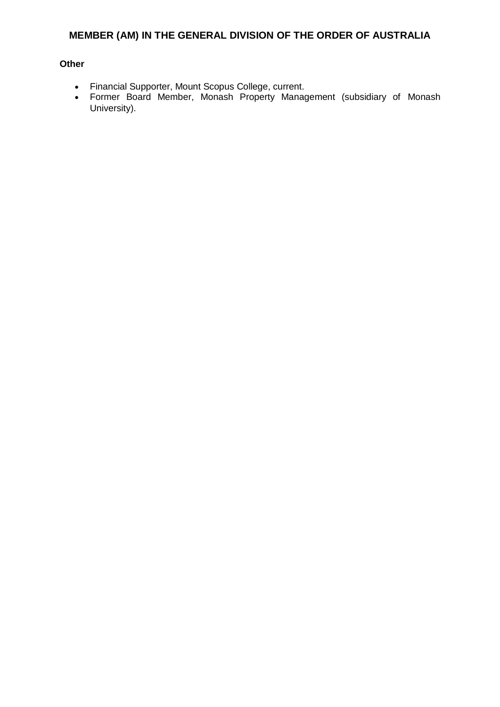#### **Other**

- Financial Supporter, Mount Scopus College, current.
- Former Board Member, Monash Property Management (subsidiary of Monash University).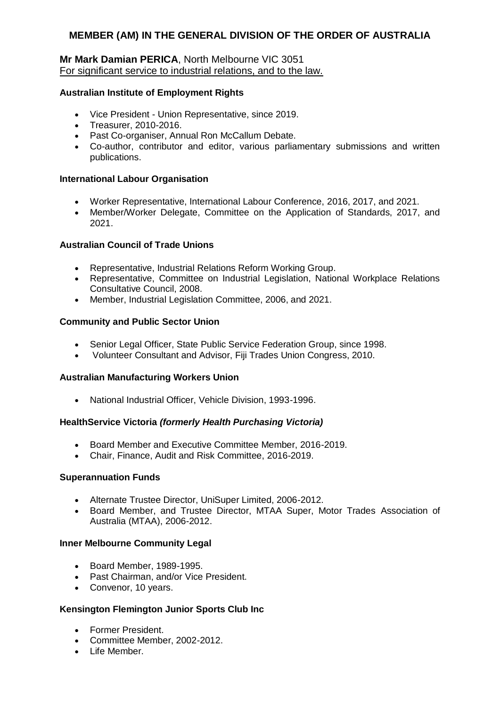## **Mr Mark Damian PERICA**, North Melbourne VIC 3051 For significant service to industrial relations, and to the law.

### **Australian Institute of Employment Rights**

- Vice President Union Representative, since 2019.
- Treasurer, 2010-2016.
- Past Co-organiser, Annual Ron McCallum Debate.
- Co-author, contributor and editor, various parliamentary submissions and written publications.

### **International Labour Organisation**

- Worker Representative, International Labour Conference, 2016, 2017, and 2021.
- Member/Worker Delegate, Committee on the Application of Standards, 2017, and 2021.

#### **Australian Council of Trade Unions**

- Representative, Industrial Relations Reform Working Group.
- Representative, Committee on Industrial Legislation, National Workplace Relations Consultative Council, 2008.
- Member, Industrial Legislation Committee, 2006, and 2021.

#### **Community and Public Sector Union**

- Senior Legal Officer, State Public Service Federation Group, since 1998.
- Volunteer Consultant and Advisor, Fiji Trades Union Congress, 2010.

#### **Australian Manufacturing Workers Union**

National Industrial Officer, Vehicle Division, 1993-1996.

### **HealthService Victoria** *(formerly Health Purchasing Victoria)*

- Board Member and Executive Committee Member, 2016-2019.
- Chair, Finance, Audit and Risk Committee, 2016-2019.

### **Superannuation Funds**

- Alternate Trustee Director, UniSuper Limited, 2006-2012.
- Board Member, and Trustee Director, MTAA Super, Motor Trades Association of Australia (MTAA), 2006-2012.

### **Inner Melbourne Community Legal**

- Board Member, 1989-1995.
- Past Chairman, and/or Vice President.
- Convenor, 10 years.

### **Kensington Flemington Junior Sports Club Inc**

- Former President.
- Committee Member, 2002-2012.
- Life Member.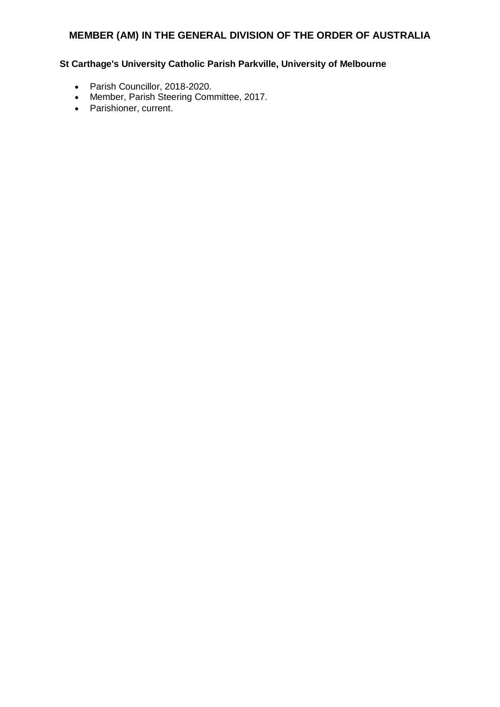## **St Carthage's University Catholic Parish Parkville, University of Melbourne**

- Parish Councillor, 2018-2020.
- Member, Parish Steering Committee, 2017.
- Parishioner, current.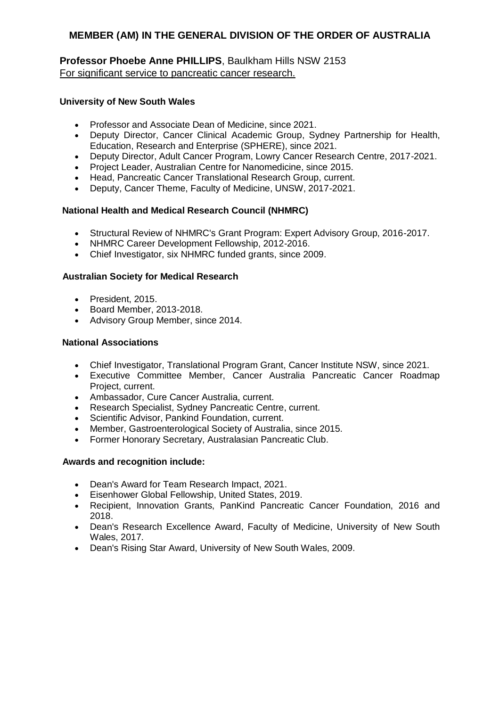## **Professor Phoebe Anne PHILLIPS**, Baulkham Hills NSW 2153 For significant service to pancreatic cancer research.

## **University of New South Wales**

- Professor and Associate Dean of Medicine, since 2021.
- Deputy Director, Cancer Clinical Academic Group, Sydney Partnership for Health, Education, Research and Enterprise (SPHERE), since 2021.
- Deputy Director, Adult Cancer Program, Lowry Cancer Research Centre, 2017-2021.
- Project Leader, Australian Centre for Nanomedicine, since 2015.
- Head, Pancreatic Cancer Translational Research Group, current.
- Deputy, Cancer Theme, Faculty of Medicine, UNSW, 2017-2021.

## **National Health and Medical Research Council (NHMRC)**

- Structural Review of NHMRC's Grant Program: Expert Advisory Group, 2016-2017.
- NHMRC Career Development Fellowship, 2012-2016.
- Chief Investigator, six NHMRC funded grants, since 2009.

## **Australian Society for Medical Research**

- President, 2015.
- Board Member, 2013-2018.
- Advisory Group Member, since 2014.

## **National Associations**

- Chief Investigator, Translational Program Grant, Cancer Institute NSW, since 2021.
- Executive Committee Member, Cancer Australia Pancreatic Cancer Roadmap Project, current.
- Ambassador, Cure Cancer Australia, current.
- Research Specialist, Sydney Pancreatic Centre, current.
- Scientific Advisor, Pankind Foundation, current.
- Member, Gastroenterological Society of Australia, since 2015.
- Former Honorary Secretary, Australasian Pancreatic Club.

- Dean's Award for Team Research Impact, 2021.
- Eisenhower Global Fellowship, United States, 2019.
- Recipient, Innovation Grants, PanKind Pancreatic Cancer Foundation, 2016 and 2018.
- Dean's Research Excellence Award, Faculty of Medicine, University of New South Wales, 2017.
- Dean's Rising Star Award, University of New South Wales, 2009.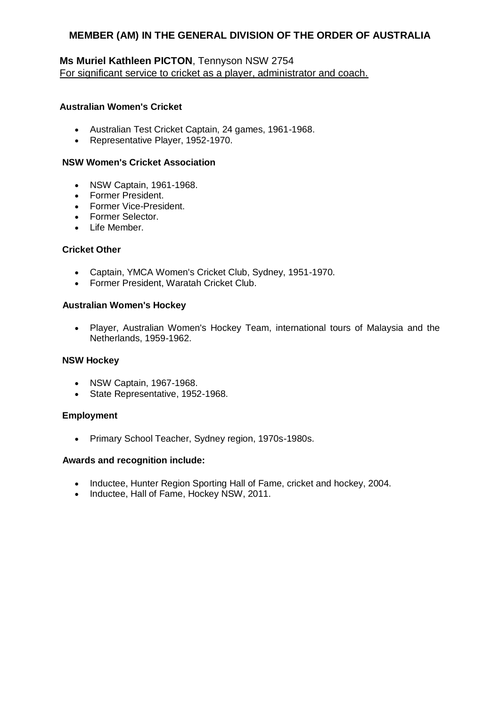# **Ms Muriel Kathleen PICTON**, Tennyson NSW 2754 For significant service to cricket as a player, administrator and coach.

### **Australian Women's Cricket**

- Australian Test Cricket Captain, 24 games, 1961-1968.
- Representative Player, 1952-1970.

#### **NSW Women's Cricket Association**

- NSW Captain, 1961-1968.
- Former President.
- Former Vice-President.
- Former Selector.
- Life Member.

#### **Cricket Other**

- Captain, YMCA Women's Cricket Club, Sydney, 1951-1970.
- Former President, Waratah Cricket Club.

#### **Australian Women's Hockey**

 Player, Australian Women's Hockey Team, international tours of Malaysia and the Netherlands, 1959-1962.

#### **NSW Hockey**

- NSW Captain, 1967-1968.
- State Representative, 1952-1968.

#### **Employment**

Primary School Teacher, Sydney region, 1970s-1980s.

- Inductee, Hunter Region Sporting Hall of Fame, cricket and hockey, 2004.
- Inductee, Hall of Fame, Hockey NSW, 2011.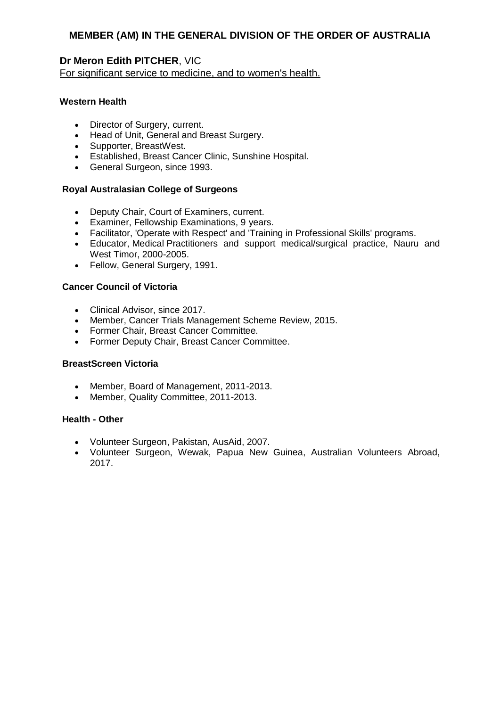## **Dr Meron Edith PITCHER**, VIC

For significant service to medicine, and to women's health.

## **Western Health**

- Director of Surgery, current.
- Head of Unit, General and Breast Surgery.
- Supporter, BreastWest.
- Established, Breast Cancer Clinic, Sunshine Hospital.
- General Surgeon, since 1993.

## **Royal Australasian College of Surgeons**

- Deputy Chair, Court of Examiners, current.
- Examiner, Fellowship Examinations, 9 years.
- Facilitator, 'Operate with Respect' and 'Training in Professional Skills' programs.
- Educator, Medical Practitioners and support medical/surgical practice, Nauru and West Timor, 2000-2005.
- Fellow, General Surgery, 1991.

## **Cancer Council of Victoria**

- Clinical Advisor, since 2017.
- Member, Cancer Trials Management Scheme Review, 2015.
- Former Chair, Breast Cancer Committee.
- Former Deputy Chair, Breast Cancer Committee.

### **BreastScreen Victoria**

- Member, Board of Management, 2011-2013.
- Member, Quality Committee, 2011-2013.

## **Health - Other**

- Volunteer Surgeon, Pakistan, AusAid, 2007.
- Volunteer Surgeon, Wewak, Papua New Guinea, Australian Volunteers Abroad, 2017.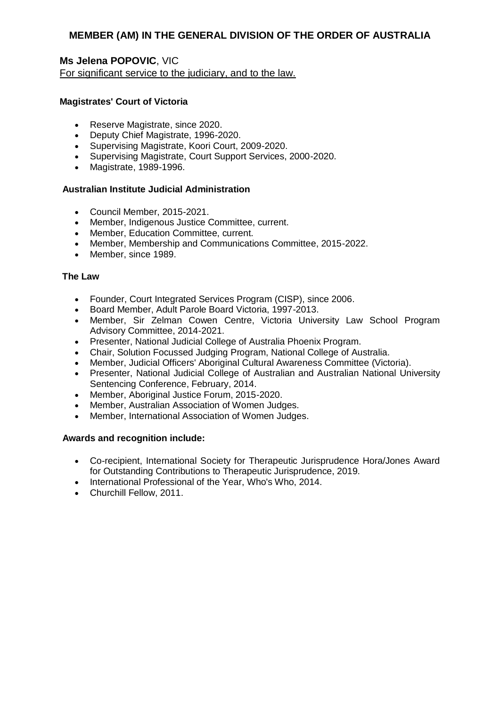**Ms Jelena POPOVIC**, VIC For significant service to the judiciary, and to the law.

### **Magistrates' Court of Victoria**

- Reserve Magistrate, since 2020.
- Deputy Chief Magistrate, 1996-2020.
- Supervising Magistrate, Koori Court, 2009-2020.
- Supervising Magistrate, Court Support Services, 2000-2020.
- Magistrate, 1989-1996.

### **Australian Institute Judicial Administration**

- Council Member, 2015-2021.
- Member, Indigenous Justice Committee, current.
- Member, Education Committee, current.
- Member, Membership and Communications Committee, 2015-2022.
- Member, since 1989.

## **The Law**

- Founder, Court Integrated Services Program (CISP), since 2006.
- Board Member, Adult Parole Board Victoria, 1997-2013.
- Member, Sir Zelman Cowen Centre, Victoria University Law School Program Advisory Committee, 2014-2021.
- Presenter, National Judicial College of Australia Phoenix Program.
- Chair, Solution Focussed Judging Program, National College of Australia.
- Member, Judicial Officers' Aboriginal Cultural Awareness Committee (Victoria).
- Presenter, National Judicial College of Australian and Australian National University Sentencing Conference, February, 2014.
- Member, Aboriginal Justice Forum, 2015-2020.
- Member, Australian Association of Women Judges.
- Member, International Association of Women Judges.

- Co-recipient, International Society for Therapeutic Jurisprudence Hora/Jones Award for Outstanding Contributions to Therapeutic Jurisprudence, 2019.
- International Professional of the Year, Who's Who, 2014.
- Churchill Fellow, 2011.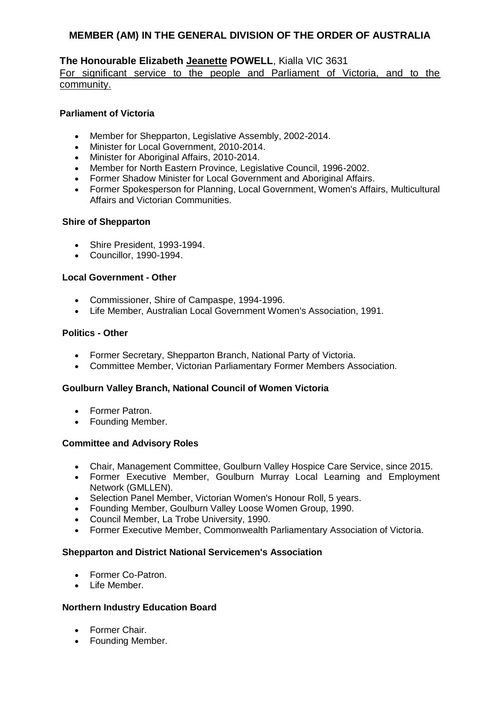## **The Honourable Elizabeth Jeanette POWELL**, Kialla VIC 3631

For significant service to the people and Parliament of Victoria, and to the community.

### **Parliament of Victoria**

- Member for Shepparton, Legislative Assembly, 2002-2014.
- Minister for Local Government, 2010-2014.
- Minister for Aboriginal Affairs, 2010-2014.
- Member for North Eastern Province, Legislative Council, 1996-2002.
- Former Shadow Minister for Local Government and Aboriginal Affairs.
- Former Spokesperson for Planning, Local Government, Women's Affairs, Multicultural Affairs and Victorian Communities.

#### **Shire of Shepparton**

- Shire President, 1993-1994.
- Councillor, 1990-1994.

#### **Local Government - Other**

- Commissioner, Shire of Campaspe, 1994-1996.
- Life Member, Australian Local Government Women's Association, 1991.

#### **Politics - Other**

- Former Secretary, Shepparton Branch, National Party of Victoria.
- Committee Member, Victorian Parliamentary Former Members Association.

### **Goulburn Valley Branch, National Council of Women Victoria**

- Former Patron.
- Founding Member.

### **Committee and Advisory Roles**

- Chair, Management Committee, Goulburn Valley Hospice Care Service, since 2015.
- Former Executive Member, Goulburn Murray Local Learning and Employment Network (GMLLEN).
- Selection Panel Member, Victorian Women's Honour Roll, 5 years.
- Founding Member, Goulburn Valley Loose Women Group, 1990.
- Council Member, La Trobe University, 1990.
- Former Executive Member, Commonwealth Parliamentary Association of Victoria.

#### **Shepparton and District National Servicemen's Association**

- Former Co-Patron.
- $\bullet$  Life Member

#### **Northern Industry Education Board**

- Former Chair.
- Founding Member.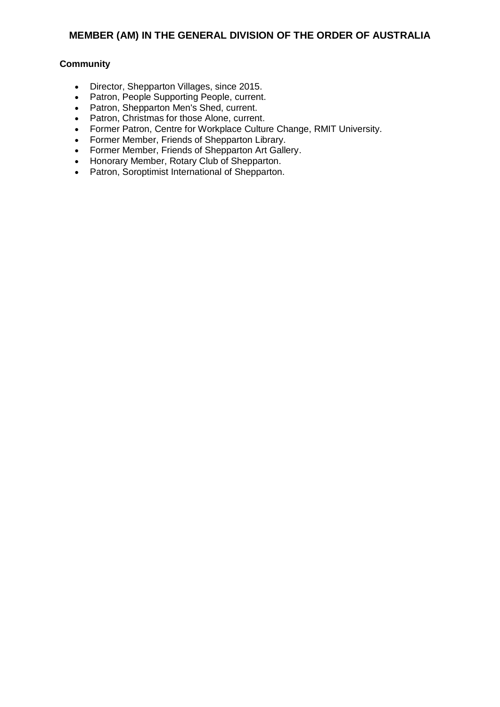#### **Community**

- Director, Shepparton Villages, since 2015.
- Patron, People Supporting People, current.
- Patron, Shepparton Men's Shed, current.
- Patron, Christmas for those Alone, current.
- Former Patron, Centre for Workplace Culture Change, RMIT University.
- Former Member, Friends of Shepparton Library.
- Former Member, Friends of Shepparton Art Gallery.
- Honorary Member, Rotary Club of Shepparton.
- Patron, Soroptimist International of Shepparton.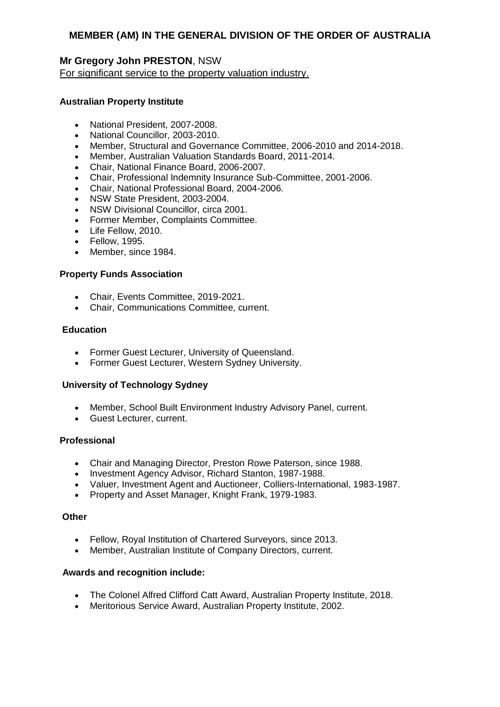## **Mr Gregory John PRESTON**, NSW For significant service to the property valuation industry.

#### **Australian Property Institute**

- National President, 2007-2008.
- National Councillor, 2003-2010.
- Member, Structural and Governance Committee, 2006-2010 and 2014-2018.
- Member, Australian Valuation Standards Board, 2011-2014.
- Chair, National Finance Board, 2006-2007.
- Chair, Professional Indemnity Insurance Sub-Committee, 2001-2006.
- Chair, National Professional Board, 2004-2006.
- NSW State President, 2003-2004.
- NSW Divisional Councillor, circa 2001.
- Former Member, Complaints Committee.
- Life Fellow, 2010.
- Fellow, 1995.
- Member, since 1984.

#### **Property Funds Association**

- Chair, Events Committee, 2019-2021.
- Chair, Communications Committee, current.

### **Education**

- Former Guest Lecturer, University of Queensland.
- Former Guest Lecturer, Western Sydney University.

#### **University of Technology Sydney**

- Member, School Built Environment Industry Advisory Panel, current.
- Guest Lecturer, current.

#### **Professional**

- Chair and Managing Director, Preston Rowe Paterson, since 1988.
- Investment Agency Advisor, Richard Stanton, 1987-1988.
- Valuer, Investment Agent and Auctioneer, Colliers-International, 1983-1987.
- Property and Asset Manager, Knight Frank, 1979-1983.

#### **Other**

- Fellow, Royal Institution of Chartered Surveyors, since 2013.
- Member, Australian Institute of Company Directors, current.

- The Colonel Alfred Clifford Catt Award, Australian Property Institute, 2018.
- Meritorious Service Award, Australian Property Institute, 2002.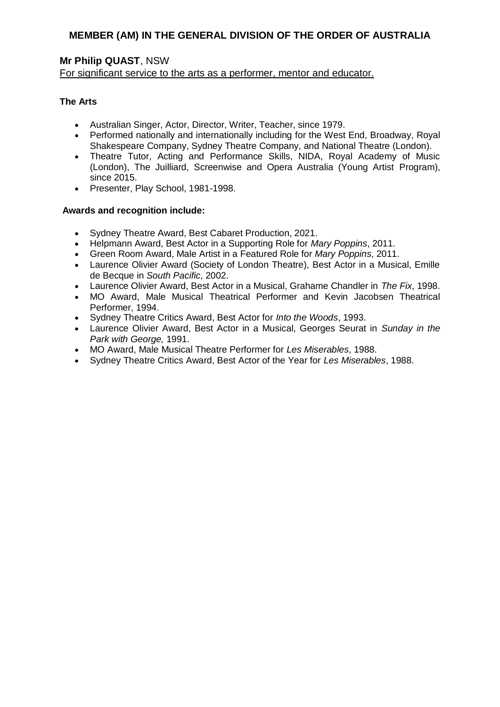# **Mr Philip QUAST**, NSW

For significant service to the arts as a performer, mentor and educator.

## **The Arts**

- Australian Singer, Actor, Director, Writer, Teacher, since 1979.
- Performed nationally and internationally including for the West End, Broadway, Royal Shakespeare Company, Sydney Theatre Company, and National Theatre (London).
- Theatre Tutor, Acting and Performance Skills, NIDA, Royal Academy of Music (London), The Juilliard, Screenwise and Opera Australia (Young Artist Program), since 2015.
- Presenter, Play School, 1981-1998.

- Sydney Theatre Award, Best Cabaret Production, 2021.
- Helpmann Award, Best Actor in a Supporting Role for *Mary Poppins*, 2011.
- Green Room Award, Male Artist in a Featured Role for *Mary Poppins*, 2011.
- Laurence Olivier Award (Society of London Theatre), Best Actor in a Musical, Emille de Becque in *South Pacific*, 2002.
- Laurence Olivier Award, Best Actor in a Musical, Grahame Chandler in *The Fix*, 1998.
- MO Award, Male Musical Theatrical Performer and Kevin Jacobsen Theatrical Performer, 1994.
- Sydney Theatre Critics Award, Best Actor for *Into the Woods*, 1993.
- Laurence Olivier Award, Best Actor in a Musical, Georges Seurat in *Sunday in the Park with George,* 1991.
- MO Award, Male Musical Theatre Performer for *Les Miserables*, 1988.
- Sydney Theatre Critics Award, Best Actor of the Year for *Les Miserables*, 1988.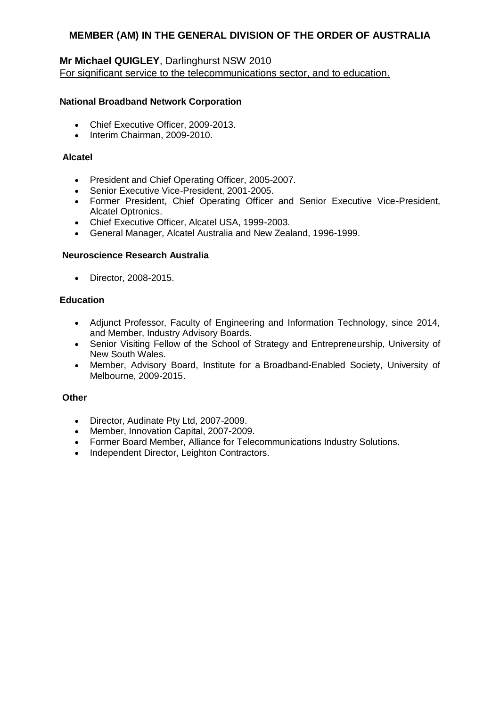# **Mr Michael QUIGLEY**, Darlinghurst NSW 2010 For significant service to the telecommunications sector, and to education.

### **National Broadband Network Corporation**

- Chief Executive Officer, 2009-2013.
- Interim Chairman, 2009-2010.

### **Alcatel**

- President and Chief Operating Officer, 2005-2007.
- Senior Executive Vice-President, 2001-2005.
- Former President, Chief Operating Officer and Senior Executive Vice-President, Alcatel Optronics.
- Chief Executive Officer, Alcatel USA, 1999-2003.
- General Manager, Alcatel Australia and New Zealand, 1996-1999.

## **Neuroscience Research Australia**

• Director, 2008-2015.

## **Education**

- Adjunct Professor, Faculty of Engineering and Information Technology, since 2014, and Member, Industry Advisory Boards.
- Senior Visiting Fellow of the School of Strategy and Entrepreneurship, University of New South Wales.
- Member, Advisory Board, Institute for a Broadband-Enabled Society, University of Melbourne, 2009-2015.

### **Other**

- Director, Audinate Pty Ltd, 2007-2009.
- Member, Innovation Capital, 2007-2009.
- Former Board Member, Alliance for Telecommunications Industry Solutions.
- Independent Director, Leighton Contractors.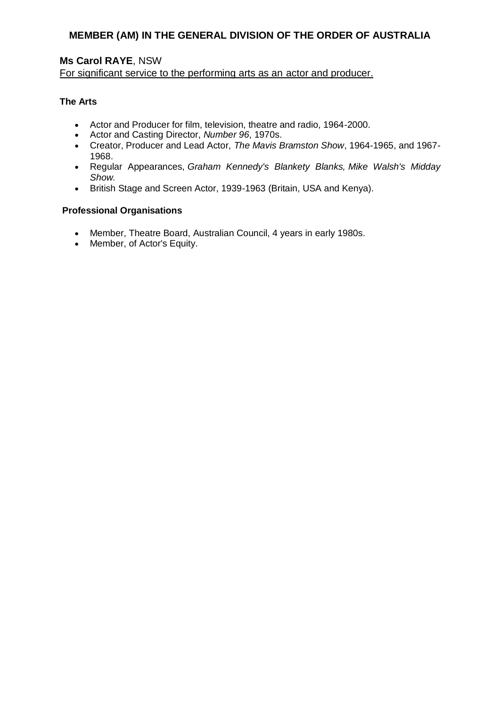# **Ms Carol RAYE**, NSW

For significant service to the performing arts as an actor and producer.

### **The Arts**

- Actor and Producer for film, television, theatre and radio, 1964-2000.
- Actor and Casting Director, *Number 96*, 1970s.
- Creator, Producer and Lead Actor, *The Mavis Bramston Show*, 1964-1965, and 1967- 1968.
- Regular Appearances, *Graham Kennedy's Blankety Blanks, Mike Walsh's Midday Show.*
- British Stage and Screen Actor, 1939-1963 (Britain, USA and Kenya).

## **Professional Organisations**

- Member, Theatre Board, Australian Council, 4 years in early 1980s.
- Member, of Actor's Equity.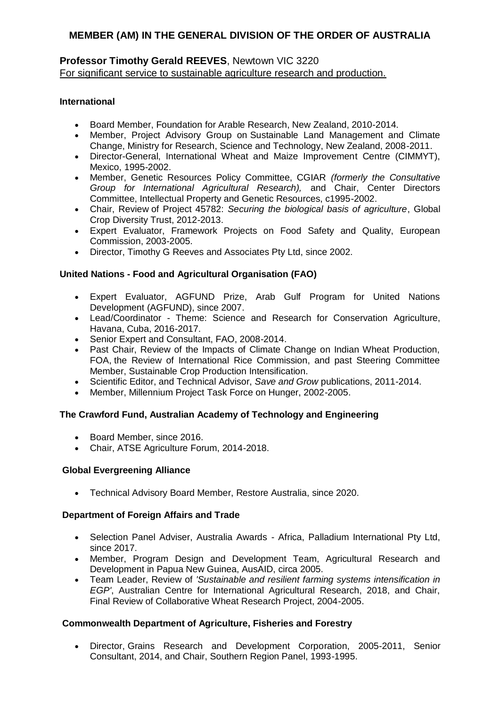## **Professor Timothy Gerald REEVES**, Newtown VIC 3220 For significant service to sustainable agriculture research and production.

## **International**

- Board Member, Foundation for Arable Research, New Zealand, 2010-2014.
- Member, Project Advisory Group on Sustainable Land Management and Climate Change, Ministry for Research, Science and Technology, New Zealand, 2008-2011.
- Director-General, International Wheat and Maize Improvement Centre (CIMMYT), Mexico, 1995-2002.
- Member, Genetic Resources Policy Committee, CGIAR *(formerly the Consultative Group for International Agricultural Research),* and Chair, Center Directors Committee, Intellectual Property and Genetic Resources, c1995-2002.
- Chair, Review of Project 45782: *Securing the biological basis of agriculture*, Global Crop Diversity Trust, 2012-2013.
- Expert Evaluator, Framework Projects on Food Safety and Quality, European Commission, 2003-2005.
- Director, Timothy G Reeves and Associates Pty Ltd, since 2002.

## **United Nations - Food and Agricultural Organisation (FAO)**

- Expert Evaluator, AGFUND Prize, Arab Gulf Program for United Nations Development (AGFUND), since 2007.
- Lead/Coordinator Theme: Science and Research for Conservation Agriculture, Havana, Cuba, 2016-2017.
- Senior Expert and Consultant, FAO, 2008-2014.
- Past Chair, Review of the Impacts of Climate Change on Indian Wheat Production, FOA, the Review of International Rice Commission, and past Steering Committee Member, Sustainable Crop Production Intensification.
- Scientific Editor, and Technical Advisor, *Save and Grow* publications, 2011-2014.
- Member, Millennium Project Task Force on Hunger, 2002-2005.

### **The Crawford Fund, Australian Academy of Technology and Engineering**

- Board Member, since 2016.
- Chair, ATSE Agriculture Forum, 2014-2018.

### **Global Evergreening Alliance**

Technical Advisory Board Member, Restore Australia, since 2020.

### **Department of Foreign Affairs and Trade**

- Selection Panel Adviser, Australia Awards Africa, Palladium International Pty Ltd, since 2017.
- Member, Program Design and Development Team, Agricultural Research and Development in Papua New Guinea, AusAID, circa 2005.
- Team Leader, Review of *'Sustainable and resilient farming systems intensification in EGP'*, Australian Centre for International Agricultural Research, 2018, and Chair, Final Review of Collaborative Wheat Research Project, 2004-2005.

### **Commonwealth Department of Agriculture, Fisheries and Forestry**

 Director, Grains Research and Development Corporation, 2005-2011, Senior Consultant, 2014, and Chair, Southern Region Panel, 1993-1995.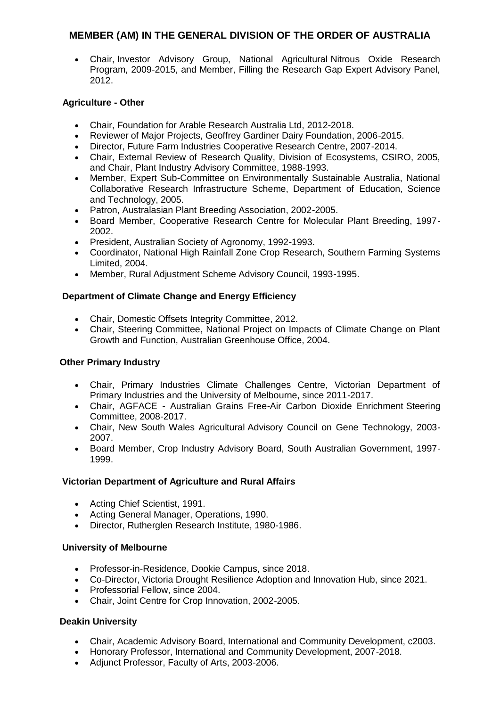Chair, Investor Advisory Group, National Agricultural Nitrous Oxide Research Program, 2009-2015, and Member, Filling the Research Gap Expert Advisory Panel, 2012.

## **Agriculture - Other**

- Chair, Foundation for Arable Research Australia Ltd, 2012-2018.
- Reviewer of Major Projects, Geoffrey Gardiner Dairy Foundation, 2006-2015.
- Director, Future Farm Industries Cooperative Research Centre, 2007-2014.
- Chair, External Review of Research Quality, Division of Ecosystems, CSIRO, 2005, and Chair, Plant Industry Advisory Committee, 1988-1993.
- Member, Expert Sub-Committee on Environmentally Sustainable Australia, National Collaborative Research Infrastructure Scheme, Department of Education, Science and Technology, 2005.
- Patron, Australasian Plant Breeding Association, 2002-2005.
- Board Member, Cooperative Research Centre for Molecular Plant Breeding, 1997- 2002.
- President, Australian Society of Agronomy, 1992-1993.
- Coordinator, National High Rainfall Zone Crop Research, Southern Farming Systems Limited, 2004.
- Member, Rural Adjustment Scheme Advisory Council, 1993-1995.

## **Department of Climate Change and Energy Efficiency**

- Chair, Domestic Offsets Integrity Committee, 2012.
- Chair, Steering Committee, National Project on Impacts of Climate Change on Plant Growth and Function, Australian Greenhouse Office, 2004.

### **Other Primary Industry**

- Chair, Primary Industries Climate Challenges Centre, Victorian Department of Primary Industries and the University of Melbourne, since 2011-2017.
- Chair, AGFACE Australian Grains Free-Air Carbon Dioxide Enrichment Steering Committee, 2008-2017.
- Chair, New South Wales Agricultural Advisory Council on Gene Technology, 2003- 2007.
- Board Member, Crop Industry Advisory Board, South Australian Government, 1997- 1999.

### **Victorian Department of Agriculture and Rural Affairs**

- Acting Chief Scientist, 1991.
- Acting General Manager, Operations, 1990.
- Director, Rutherglen Research Institute, 1980-1986.

### **University of Melbourne**

- Professor-in-Residence, Dookie Campus, since 2018.
- Co-Director, Victoria Drought Resilience Adoption and Innovation Hub, since 2021.
- Professorial Fellow, since 2004.
- Chair, Joint Centre for Crop Innovation, 2002-2005.

## **Deakin University**

- Chair, Academic Advisory Board, International and Community Development, c2003.
- Honorary Professor, International and Community Development, 2007-2018.
- Adjunct Professor, Faculty of Arts, 2003-2006.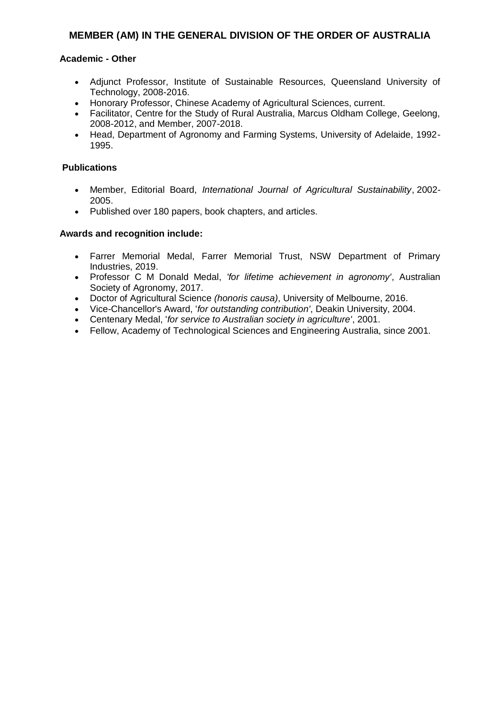### **Academic - Other**

- Adjunct Professor, Institute of Sustainable Resources, Queensland University of Technology, 2008-2016.
- Honorary Professor, Chinese Academy of Agricultural Sciences, current.
- Facilitator, Centre for the Study of Rural Australia, Marcus Oldham College, Geelong, 2008-2012, and Member, 2007-2018.
- Head, Department of Agronomy and Farming Systems, University of Adelaide, 1992- 1995.

### **Publications**

- Member, Editorial Board, *International Journal of Agricultural Sustainability*, 2002- 2005.
- Published over 180 papers, book chapters, and articles.

- Farrer Memorial Medal, Farrer Memorial Trust, NSW Department of Primary Industries, 2019.
- Professor C M Donald Medal, *'for lifetime achievement in agronomy'*, Australian Society of Agronomy, 2017.
- Doctor of Agricultural Science *(honoris causa)*, University of Melbourne, 2016.
- Vice-Chancellor's Award, '*for outstanding contribution'*, Deakin University, 2004.
- Centenary Medal, '*for service to Australian society in agriculture'*, 2001.
- Fellow, Academy of Technological Sciences and Engineering Australia, since 2001.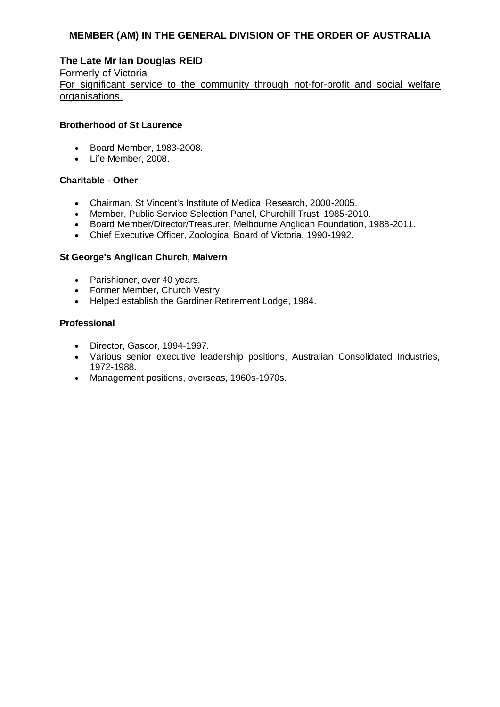## **The Late Mr Ian Douglas REID**

Formerly of Victoria For significant service to the community through not-for-profit and social welfare organisations.

### **Brotherhood of St Laurence**

- Board Member, 1983-2008.
- Life Member, 2008.

## **Charitable - Other**

- Chairman, St Vincent's Institute of Medical Research, 2000-2005.
- Member, Public Service Selection Panel, Churchill Trust, 1985-2010.
- Board Member/Director/Treasurer, Melbourne Anglican Foundation, 1988-2011.
- Chief Executive Officer, Zoological Board of Victoria, 1990-1992.

## **St George's Anglican Church, Malvern**

- Parishioner, over 40 years.
- Former Member, Church Vestry.
- Helped establish the Gardiner Retirement Lodge, 1984.

### **Professional**

- Director, Gascor, 1994-1997.
- Various senior executive leadership positions, Australian Consolidated Industries, 1972-1988.
- Management positions, overseas, 1960s-1970s.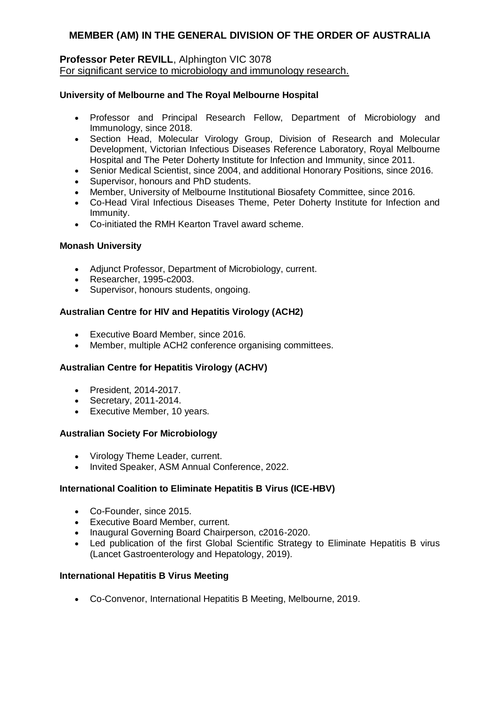#### **Professor Peter REVILL**, Alphington VIC 3078 For significant service to microbiology and immunology research.

### **University of Melbourne and The Royal Melbourne Hospital**

- Professor and Principal Research Fellow, Department of Microbiology and Immunology, since 2018.
- Section Head, Molecular Virology Group, Division of Research and Molecular Development, Victorian Infectious Diseases Reference Laboratory, Royal Melbourne Hospital and The Peter Doherty Institute for Infection and Immunity, since 2011.
- Senior Medical Scientist, since 2004, and additional Honorary Positions, since 2016.
- Supervisor, honours and PhD students.
- Member, University of Melbourne Institutional Biosafety Committee, since 2016.
- Co-Head Viral Infectious Diseases Theme, Peter Doherty Institute for Infection and Immunity.
- Co-initiated the RMH Kearton Travel award scheme.

### **Monash University**

- Adjunct Professor, Department of Microbiology, current.
- Researcher, 1995-c2003.
- Supervisor, honours students, ongoing.

### **Australian Centre for HIV and Hepatitis Virology (ACH2)**

- Executive Board Member, since 2016.
- Member, multiple ACH2 conference organising committees.

### **Australian Centre for Hepatitis Virology (ACHV)**

- President, 2014-2017.
- Secretary, 2011-2014.
- Executive Member, 10 years.

#### **Australian Society For Microbiology**

- Virology Theme Leader, current.
- Invited Speaker, ASM Annual Conference, 2022.

### **International Coalition to Eliminate Hepatitis B Virus (ICE-HBV)**

- Co-Founder, since 2015.
- Executive Board Member, current.
- Inaugural Governing Board Chairperson, c2016-2020.
- Led publication of the first Global Scientific Strategy to Eliminate Hepatitis B virus (Lancet Gastroenterology and Hepatology, 2019).

#### **International Hepatitis B Virus Meeting**

Co-Convenor, International Hepatitis B Meeting, Melbourne, 2019.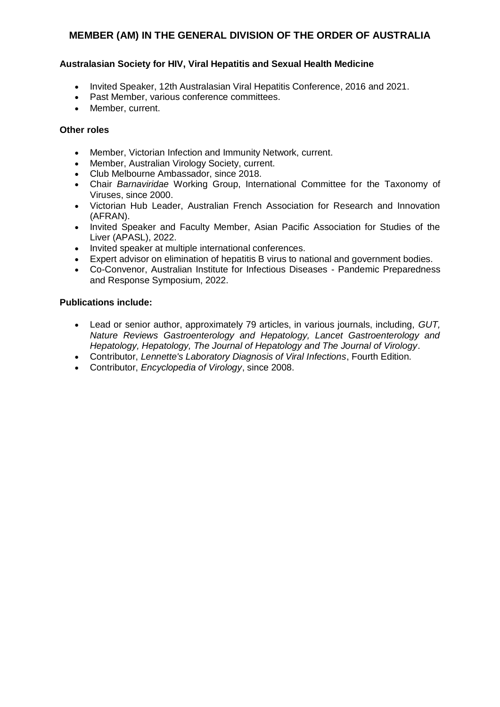### **Australasian Society for HIV, Viral Hepatitis and Sexual Health Medicine**

- Invited Speaker, 12th Australasian Viral Hepatitis Conference, 2016 and 2021.
- Past Member, various conference committees.
- Member, current.

#### **Other roles**

- Member, Victorian Infection and Immunity Network, current.
- Member, Australian Virology Society, current.
- Club Melbourne Ambassador, since 2018.
- Chair *Barnaviridae* Working Group, International Committee for the Taxonomy of Viruses, since 2000.
- Victorian Hub Leader, Australian French Association for Research and Innovation (AFRAN).
- Invited Speaker and Faculty Member, Asian Pacific Association for Studies of the Liver (APASL), 2022.
- Invited speaker at multiple international conferences.
- Expert advisor on elimination of hepatitis B virus to national and government bodies.
- Co-Convenor, Australian Institute for Infectious Diseases Pandemic Preparedness and Response Symposium, 2022.

### **Publications include:**

- Lead or senior author, approximately 79 articles, in various journals, including, *GUT, Nature Reviews Gastroenterology and Hepatology, Lancet Gastroenterology and Hepatology, Hepatology, The Journal of Hepatology and The Journal of Virology*.
- Contributor, *Lennette's Laboratory Diagnosis of Viral Infections*, Fourth Edition.
- Contributor, *Encyclopedia of Virology*, since 2008.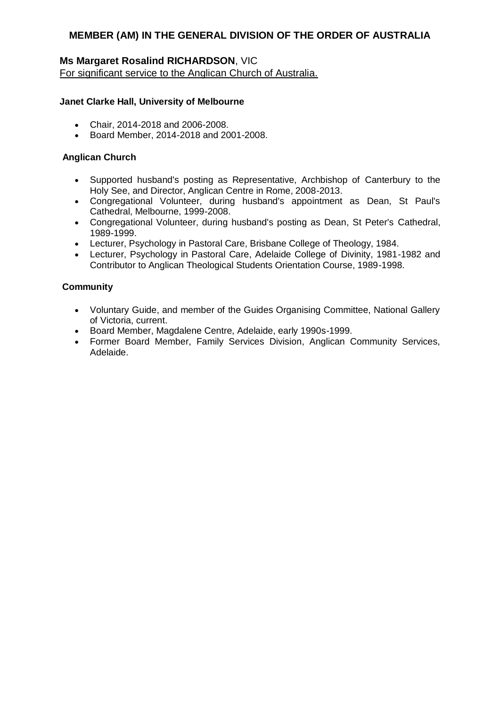## **Ms Margaret Rosalind RICHARDSON**, VIC

For significant service to the Anglican Church of Australia.

### **Janet Clarke Hall, University of Melbourne**

- Chair, 2014-2018 and 2006-2008.
- Board Member, 2014-2018 and 2001-2008.

### **Anglican Church**

- Supported husband's posting as Representative, Archbishop of Canterbury to the Holy See, and Director, Anglican Centre in Rome, 2008-2013.
- Congregational Volunteer, during husband's appointment as Dean, St Paul's Cathedral, Melbourne, 1999-2008.
- Congregational Volunteer, during husband's posting as Dean, St Peter's Cathedral, 1989-1999.
- Lecturer, Psychology in Pastoral Care, Brisbane College of Theology, 1984.
- Lecturer, Psychology in Pastoral Care, Adelaide College of Divinity, 1981-1982 and Contributor to Anglican Theological Students Orientation Course, 1989-1998.

### **Community**

- Voluntary Guide, and member of the Guides Organising Committee, National Gallery of Victoria, current.
- Board Member, Magdalene Centre, Adelaide, early 1990s-1999.
- Former Board Member, Family Services Division, Anglican Community Services, Adelaide.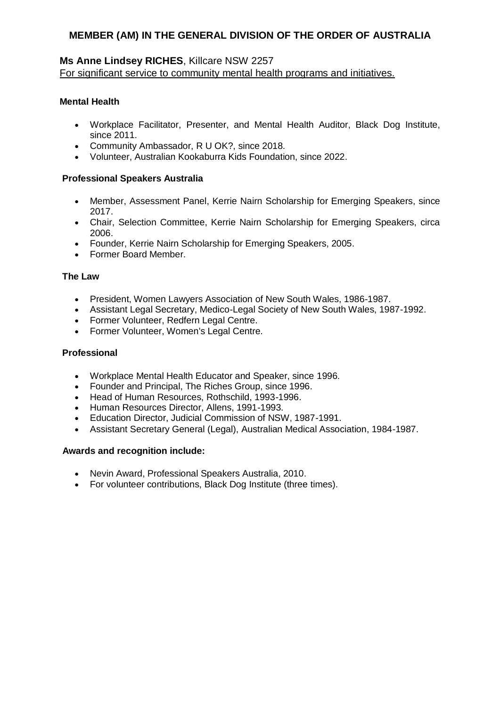### **Ms Anne Lindsey RICHES**, Killcare NSW 2257 For significant service to community mental health programs and initiatives.

### **Mental Health**

- Workplace Facilitator, Presenter, and Mental Health Auditor, Black Dog Institute, since 2011.
- Community Ambassador, R U OK?, since 2018.
- Volunteer, Australian Kookaburra Kids Foundation, since 2022.

### **Professional Speakers Australia**

- Member, Assessment Panel, Kerrie Nairn Scholarship for Emerging Speakers, since 2017.
- Chair, Selection Committee, Kerrie Nairn Scholarship for Emerging Speakers, circa 2006.
- Founder, Kerrie Nairn Scholarship for Emerging Speakers, 2005.
- Former Board Member.

### **The Law**

- President, Women Lawyers Association of New South Wales, 1986-1987.
- Assistant Legal Secretary, Medico-Legal Society of New South Wales, 1987-1992.
- Former Volunteer, Redfern Legal Centre.
- Former Volunteer, Women's Legal Centre.

### **Professional**

- Workplace Mental Health Educator and Speaker, since 1996.
- Founder and Principal, The Riches Group, since 1996.
- Head of Human Resources, Rothschild, 1993-1996.
- Human Resources Director, Allens, 1991-1993.
- Education Director, Judicial Commission of NSW, 1987-1991.
- Assistant Secretary General (Legal), Australian Medical Association, 1984-1987.

- Nevin Award, Professional Speakers Australia, 2010.
- For volunteer contributions, Black Dog Institute (three times).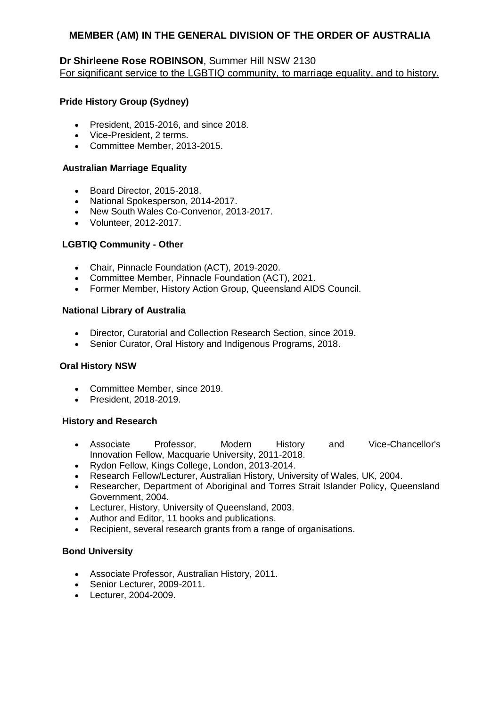## **Dr Shirleene Rose ROBINSON**, Summer Hill NSW 2130 For significant service to the LGBTIQ community, to marriage equality, and to history.

### **Pride History Group (Sydney)**

- President, 2015-2016, and since 2018.
- Vice-President, 2 terms.
- Committee Member, 2013-2015.

### **Australian Marriage Equality**

- Board Director, 2015-2018.
- National Spokesperson, 2014-2017.
- New South Wales Co-Convenor, 2013-2017.
- Volunteer, 2012-2017.

## **LGBTIQ Community - Other**

- Chair, Pinnacle Foundation (ACT), 2019-2020.
- Committee Member, Pinnacle Foundation (ACT), 2021.
- Former Member, History Action Group, Queensland AIDS Council.

### **National Library of Australia**

- Director, Curatorial and Collection Research Section, since 2019.
- Senior Curator, Oral History and Indigenous Programs, 2018.

### **Oral History NSW**

- Committee Member, since 2019.
- President, 2018-2019.

### **History and Research**

- Associate Professor, Modern History and Vice-Chancellor's Innovation Fellow, Macquarie University, 2011-2018.
- Rydon Fellow, Kings College, London, 2013-2014.
- Research Fellow/Lecturer, Australian History, University of Wales, UK, 2004.
- Researcher, Department of Aboriginal and Torres Strait Islander Policy, Queensland Government, 2004.
- Lecturer, History, University of Queensland, 2003.
- Author and Editor, 11 books and publications.
- Recipient, several research grants from a range of organisations.

## **Bond University**

- Associate Professor, Australian History, 2011.
- Senior Lecturer, 2009-2011.
- Lecturer, 2004-2009.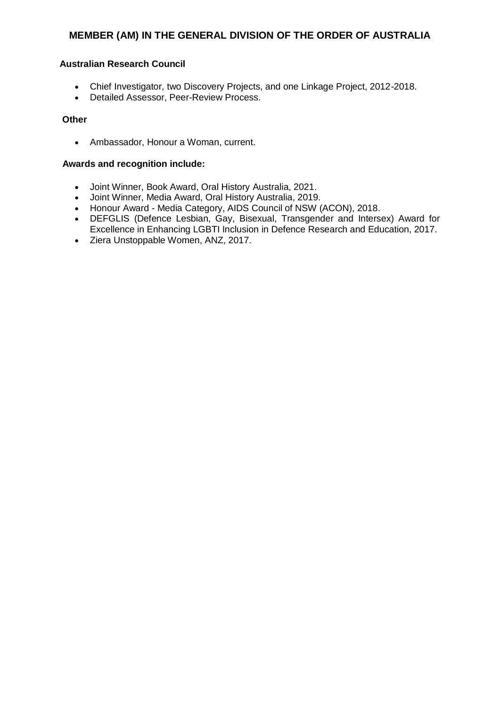### **Australian Research Council**

- Chief Investigator, two Discovery Projects, and one Linkage Project, 2012-2018.
- Detailed Assessor, Peer-Review Process.

### **Other**

Ambassador, Honour a Woman, current.

- Joint Winner, Book Award, Oral History Australia, 2021.
- Joint Winner, Media Award, Oral History Australia, 2019.
- Honour Award Media Category, AIDS Council of NSW (ACON), 2018.
- DEFGLIS (Defence Lesbian, Gay, Bisexual, Transgender and Intersex) Award for Excellence in Enhancing LGBTI Inclusion in Defence Research and Education, 2017.
- Ziera Unstoppable Women, ANZ, 2017.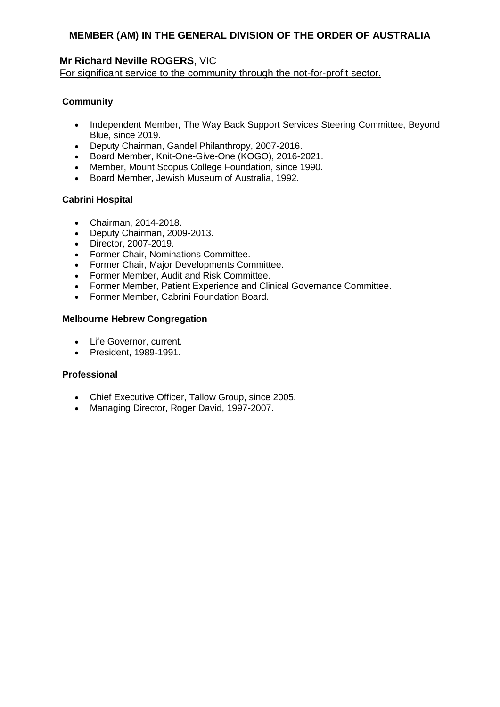## **Mr Richard Neville ROGERS**, VIC

For significant service to the community through the not-for-profit sector.

## **Community**

- Independent Member, The Way Back Support Services Steering Committee, Beyond Blue, since 2019.
- Deputy Chairman, Gandel Philanthropy, 2007-2016.
- Board Member, Knit-One-Give-One (KOGO), 2016-2021.
- Member, Mount Scopus College Foundation, since 1990.
- Board Member, Jewish Museum of Australia, 1992.

### **Cabrini Hospital**

- Chairman, 2014-2018.
- Deputy Chairman, 2009-2013.
- Director, 2007-2019.
- Former Chair, Nominations Committee.
- Former Chair, Major Developments Committee.
- Former Member, Audit and Risk Committee.
- Former Member, Patient Experience and Clinical Governance Committee.
- Former Member, Cabrini Foundation Board.

### **Melbourne Hebrew Congregation**

- Life Governor, current.
- President, 1989-1991.

### **Professional**

- Chief Executive Officer, Tallow Group, since 2005.
- Managing Director, Roger David, 1997-2007.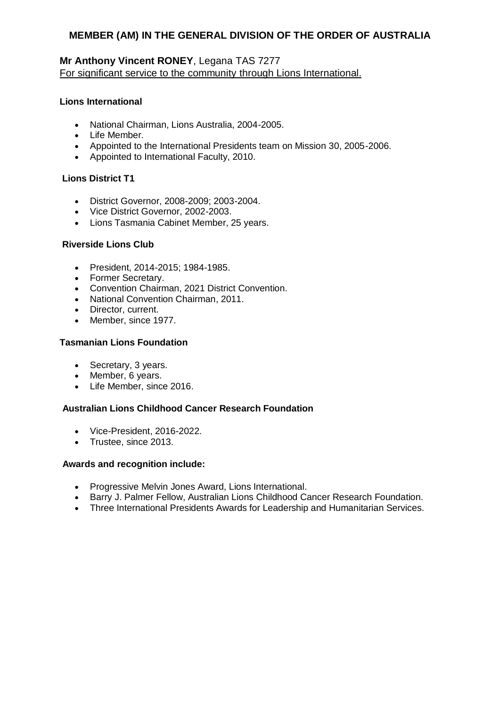## **Mr Anthony Vincent RONEY**, Legana TAS 7277 For significant service to the community through Lions International.

### **Lions International**

- National Chairman, Lions Australia, 2004-2005.
- Life Member.
- Appointed to the International Presidents team on Mission 30, 2005-2006.
- Appointed to International Faculty, 2010.

#### **Lions District T1**

- District Governor, 2008-2009; 2003-2004.
- Vice District Governor, 2002-2003.
- Lions Tasmania Cabinet Member, 25 years.

#### **Riverside Lions Club**

- President, 2014-2015; 1984-1985.
- Former Secretary.
- Convention Chairman, 2021 District Convention.
- National Convention Chairman, 2011.
- Director, current.
- Member, since 1977.

#### **Tasmanian Lions Foundation**

- Secretary, 3 years.
- Member, 6 years.
- Life Member, since 2016.

#### **Australian Lions Childhood Cancer Research Foundation**

- Vice-President, 2016-2022.
- Trustee, since 2013.

- Progressive Melvin Jones Award, Lions International.
- Barry J. Palmer Fellow, Australian Lions Childhood Cancer Research Foundation.
- Three International Presidents Awards for Leadership and Humanitarian Services.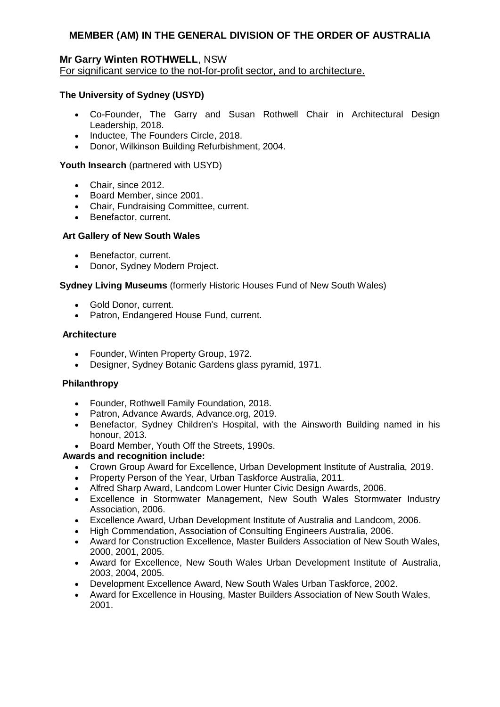### **Mr Garry Winten ROTHWELL**, NSW For significant service to the not-for-profit sector, and to architecture.

## **The University of Sydney (USYD)**

- Co-Founder, The Garry and Susan Rothwell Chair in Architectural Design Leadership, 2018.
- Inductee, The Founders Circle, 2018.
- Donor, Wilkinson Building Refurbishment, 2004.

### **Youth Insearch** (partnered with USYD)

- Chair, since 2012.
- Board Member, since 2001.
- Chair, Fundraising Committee, current.
- Benefactor, current.

### **Art Gallery of New South Wales**

- Benefactor, current.
- Donor, Sydney Modern Project.

#### **Sydney Living Museums** (formerly Historic Houses Fund of New South Wales)

- Gold Donor, current.
- Patron, Endangered House Fund, current.

#### **Architecture**

- Founder, Winten Property Group, 1972.
- Designer, Sydney Botanic Gardens glass pyramid, 1971.

#### **Philanthropy**

- Founder, Rothwell Family Foundation, 2018.
- Patron, Advance Awards, Advance.org, 2019.
- Benefactor, Sydney Children's Hospital, with the Ainsworth Building named in his honour, 2013.
- Board Member, Youth Off the Streets, 1990s.

- Crown Group Award for Excellence, Urban Development Institute of Australia, 2019.
- Property Person of the Year, Urban Taskforce Australia, 2011.
- Alfred Sharp Award, Landcom Lower Hunter Civic Design Awards, 2006.
- Excellence in Stormwater Management, New South Wales Stormwater Industry Association, 2006.
- Excellence Award, Urban Development Institute of Australia and Landcom, 2006.
- High Commendation, Association of Consulting Engineers Australia, 2006.
- Award for Construction Excellence, Master Builders Association of New South Wales, 2000, 2001, 2005.
- Award for Excellence, New South Wales Urban Development Institute of Australia, 2003, 2004, 2005.
- Development Excellence Award, New South Wales Urban Taskforce, 2002.
- Award for Excellence in Housing, Master Builders Association of New South Wales, 2001.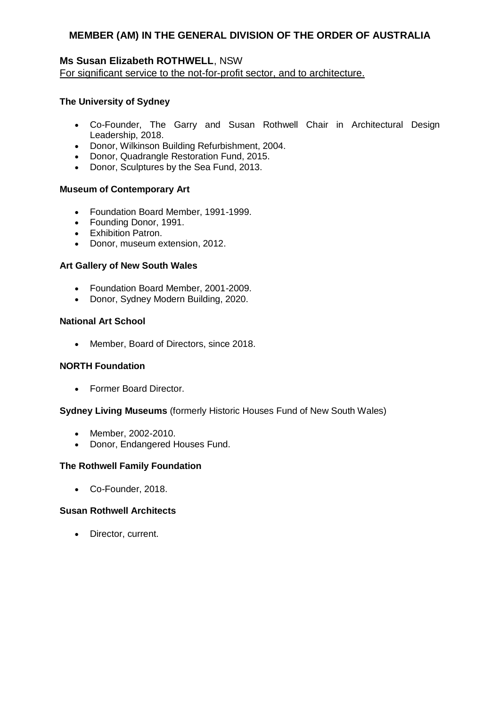## **Ms Susan Elizabeth ROTHWELL**, NSW

For significant service to the not-for-profit sector, and to architecture.

### **The University of Sydney**

- Co-Founder, The Garry and Susan Rothwell Chair in Architectural Design Leadership, 2018.
- Donor, Wilkinson Building Refurbishment, 2004.
- Donor, Quadrangle Restoration Fund, 2015.
- Donor, Sculptures by the Sea Fund, 2013.

### **Museum of Contemporary Art**

- Foundation Board Member, 1991-1999.
- Founding Donor, 1991.
- **•** Exhibition Patron.
- Donor, museum extension, 2012.

### **Art Gallery of New South Wales**

- Foundation Board Member, 2001-2009.
- Donor, Sydney Modern Building, 2020.

### **National Art School**

Member, Board of Directors, since 2018.

### **NORTH Foundation**

• Former Board Director.

### **Sydney Living Museums** (formerly Historic Houses Fund of New South Wales)

- Member, 2002-2010.
- Donor, Endangered Houses Fund.

### **The Rothwell Family Foundation**

Co-Founder, 2018.

### **Susan Rothwell Architects**

• Director, current.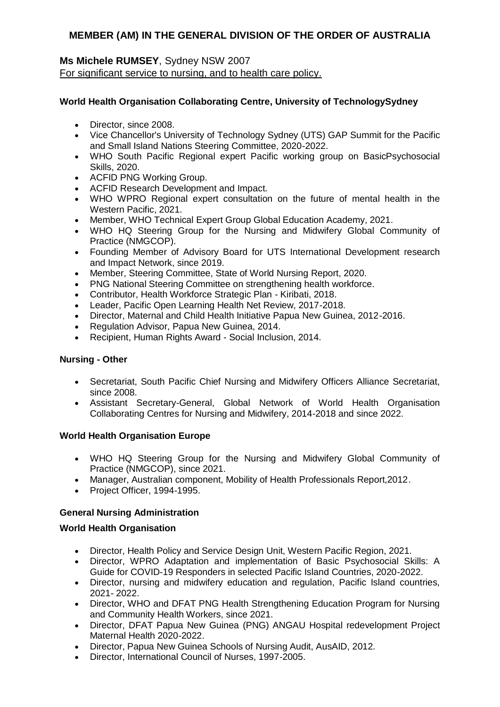### **Ms Michele RUMSEY**, Sydney NSW 2007 For significant service to nursing, and to health care policy.

## **World Health Organisation Collaborating Centre, University of TechnologySydney**

- Director, since 2008.
- Vice Chancellor's University of Technology Sydney (UTS) GAP Summit for the Pacific and Small Island Nations Steering Committee, 2020-2022.
- WHO South Pacific Regional expert Pacific working group on BasicPsychosocial Skills, 2020.
- ACFID PNG Working Group.
- ACFID Research Development and Impact.
- WHO WPRO Regional expert consultation on the future of mental health in the Western Pacific, 2021.
- Member, WHO Technical Expert Group Global Education Academy, 2021.
- WHO HQ Steering Group for the Nursing and Midwifery Global Community of Practice (NMGCOP).
- Founding Member of Advisory Board for UTS International Development research and Impact Network, since 2019.
- Member, Steering Committee, State of World Nursing Report, 2020.
- PNG National Steering Committee on strengthening health workforce.
- Contributor, Health Workforce Strategic Plan Kiribati, 2018.
- Leader, Pacific Open Learning Health Net Review, 2017-2018.
- Director, Maternal and Child Health Initiative Papua New Guinea, 2012-2016.
- Regulation Advisor, Papua New Guinea, 2014.
- Recipient, Human Rights Award Social Inclusion, 2014.

### **Nursing - Other**

- Secretariat, South Pacific Chief Nursing and Midwifery Officers Alliance Secretariat, since 2008.
- Assistant Secretary-General, Global Network of World Health Organisation Collaborating Centres for Nursing and Midwifery, 2014-2018 and since 2022.

### **World Health Organisation Europe**

- WHO HQ Steering Group for the Nursing and Midwifery Global Community of Practice (NMGCOP), since 2021.
- Manager, Australian component, Mobility of Health Professionals Report,2012.
- Project Officer, 1994-1995.

## **General Nursing Administration**

### **World Health Organisation**

- Director, Health Policy and Service Design Unit, Western Pacific Region, 2021.
- Director, WPRO Adaptation and implementation of Basic Psychosocial Skills: A Guide for COVID-19 Responders in selected Pacific Island Countries, 2020-2022.
- Director, nursing and midwifery education and regulation, Pacific Island countries, 2021- 2022.
- Director, WHO and DFAT PNG Health Strengthening Education Program for Nursing and Community Health Workers, since 2021.
- Director, DFAT Papua New Guinea (PNG) ANGAU Hospital redevelopment Project Maternal Health 2020-2022.
- Director, Papua New Guinea Schools of Nursing Audit, AusAID, 2012.
- Director, International Council of Nurses, 1997-2005.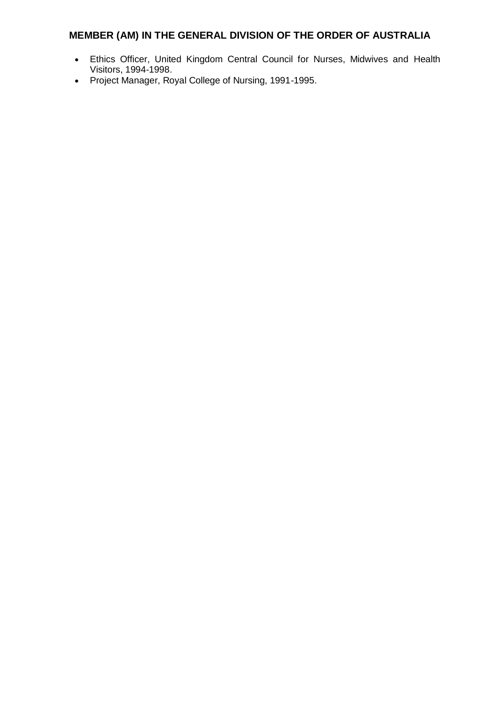- Ethics Officer, United Kingdom Central Council for Nurses, Midwives and Health Visitors, 1994-1998.
- Project Manager, Royal College of Nursing, 1991-1995.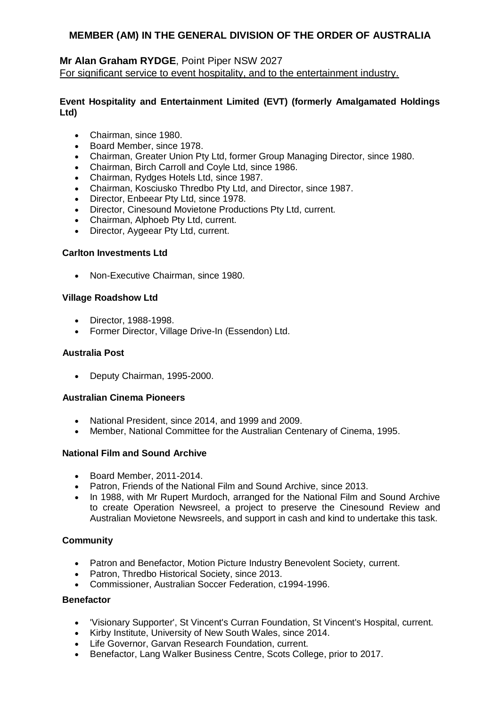## **Mr Alan Graham RYDGE**, Point Piper NSW 2027 For significant service to event hospitality, and to the entertainment industry.

## **Event Hospitality and Entertainment Limited (EVT) (formerly Amalgamated Holdings Ltd)**

- Chairman, since 1980.
- **Board Member, since 1978.**
- Chairman, Greater Union Pty Ltd, former Group Managing Director, since 1980.
- Chairman, Birch Carroll and Coyle Ltd, since 1986.
- Chairman, Rydges Hotels Ltd, since 1987.
- Chairman, Kosciusko Thredbo Pty Ltd, and Director, since 1987.
- Director, Enbeear Pty Ltd, since 1978.
- Director, Cinesound Movietone Productions Pty Ltd, current.
- Chairman, Alphoeb Pty Ltd, current.
- Director, Aygeear Pty Ltd, current.

### **Carlton Investments Ltd**

• Non-Executive Chairman, since 1980.

### **Village Roadshow Ltd**

- Director, 1988-1998.
- Former Director, Village Drive-In (Essendon) Ltd.

#### **Australia Post**

Deputy Chairman, 1995-2000.

### **Australian Cinema Pioneers**

- National President, since 2014, and 1999 and 2009.
- Member, National Committee for the Australian Centenary of Cinema, 1995.

### **National Film and Sound Archive**

- Board Member, 2011-2014.
- Patron, Friends of the National Film and Sound Archive, since 2013.
- In 1988, with Mr Rupert Murdoch, arranged for the National Film and Sound Archive to create Operation Newsreel, a project to preserve the Cinesound Review and Australian Movietone Newsreels, and support in cash and kind to undertake this task.

### **Community**

- Patron and Benefactor, Motion Picture Industry Benevolent Society, current.
- Patron, Thredbo Historical Society, since 2013.
- Commissioner, Australian Soccer Federation, c1994-1996.

#### **Benefactor**

- 'Visionary Supporter', St Vincent's Curran Foundation, St Vincent's Hospital, current.
- Kirby Institute, University of New South Wales, since 2014.
- Life Governor, Garvan Research Foundation, current.
- Benefactor, Lang Walker Business Centre, Scots College, prior to 2017.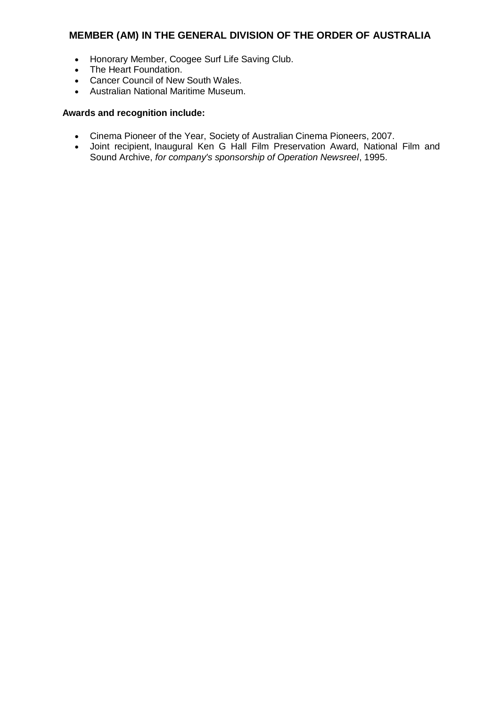- Honorary Member, Coogee Surf Life Saving Club.
- The Heart Foundation.
- Cancer Council of New South Wales.
- Australian National Maritime Museum.

- Cinema Pioneer of the Year, Society of Australian Cinema Pioneers, 2007.
- Joint recipient, Inaugural Ken G Hall Film Preservation Award, National Film and Sound Archive, *for company's sponsorship of Operation Newsreel*, 1995.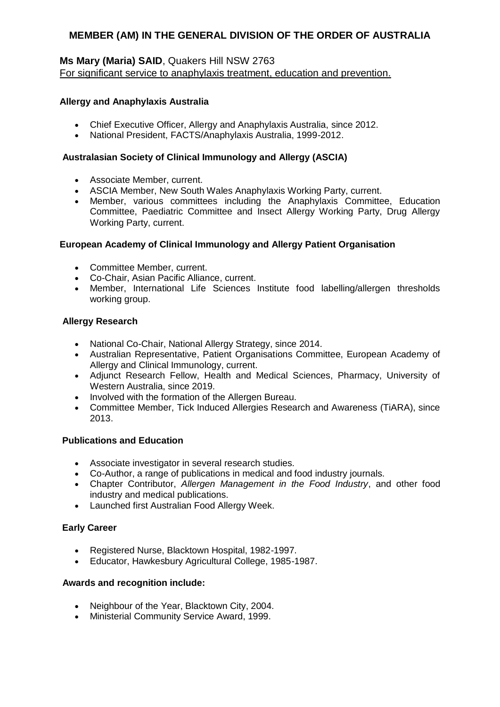## **Ms Mary (Maria) SAID**, Quakers Hill NSW 2763 For significant service to anaphylaxis treatment, education and prevention.

### **Allergy and Anaphylaxis Australia**

- Chief Executive Officer, Allergy and Anaphylaxis Australia, since 2012.
- National President, FACTS/Anaphylaxis Australia, 1999-2012.

## **Australasian Society of Clinical Immunology and Allergy (ASCIA)**

- Associate Member, current.
- ASCIA Member, New South Wales Anaphylaxis Working Party, current.
- Member, various committees including the Anaphylaxis Committee, Education Committee, Paediatric Committee and Insect Allergy Working Party, Drug Allergy Working Party, current.

### **European Academy of Clinical Immunology and Allergy Patient Organisation**

- Committee Member, current.
- Co-Chair, Asian Pacific Alliance, current.
- Member, International Life Sciences Institute food labelling/allergen thresholds working group.

### **Allergy Research**

- National Co-Chair, National Allergy Strategy, since 2014.
- Australian Representative, Patient Organisations Committee, European Academy of Allergy and Clinical Immunology, current.
- Adjunct Research Fellow, Health and Medical Sciences, Pharmacy, University of Western Australia, since 2019.
- Involved with the formation of the Allergen Bureau.
- Committee Member, Tick Induced Allergies Research and Awareness (TiARA), since 2013.

### **Publications and Education**

- Associate investigator in several research studies.
- Co-Author, a range of publications in medical and food industry journals.
- Chapter Contributor, *Allergen Management in the Food Industry*, and other food industry and medical publications.
- Launched first Australian Food Allergy Week.

### **Early Career**

- Registered Nurse, Blacktown Hospital, 1982-1997.
- Educator, Hawkesbury Agricultural College, 1985-1987.

- Neighbour of the Year, Blacktown City, 2004.
- Ministerial Community Service Award, 1999.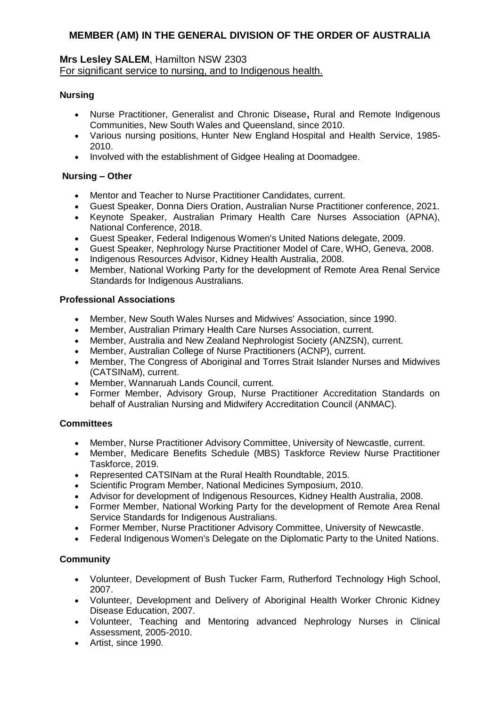### **Mrs Lesley SALEM**, Hamilton NSW 2303 For significant service to nursing, and to Indigenous health.

### **Nursing**

- Nurse Practitioner, Generalist and Chronic Disease**,** Rural and Remote Indigenous Communities, New South Wales and Queensland, since 2010.
- Various nursing positions, Hunter New England Hospital and Health Service, 1985- 2010.
- Involved with the establishment of Gidgee Healing at Doomadgee.

### **Nursing – Other**

- Mentor and Teacher to Nurse Practitioner Candidates, current.
- Guest Speaker, Donna Diers Oration, Australian Nurse Practitioner conference, 2021.
- Keynote Speaker, Australian Primary Health Care Nurses Association (APNA), National Conference, 2018.
- Guest Speaker, Federal Indigenous Women's United Nations delegate, 2009.
- Guest Speaker, Nephrology Nurse Practitioner Model of Care, WHO, Geneva, 2008.
- Indigenous Resources Advisor, Kidney Health Australia, 2008.
- Member, National Working Party for the development of Remote Area Renal Service Standards for Indigenous Australians.

### **Professional Associations**

- Member, New South Wales Nurses and Midwives' Association, since 1990.
- Member, Australian Primary Health Care Nurses Association, current.
- Member, Australia and New Zealand Nephrologist Society (ANZSN), current.
- Member, Australian College of Nurse Practitioners (ACNP), current.
- Member, The Congress of Aboriginal and Torres Strait Islander Nurses and Midwives (CATSINaM), current.
- Member, Wannaruah Lands Council, current.
- Former Member, Advisory Group, Nurse Practitioner Accreditation Standards on behalf of Australian Nursing and Midwifery Accreditation Council (ANMAC).

### **Committees**

- Member, Nurse Practitioner Advisory Committee, University of Newcastle, current.
- Member, Medicare Benefits Schedule (MBS) Taskforce Review Nurse Practitioner Taskforce, 2019.
- Represented CATSINam at the Rural Health Roundtable, 2015.
- Scientific Program Member, National Medicines Symposium, 2010.
- Advisor for development of Indigenous Resources, Kidney Health Australia, 2008.
- Former Member, National Working Party for the development of Remote Area Renal Service Standards for Indigenous Australians.
- Former Member, Nurse Practitioner Advisory Committee, University of Newcastle.
- Federal Indigenous Women's Delegate on the Diplomatic Party to the United Nations.

## **Community**

- Volunteer, Development of Bush Tucker Farm, Rutherford Technology High School, 2007.
- Volunteer, Development and Delivery of Aboriginal Health Worker Chronic Kidney Disease Education, 2007.
- Volunteer, Teaching and Mentoring advanced Nephrology Nurses in Clinical Assessment, 2005-2010.
- Artist, since 1990.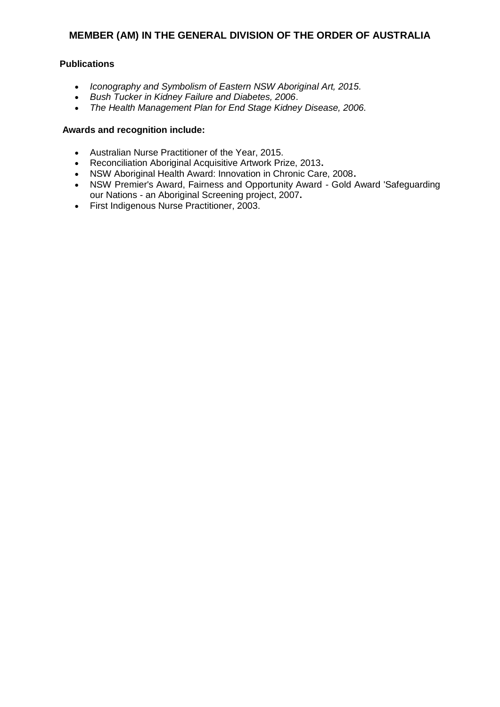### **Publications**

- *Iconography and Symbolism of Eastern NSW Aboriginal Art, 2015.*
- *Bush Tucker in Kidney Failure and Diabetes, 2006*.
- *The Health Management Plan for End Stage Kidney Disease, 2006.*

- Australian Nurse Practitioner of the Year, 2015.
- Reconciliation Aboriginal Acquisitive Artwork Prize, 2013**.**
- NSW Aboriginal Health Award: Innovation in Chronic Care, 2008**.**
- NSW Premier's Award, Fairness and Opportunity Award Gold Award 'Safeguarding our Nations - an Aboriginal Screening project, 2007**.**
- First Indigenous Nurse Practitioner, 2003.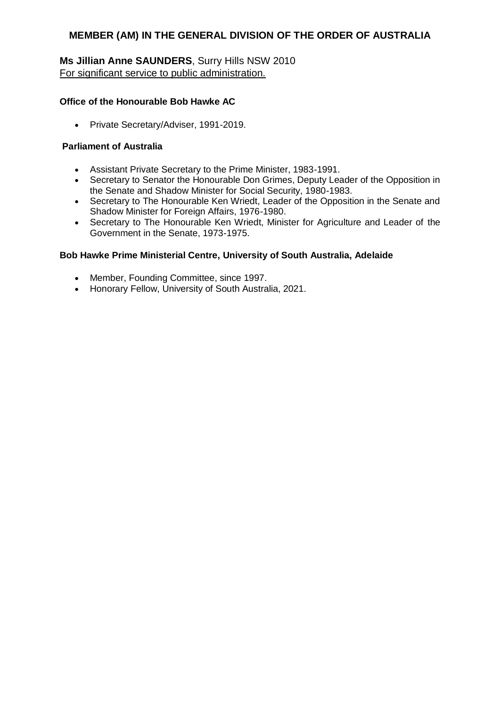## **Ms Jillian Anne SAUNDERS**, Surry Hills NSW 2010 For significant service to public administration.

### **Office of the Honourable Bob Hawke AC**

• Private Secretary/Adviser, 1991-2019.

## **Parliament of Australia**

- Assistant Private Secretary to the Prime Minister, 1983-1991.
- Secretary to Senator the Honourable Don Grimes, Deputy Leader of the Opposition in the Senate and Shadow Minister for Social Security, 1980-1983.
- Secretary to The Honourable Ken Wriedt, Leader of the Opposition in the Senate and Shadow Minister for Foreign Affairs, 1976-1980.
- Secretary to The Honourable Ken Wriedt, Minister for Agriculture and Leader of the Government in the Senate, 1973-1975.

### **Bob Hawke Prime Ministerial Centre, University of South Australia, Adelaide**

- Member, Founding Committee, since 1997.
- Honorary Fellow, University of South Australia, 2021.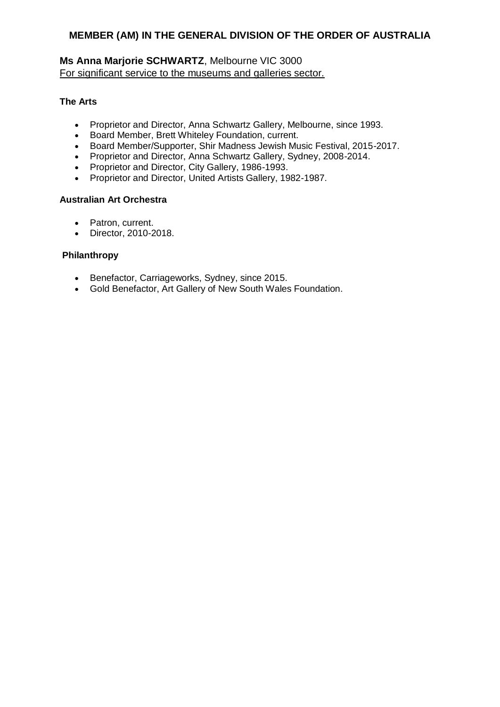## **Ms Anna Marjorie SCHWARTZ**, Melbourne VIC 3000 For significant service to the museums and galleries sector.

### **The Arts**

- Proprietor and Director, Anna Schwartz Gallery, Melbourne, since 1993.
- Board Member, Brett Whiteley Foundation, current.
- Board Member/Supporter, Shir Madness Jewish Music Festival, 2015-2017.
- Proprietor and Director, Anna Schwartz Gallery, Sydney, 2008-2014.
- Proprietor and Director, City Gallery, 1986-1993.
- Proprietor and Director, United Artists Gallery, 1982-1987.

## **Australian Art Orchestra**

- Patron, current.
- Director, 2010-2018.

### **Philanthropy**

- Benefactor, Carriageworks, Sydney, since 2015.
- Gold Benefactor, Art Gallery of New South Wales Foundation.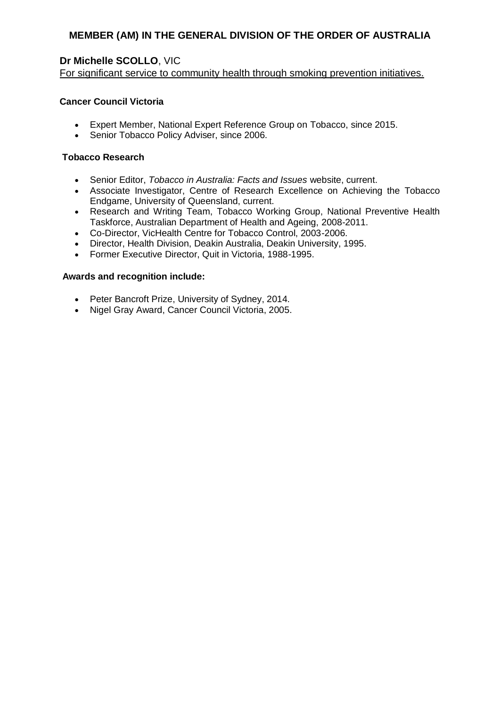# **Dr Michelle SCOLLO**, VIC

For significant service to community health through smoking prevention initiatives.

### **Cancer Council Victoria**

- Expert Member, National Expert Reference Group on Tobacco, since 2015.
- Senior Tobacco Policy Adviser, since 2006.

### **Tobacco Research**

- Senior Editor, *Tobacco in Australia: Facts and Issues* website, current.
- Associate Investigator, Centre of Research Excellence on Achieving the Tobacco Endgame, University of Queensland, current.
- Research and Writing Team, Tobacco Working Group, National Preventive Health Taskforce, Australian Department of Health and Ageing, 2008-2011.
- Co-Director, VicHealth Centre for Tobacco Control, 2003-2006.
- Director, Health Division, Deakin Australia, Deakin University, 1995.
- Former Executive Director, Quit in Victoria, 1988-1995.

- Peter Bancroft Prize, University of Sydney, 2014.
- Nigel Gray Award, Cancer Council Victoria, 2005.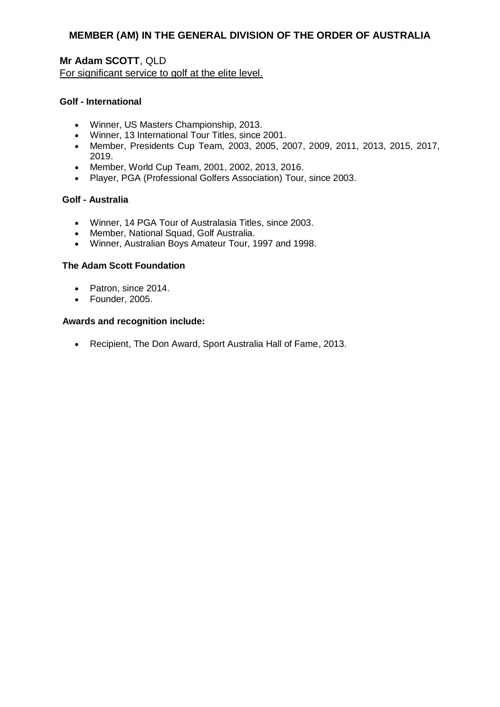**Mr Adam SCOTT**, QLD For significant service to golf at the elite level.

#### **Golf - International**

- Winner, US Masters Championship, 2013.
- Winner, 13 International Tour Titles, since 2001.
- Member, Presidents Cup Team, 2003, 2005, 2007, 2009, 2011, 2013, 2015, 2017, 2019.
- Member, World Cup Team, 2001, 2002, 2013, 2016.
- Player, PGA (Professional Golfers Association) Tour, since 2003.

#### **Golf - Australia**

- Winner, 14 PGA Tour of Australasia Titles, since 2003.
- Member, National Squad, Golf Australia.
- Winner, Australian Boys Amateur Tour, 1997 and 1998.

#### **The Adam Scott Foundation**

- Patron, since 2014.
- Founder, 2005.

#### **Awards and recognition include:**

Recipient, The Don Award, Sport Australia Hall of Fame, 2013.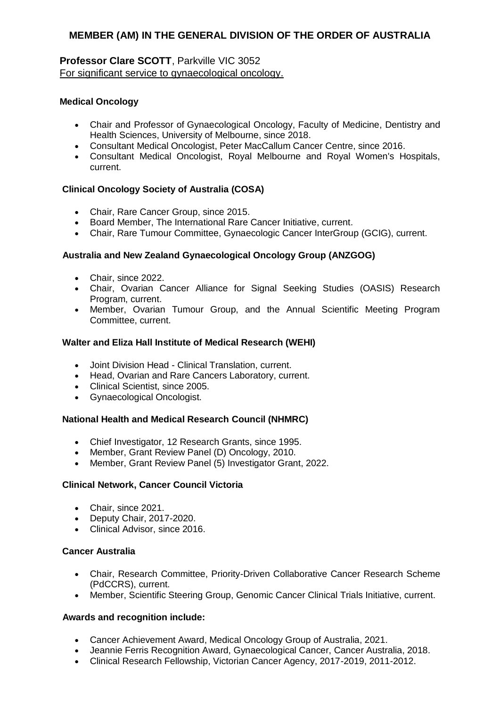## **Professor Clare SCOTT**, Parkville VIC 3052 For significant service to gynaecological oncology.

### **Medical Oncology**

- Chair and Professor of Gynaecological Oncology, Faculty of Medicine, Dentistry and Health Sciences, University of Melbourne, since 2018.
- Consultant Medical Oncologist, Peter MacCallum Cancer Centre, since 2016.
- Consultant Medical Oncologist, Royal Melbourne and Royal Women's Hospitals, current.

## **Clinical Oncology Society of Australia (COSA)**

- Chair, Rare Cancer Group, since 2015.
- Board Member, The International Rare Cancer Initiative, current.
- Chair, Rare Tumour Committee, Gynaecologic Cancer InterGroup (GCIG), current.

#### **Australia and New Zealand Gynaecological Oncology Group (ANZGOG)**

- Chair, since 2022.
- Chair, Ovarian Cancer Alliance for Signal Seeking Studies (OASIS) Research Program, current.
- Member, Ovarian Tumour Group, and the Annual Scientific Meeting Program Committee, current.

#### **Walter and Eliza Hall Institute of Medical Research (WEHI)**

- Joint Division Head Clinical Translation, current.
- Head, Ovarian and Rare Cancers Laboratory, current.
- Clinical Scientist, since 2005.
- Gynaecological Oncologist.

### **National Health and Medical Research Council (NHMRC)**

- Chief Investigator, 12 Research Grants, since 1995.
- Member, Grant Review Panel (D) Oncology, 2010.
- Member, Grant Review Panel (5) Investigator Grant, 2022.

#### **Clinical Network, Cancer Council Victoria**

- Chair, since 2021.
- Deputy Chair, 2017-2020.
- Clinical Advisor, since 2016.

#### **Cancer Australia**

- Chair, Research Committee, Priority-Driven Collaborative Cancer Research Scheme (PdCCRS), current.
- Member, Scientific Steering Group, Genomic Cancer Clinical Trials Initiative, current.

- Cancer Achievement Award, Medical Oncology Group of Australia, 2021.
- Jeannie Ferris Recognition Award, Gynaecological Cancer, Cancer Australia, 2018.
- Clinical Research Fellowship, Victorian Cancer Agency, 2017-2019, 2011-2012.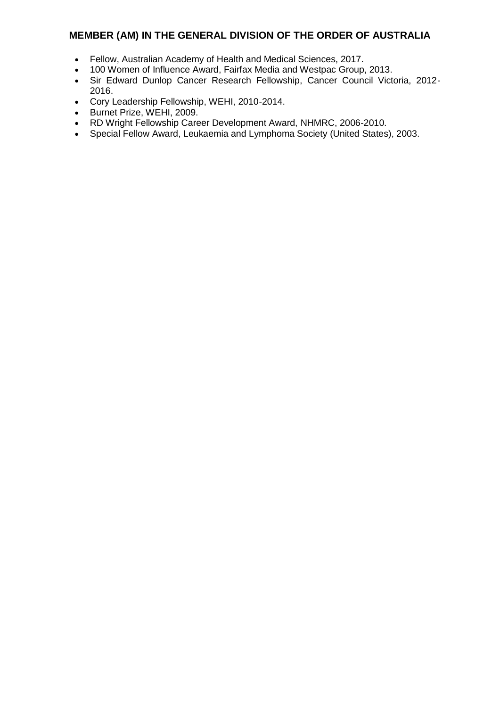- Fellow, Australian Academy of Health and Medical Sciences, 2017.
- 100 Women of Influence Award, Fairfax Media and Westpac Group, 2013.
- Sir Edward Dunlop Cancer Research Fellowship, Cancer Council Victoria, 2012- 2016.
- Cory Leadership Fellowship, WEHI, 2010-2014.
- Burnet Prize, WEHI, 2009.
- RD Wright Fellowship Career Development Award, NHMRC, 2006-2010.
- Special Fellow Award, Leukaemia and Lymphoma Society (United States), 2003.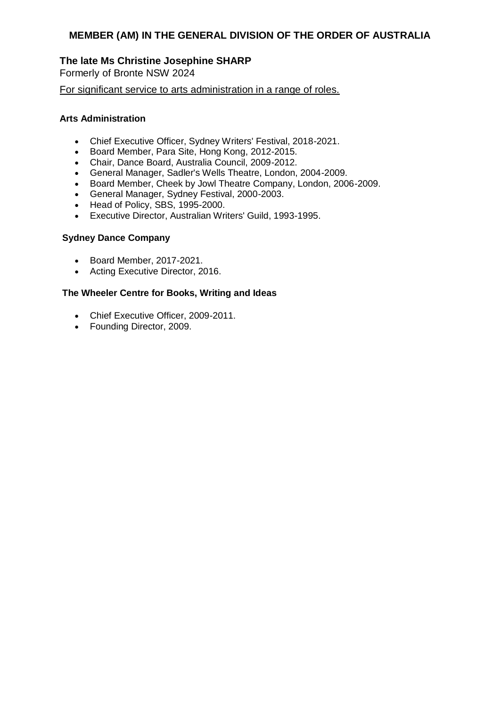## **The late Ms Christine Josephine SHARP**

Formerly of Bronte NSW 2024

For significant service to arts administration in a range of roles.

#### **Arts Administration**

- Chief Executive Officer, Sydney Writers' Festival, 2018-2021.
- Board Member, Para Site, Hong Kong, 2012-2015.
- Chair, Dance Board, Australia Council, 2009-2012.
- General Manager, Sadler's Wells Theatre, London, 2004-2009.
- Board Member, Cheek by Jowl Theatre Company, London, 2006-2009.
- General Manager, Sydney Festival, 2000-2003.
- Head of Policy, SBS, 1995-2000.
- Executive Director, Australian Writers' Guild, 1993-1995.

#### **Sydney Dance Company**

- Board Member, 2017-2021.
- Acting Executive Director, 2016.

#### **The Wheeler Centre for Books, Writing and Ideas**

- Chief Executive Officer, 2009-2011.
- Founding Director, 2009.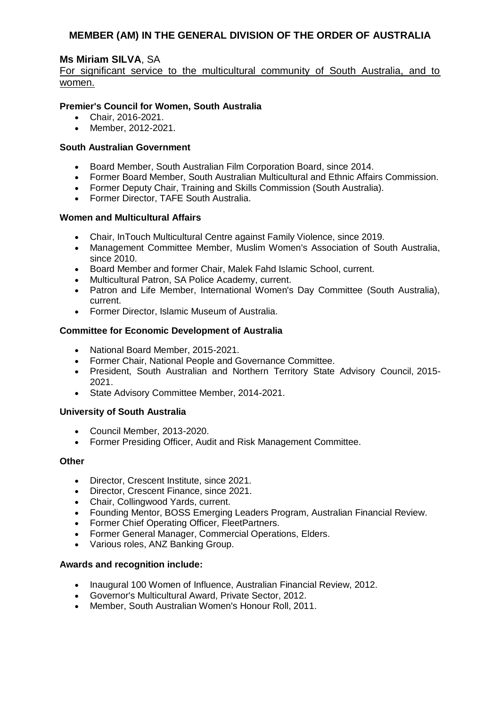## **Ms Miriam SILVA**, SA

For significant service to the multicultural community of South Australia, and to women.

### **Premier's Council for Women, South Australia**

- Chair, 2016-2021.
- Member, 2012-2021.

#### **South Australian Government**

- Board Member, South Australian Film Corporation Board, since 2014.
- Former Board Member, South Australian Multicultural and Ethnic Affairs Commission.
- Former Deputy Chair, Training and Skills Commission (South Australia).
- Former Director, TAFE South Australia.

#### **Women and Multicultural Affairs**

- Chair, InTouch Multicultural Centre against Family Violence, since 2019.
- Management Committee Member, Muslim Women's Association of South Australia, since 2010.
- Board Member and former Chair, Malek Fahd Islamic School, current.
- Multicultural Patron, SA Police Academy, current.
- Patron and Life Member, International Women's Day Committee (South Australia), current.
- Former Director, Islamic Museum of Australia.

### **Committee for Economic Development of Australia**

- National Board Member, 2015-2021.
- Former Chair, National People and Governance Committee.
- President, South Australian and Northern Territory State Advisory Council, 2015- 2021.
- State Advisory Committee Member, 2014-2021.

### **University of South Australia**

- Council Member, 2013-2020.
- Former Presiding Officer, Audit and Risk Management Committee.

#### **Other**

- Director, Crescent Institute, since 2021.
- Director, Crescent Finance, since 2021.
- Chair, Collingwood Yards, current.
- Founding Mentor, BOSS Emerging Leaders Program, Australian Financial Review.
- Former Chief Operating Officer, FleetPartners.
- Former General Manager, Commercial Operations, Elders.
- Various roles, ANZ Banking Group.

- Inaugural 100 Women of Influence, Australian Financial Review, 2012.
- Governor's Multicultural Award, Private Sector, 2012.
- Member, South Australian Women's Honour Roll, 2011.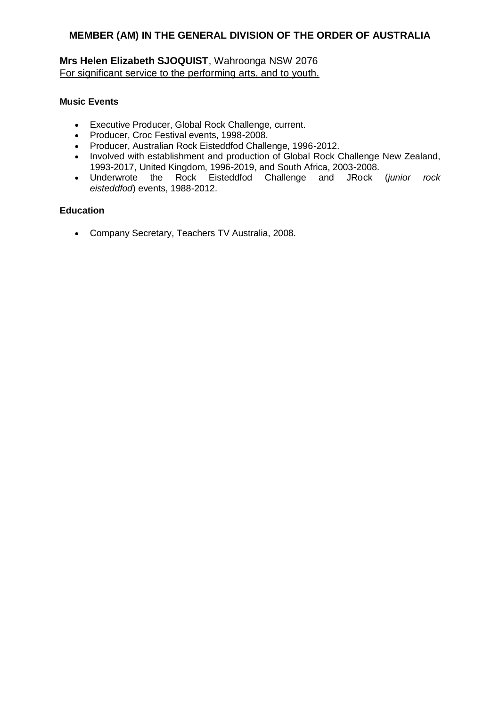# **Mrs Helen Elizabeth SJOQUIST**, Wahroonga NSW 2076 For significant service to the performing arts, and to youth.

#### **Music Events**

- Executive Producer, Global Rock Challenge, current.
- Producer, Croc Festival events, 1998-2008.
- Producer, Australian Rock Eisteddfod Challenge, 1996-2012.
- Involved with establishment and production of Global Rock Challenge New Zealand, 1993-2017, United Kingdom, 1996-2019, and South Africa, 2003-2008.
- Underwrote the Rock Eisteddfod Challenge and JRock (*junior rock eisteddfod*) events, 1988-2012.

### **Education**

Company Secretary, Teachers TV Australia, 2008.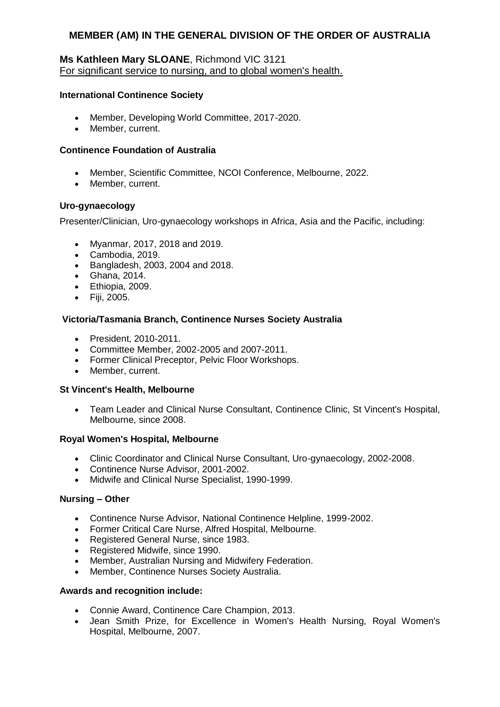### **Ms Kathleen Mary SLOANE**, Richmond VIC 3121 For significant service to nursing, and to global women's health.

#### **International Continence Society**

- Member, Developing World Committee, 2017-2020.
- Member, current.

#### **Continence Foundation of Australia**

- Member, Scientific Committee, NCOI Conference, Melbourne, 2022.
- Member, current.

#### **Uro-gynaecology**

Presenter/Clinician, Uro-gynaecology workshops in Africa, Asia and the Pacific, including:

- Myanmar, 2017, 2018 and 2019.
- Cambodia, 2019.
- Bangladesh, 2003, 2004 and 2018.
- Ghana, 2014.
- Ethiopia, 2009.
- Fiji, 2005.

#### **Victoria/Tasmania Branch, Continence Nurses Society Australia**

- President, 2010-2011.
- Committee Member, 2002-2005 and 2007-2011.
- Former Clinical Preceptor, Pelvic Floor Workshops.
- Member, current.

#### **St Vincent's Health, Melbourne**

 Team Leader and Clinical Nurse Consultant, Continence Clinic, St Vincent's Hospital, Melbourne, since 2008.

#### **Royal Women's Hospital, Melbourne**

- Clinic Coordinator and Clinical Nurse Consultant, Uro-gynaecology, 2002-2008.
- Continence Nurse Advisor, 2001-2002.
- Midwife and Clinical Nurse Specialist, 1990-1999.

#### **Nursing – Other**

- Continence Nurse Advisor, National Continence Helpline, 1999-2002.
- Former Critical Care Nurse, Alfred Hospital, Melbourne.
- Registered General Nurse, since 1983.
- Registered Midwife, since 1990.
- Member, Australian Nursing and Midwifery Federation.
- Member, Continence Nurses Society Australia.

- Connie Award, Continence Care Champion, 2013.
- Jean Smith Prize, for Excellence in Women's Health Nursing, Royal Women's Hospital, Melbourne, 2007.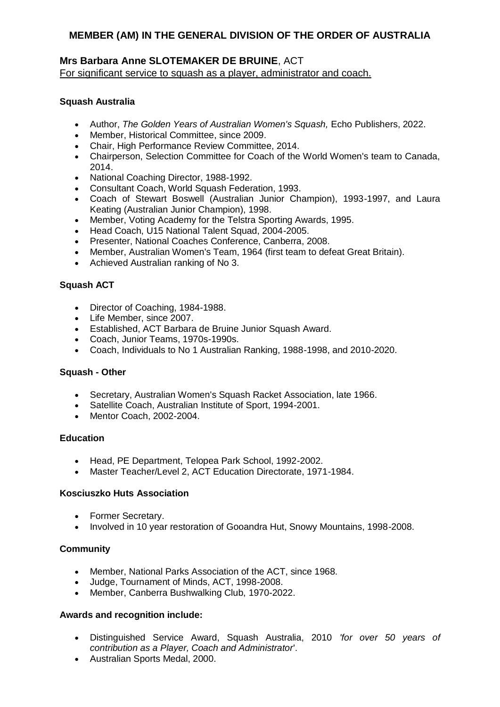## **Mrs Barbara Anne SLOTEMAKER DE BRUINE**, ACT For significant service to squash as a player, administrator and coach.

### **Squash Australia**

- Author, *The Golden Years of Australian Women's Squash,* Echo Publishers, 2022.
- Member, Historical Committee, since 2009.
- Chair, High Performance Review Committee, 2014.
- Chairperson, Selection Committee for Coach of the World Women's team to Canada, 2014.
- National Coaching Director, 1988-1992.
- Consultant Coach, World Squash Federation, 1993.
- Coach of Stewart Boswell (Australian Junior Champion), 1993-1997, and Laura Keating (Australian Junior Champion), 1998.
- Member, Voting Academy for the Telstra Sporting Awards, 1995.
- Head Coach, U15 National Talent Squad, 2004-2005.
- Presenter, National Coaches Conference, Canberra, 2008.
- Member, Australian Women's Team, 1964 (first team to defeat Great Britain).
- Achieved Australian ranking of No 3.

### **Squash ACT**

- Director of Coaching, 1984-1988.
- Life Member, since 2007.
- Established, ACT Barbara de Bruine Junior Squash Award.
- Coach, Junior Teams, 1970s-1990s.
- Coach, Individuals to No 1 Australian Ranking, 1988-1998, and 2010-2020.

#### **Squash - Other**

- Secretary, Australian Women's Squash Racket Association, late 1966.
- Satellite Coach, Australian Institute of Sport, 1994-2001.
- Mentor Coach, 2002-2004.

#### **Education**

- Head, PE Department, Telopea Park School, 1992-2002.
- Master Teacher/Level 2, ACT Education Directorate, 1971-1984.

#### **Kosciuszko Huts Association**

- Former Secretary.
- Involved in 10 year restoration of Gooandra Hut, Snowy Mountains, 1998-2008.

### **Community**

- Member, National Parks Association of the ACT, since 1968.
- Judge, Tournament of Minds, ACT, 1998-2008.
- Member, Canberra Bushwalking Club, 1970-2022.

- Distinguished Service Award, Squash Australia, 2010 *'for over 50 years of contribution as a Player, Coach and Administrator*'.
- Australian Sports Medal, 2000.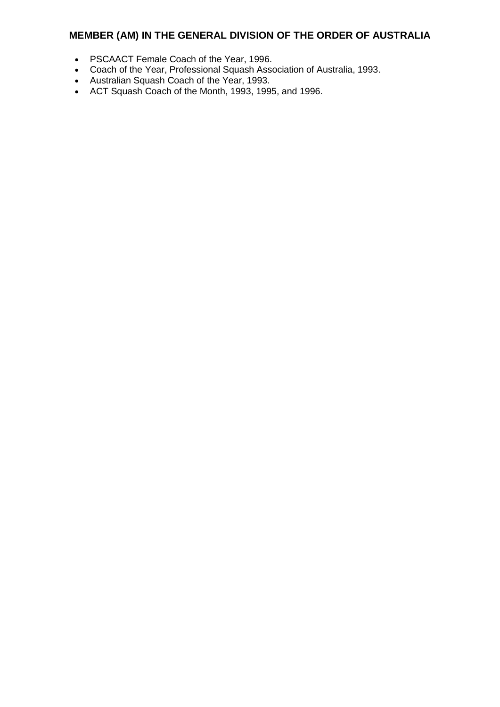- PSCAACT Female Coach of the Year, 1996.
- Coach of the Year, Professional Squash Association of Australia, 1993.
- Australian Squash Coach of the Year, 1993.
- ACT Squash Coach of the Month, 1993, 1995, and 1996.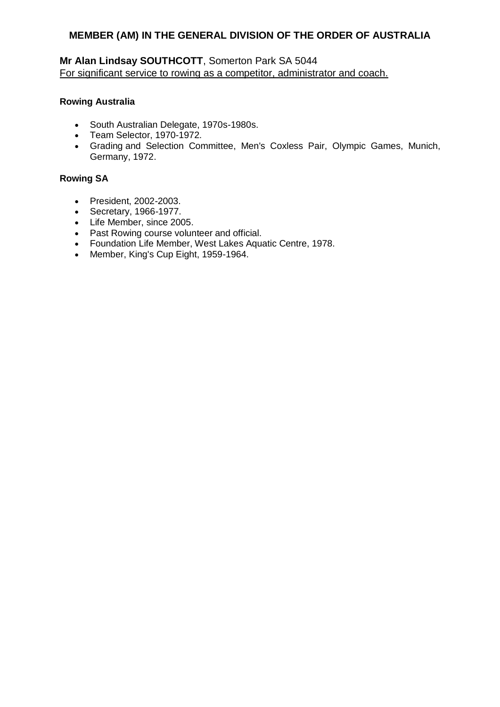# **Mr Alan Lindsay SOUTHCOTT**, Somerton Park SA 5044 For significant service to rowing as a competitor, administrator and coach.

### **Rowing Australia**

- South Australian Delegate, 1970s-1980s.
- Team Selector, 1970-1972.
- Grading and Selection Committee, Men's Coxless Pair, Olympic Games, Munich, Germany, 1972.

## **Rowing SA**

- President, 2002-2003.
- $\cdot$  Secretary, 1966-1977.
- Life Member, since 2005.
- Past Rowing course volunteer and official.
- Foundation Life Member, West Lakes Aquatic Centre, 1978.
- Member, King's Cup Eight, 1959-1964.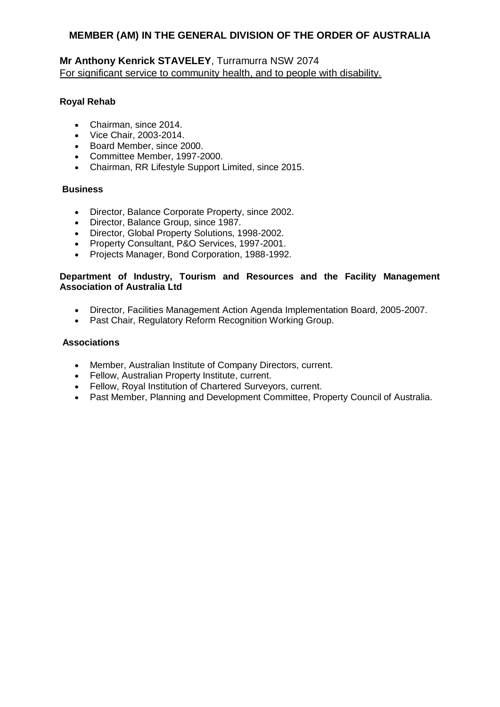## **Mr Anthony Kenrick STAVELEY**, Turramurra NSW 2074 For significant service to community health, and to people with disability.

## **Royal Rehab**

- Chairman, since 2014.
- Vice Chair, 2003-2014.
- Board Member, since 2000.
- Committee Member, 1997-2000.
- Chairman, RR Lifestyle Support Limited, since 2015.

### **Business**

- Director, Balance Corporate Property, since 2002.
- Director, Balance Group, since 1987.
- Director, Global Property Solutions, 1998-2002.
- Property Consultant, P&O Services, 1997-2001.
- Projects Manager, Bond Corporation, 1988-1992.

### **Department of Industry, Tourism and Resources and the Facility Management Association of Australia Ltd**

- Director, Facilities Management Action Agenda Implementation Board, 2005-2007.
- Past Chair, Regulatory Reform Recognition Working Group.

### **Associations**

- Member, Australian Institute of Company Directors, current.
- Fellow, Australian Property Institute, current.
- Fellow, Royal Institution of Chartered Surveyors, current.
- Past Member, Planning and Development Committee, Property Council of Australia.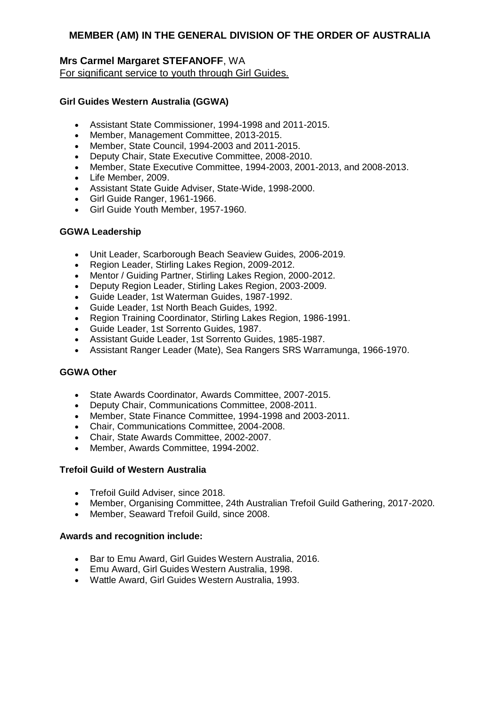## **Mrs Carmel Margaret STEFANOFF**, WA For significant service to youth through Girl Guides.

### **Girl Guides Western Australia (GGWA)**

- Assistant State Commissioner, 1994-1998 and 2011-2015.
- Member, Management Committee, 2013-2015.
- Member, State Council, 1994-2003 and 2011-2015.
- Deputy Chair, State Executive Committee, 2008-2010.
- Member, State Executive Committee, 1994-2003, 2001-2013, and 2008-2013.
- Life Member, 2009.
- Assistant State Guide Adviser, State-Wide, 1998-2000.
- Girl Guide Ranger, 1961-1966.
- Girl Guide Youth Member, 1957-1960.

### **GGWA Leadership**

- Unit Leader, Scarborough Beach Seaview Guides, 2006-2019.
- Region Leader, Stirling Lakes Region, 2009-2012.
- Mentor / Guiding Partner, Stirling Lakes Region, 2000-2012.
- Deputy Region Leader, Stirling Lakes Region, 2003-2009.
- Guide Leader, 1st Waterman Guides, 1987-1992.
- Guide Leader, 1st North Beach Guides, 1992.
- Region Training Coordinator, Stirling Lakes Region, 1986-1991.
- Guide Leader, 1st Sorrento Guides, 1987.
- Assistant Guide Leader, 1st Sorrento Guides, 1985-1987.
- Assistant Ranger Leader (Mate), Sea Rangers SRS Warramunga, 1966-1970.

### **GGWA Other**

- State Awards Coordinator, Awards Committee, 2007-2015.
- Deputy Chair, Communications Committee, 2008-2011.
- Member, State Finance Committee, 1994-1998 and 2003-2011.
- Chair, Communications Committee, 2004-2008.
- Chair, State Awards Committee, 2002-2007.
- Member, Awards Committee, 1994-2002.

### **Trefoil Guild of Western Australia**

- Trefoil Guild Adviser, since 2018.
- Member, Organising Committee, 24th Australian Trefoil Guild Gathering, 2017-2020.
- Member, Seaward Trefoil Guild, since 2008.

- Bar to Emu Award, Girl Guides Western Australia, 2016.
- Emu Award, Girl Guides Western Australia, 1998.
- Wattle Award, Girl Guides Western Australia, 1993.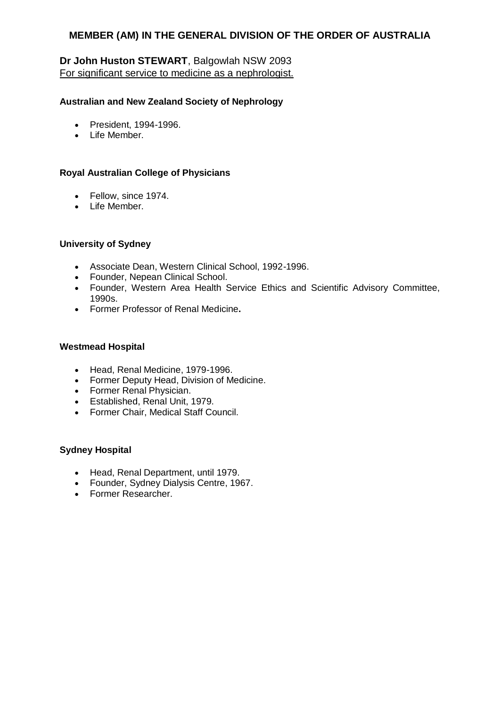# **Dr John Huston STEWART**, Balgowlah NSW 2093 For significant service to medicine as a nephrologist.

### **Australian and New Zealand Society of Nephrology**

- President, 1994-1996.
- Life Member.

### **Royal Australian College of Physicians**

- Fellow, since 1974.
- Life Member.

### **University of Sydney**

- Associate Dean, Western Clinical School, 1992-1996.
- Founder, Nepean Clinical School.
- Founder, Western Area Health Service Ethics and Scientific Advisory Committee, 1990s.
- Former Professor of Renal Medicine**.**

### **Westmead Hospital**

- Head, Renal Medicine, 1979-1996.
- Former Deputy Head, Division of Medicine.
- Former Renal Physician.
- Established, Renal Unit, 1979.
- Former Chair, Medical Staff Council.

### **Sydney Hospital**

- Head, Renal Department, until 1979.
- Founder, Sydney Dialysis Centre, 1967.
- Former Researcher.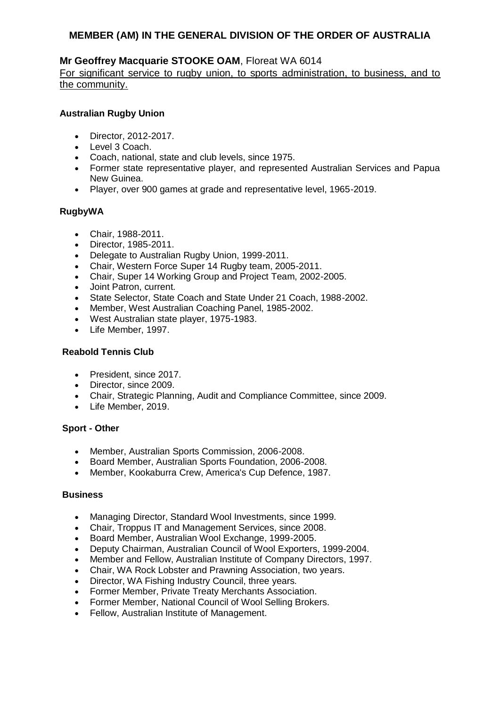## **Mr Geoffrey Macquarie STOOKE OAM**, Floreat WA 6014

For significant service to rugby union, to sports administration, to business, and to the community.

### **Australian Rugby Union**

- Director, 2012-2017.
- Level 3 Coach.
- Coach, national, state and club levels, since 1975.
- Former state representative player, and represented Australian Services and Papua New Guinea.
- Player, over 900 games at grade and representative level, 1965-2019.

### **RugbyWA**

- Chair, 1988-2011.
- Director, 1985-2011.
- Delegate to Australian Rugby Union, 1999-2011.
- Chair, Western Force Super 14 Rugby team, 2005-2011.
- Chair, Super 14 Working Group and Project Team, 2002-2005.
- Joint Patron, current.
- State Selector, State Coach and State Under 21 Coach, 1988-2002.
- Member, West Australian Coaching Panel, 1985-2002.
- West Australian state player, 1975-1983.
- Life Member, 1997.

### **Reabold Tennis Club**

- President, since 2017.
- Director, since 2009.
- Chair, Strategic Planning, Audit and Compliance Committee, since 2009.
- Life Member, 2019.

### **Sport - Other**

- Member, Australian Sports Commission, 2006-2008.
- Board Member, Australian Sports Foundation, 2006-2008.
- Member, Kookaburra Crew, America's Cup Defence, 1987.

### **Business**

- Managing Director, Standard Wool Investments, since 1999.
- Chair, Troppus IT and Management Services, since 2008.
- Board Member, Australian Wool Exchange, 1999-2005.
- Deputy Chairman, Australian Council of Wool Exporters, 1999-2004.
- Member and Fellow, Australian Institute of Company Directors, 1997.
- Chair, WA Rock Lobster and Prawning Association, two years.
- Director, WA Fishing Industry Council, three years.
- Former Member, Private Treaty Merchants Association.
- Former Member, National Council of Wool Selling Brokers.
- Fellow, Australian Institute of Management.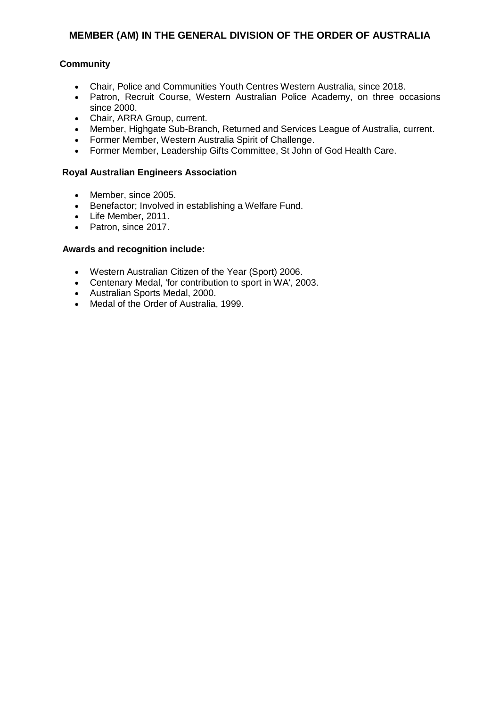## **Community**

- Chair, Police and Communities Youth Centres Western Australia, since 2018.
- Patron, Recruit Course, Western Australian Police Academy, on three occasions since 2000.
- Chair, ARRA Group, current.
- Member, Highgate Sub-Branch, Returned and Services League of Australia, current.
- Former Member, Western Australia Spirit of Challenge.
- Former Member, Leadership Gifts Committee, St John of God Health Care.

## **Royal Australian Engineers Association**

- Member, since 2005.
- Benefactor; Involved in establishing a Welfare Fund.
- Life Member, 2011.
- Patron, since 2017.

- Western Australian Citizen of the Year (Sport) 2006.
- Centenary Medal, 'for contribution to sport in WA', 2003.
- Australian Sports Medal, 2000.
- Medal of the Order of Australia, 1999.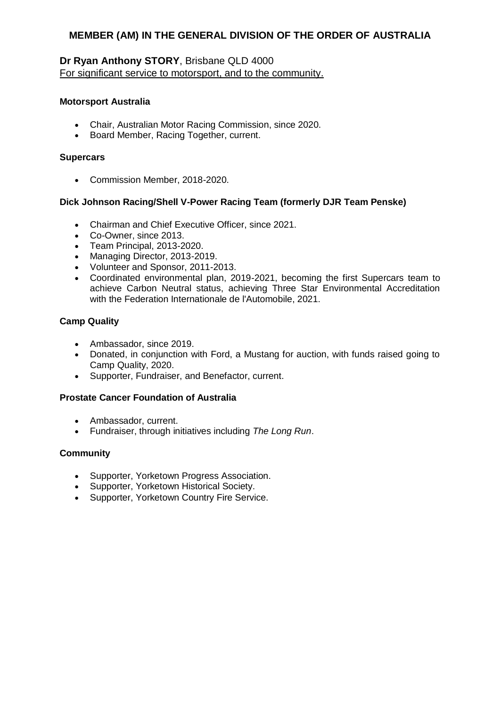## **Dr Ryan Anthony STORY**, Brisbane QLD 4000 For significant service to motorsport, and to the community.

### **Motorsport Australia**

- Chair, Australian Motor Racing Commission, since 2020.
- Board Member, Racing Together, current.

### **Supercars**

Commission Member, 2018-2020.

## **Dick Johnson Racing/Shell V-Power Racing Team (formerly DJR Team Penske)**

- Chairman and Chief Executive Officer, since 2021.
- Co-Owner, since 2013.
- Team Principal, 2013-2020.
- Managing Director, 2013-2019.
- Volunteer and Sponsor, 2011-2013.
- Coordinated environmental plan, 2019-2021, becoming the first Supercars team to achieve Carbon Neutral status, achieving Three Star Environmental Accreditation with the Federation Internationale de l'Automobile, 2021.

### **Camp Quality**

- Ambassador, since 2019.
- Donated, in conjunction with Ford, a Mustang for auction, with funds raised going to Camp Quality, 2020.
- Supporter, Fundraiser, and Benefactor, current.

### **Prostate Cancer Foundation of Australia**

- Ambassador, current.
- Fundraiser, through initiatives including *The Long Run*.

### **Community**

- Supporter, Yorketown Progress Association.
- Supporter, Yorketown Historical Society.
- Supporter, Yorketown Country Fire Service.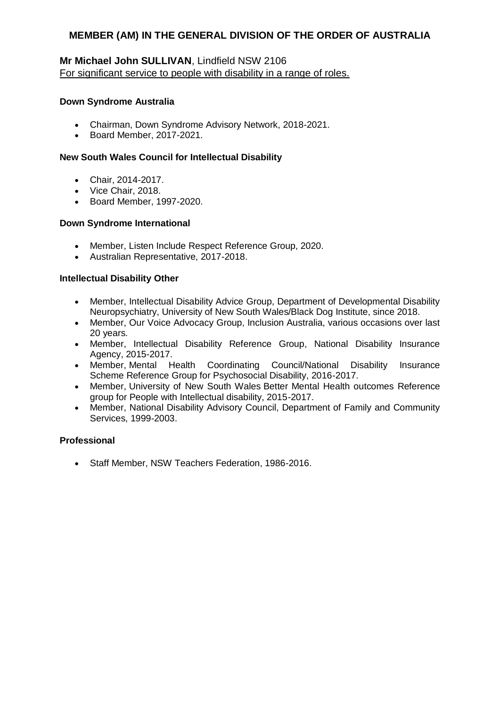# **Mr Michael John SULLIVAN**, Lindfield NSW 2106 For significant service to people with disability in a range of roles.

#### **Down Syndrome Australia**

- Chairman, Down Syndrome Advisory Network, 2018-2021.
- Board Member, 2017-2021.

#### **New South Wales Council for Intellectual Disability**

- Chair, 2014-2017.
- Vice Chair, 2018.
- Board Member, 1997-2020.

#### **Down Syndrome International**

- Member, Listen Include Respect Reference Group, 2020.
- Australian Representative, 2017-2018.

#### **Intellectual Disability Other**

- Member, Intellectual Disability Advice Group, Department of Developmental Disability Neuropsychiatry, University of New South Wales/Black Dog Institute, since 2018.
- Member, Our Voice Advocacy Group, Inclusion Australia, various occasions over last 20 years.
- Member, Intellectual Disability Reference Group, National Disability Insurance Agency, 2015-2017.
- Member, Mental Health Coordinating Council/National Disability Insurance Scheme Reference Group for Psychosocial Disability, 2016-2017.
- Member, University of New South Wales Better Mental Health outcomes Reference group for People with Intellectual disability, 2015-2017.
- Member, National Disability Advisory Council, Department of Family and Community Services, 1999-2003.

#### **Professional**

• Staff Member, NSW Teachers Federation, 1986-2016.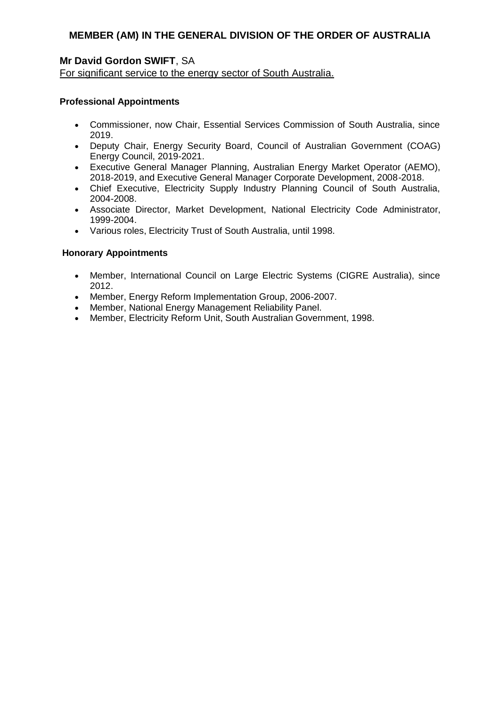# **Mr David Gordon SWIFT**, SA

For significant service to the energy sector of South Australia.

### **Professional Appointments**

- Commissioner, now Chair, Essential Services Commission of South Australia, since 2019.
- Deputy Chair, Energy Security Board, Council of Australian Government (COAG) Energy Council, 2019-2021.
- Executive General Manager Planning, Australian Energy Market Operator (AEMO), 2018-2019, and Executive General Manager Corporate Development, 2008-2018.
- Chief Executive, Electricity Supply Industry Planning Council of South Australia, 2004-2008.
- Associate Director, Market Development, National Electricity Code Administrator, 1999-2004.
- Various roles, Electricity Trust of South Australia, until 1998.

## **Honorary Appointments**

- Member, International Council on Large Electric Systems (CIGRE Australia), since 2012.
- Member, Energy Reform Implementation Group, 2006-2007.
- Member, National Energy Management Reliability Panel.
- Member, Electricity Reform Unit, South Australian Government, 1998.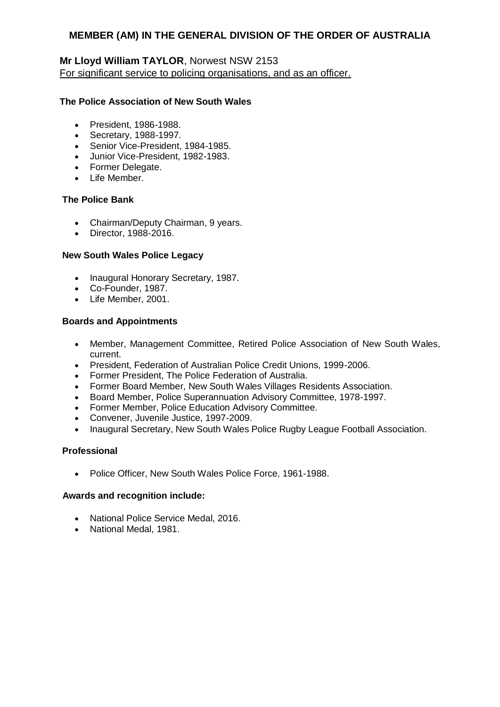# **Mr Lloyd William TAYLOR**, Norwest NSW 2153 For significant service to policing organisations, and as an officer.

### **The Police Association of New South Wales**

- President, 1986-1988.
- Secretary, 1988-1997.
- Senior Vice-President, 1984-1985.
- Junior Vice-President, 1982-1983.
- Former Delegate.
- Life Member.

## **The Police Bank**

- Chairman/Deputy Chairman, 9 years.
- Director, 1988-2016.

### **New South Wales Police Legacy**

- Inaugural Honorary Secretary, 1987.
- Co-Founder, 1987.
- Life Member, 2001.

### **Boards and Appointments**

- Member, Management Committee, Retired Police Association of New South Wales, current.
- President, Federation of Australian Police Credit Unions, 1999-2006.
- Former President, The Police Federation of Australia.
- Former Board Member, New South Wales Villages Residents Association.
- Board Member, Police Superannuation Advisory Committee, 1978-1997.
- Former Member, Police Education Advisory Committee.
- Convener, Juvenile Justice, 1997-2009.
- Inaugural Secretary, New South Wales Police Rugby League Football Association.

### **Professional**

• Police Officer, New South Wales Police Force, 1961-1988.

- National Police Service Medal, 2016.
- National Medal, 1981.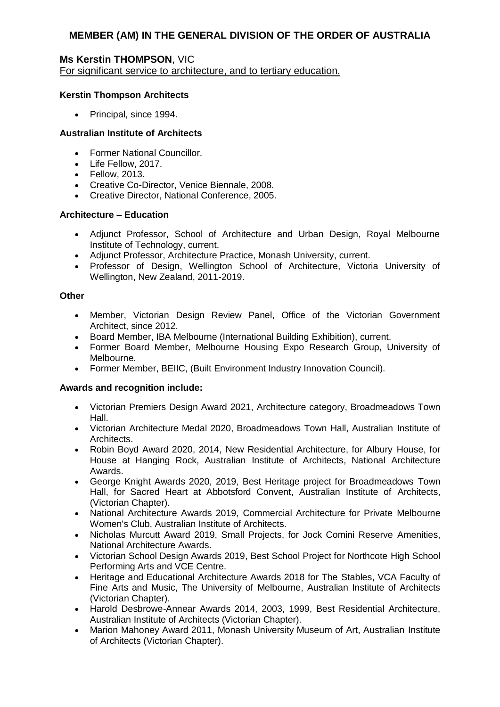## **Ms Kerstin THOMPSON**, VIC

For significant service to architecture, and to tertiary education.

### **Kerstin Thompson Architects**

• Principal, since 1994.

## **Australian Institute of Architects**

- Former National Councillor.
- Life Fellow, 2017.
- Fellow, 2013.
- Creative Co-Director, Venice Biennale, 2008.
- Creative Director, National Conference, 2005.

## **Architecture – Education**

- Adjunct Professor, School of Architecture and Urban Design, Royal Melbourne Institute of Technology, current.
- Adjunct Professor, Architecture Practice, Monash University, current.
- Professor of Design, Wellington School of Architecture, Victoria University of Wellington, New Zealand, 2011-2019.

### **Other**

- Member, Victorian Design Review Panel, Office of the Victorian Government Architect, since 2012.
- Board Member, IBA Melbourne (International Building Exhibition), current.
- Former Board Member, Melbourne Housing Expo Research Group, University of Melbourne.
- Former Member, BEIIC, (Built Environment Industry Innovation Council).

- Victorian Premiers Design Award 2021, Architecture category, Broadmeadows Town Hall.
- Victorian Architecture Medal 2020, Broadmeadows Town Hall, Australian Institute of Architects.
- Robin Boyd Award 2020, 2014, New Residential Architecture, for Albury House, for House at Hanging Rock, Australian Institute of Architects, National Architecture Awards.
- George Knight Awards 2020, 2019, Best Heritage project for Broadmeadows Town Hall, for Sacred Heart at Abbotsford Convent, Australian Institute of Architects, (Victorian Chapter).
- National Architecture Awards 2019, Commercial Architecture for Private Melbourne Women's Club, Australian Institute of Architects.
- Nicholas Murcutt Award 2019, Small Projects, for Jock Comini Reserve Amenities, National Architecture Awards.
- Victorian School Design Awards 2019, Best School Project for Northcote High School Performing Arts and VCE Centre.
- Heritage and Educational Architecture Awards 2018 for The Stables, VCA Faculty of Fine Arts and Music, The University of Melbourne, Australian Institute of Architects (Victorian Chapter).
- Harold Desbrowe-Annear Awards 2014, 2003, 1999, Best Residential Architecture, Australian Institute of Architects (Victorian Chapter).
- Marion Mahoney Award 2011, Monash University Museum of Art, Australian Institute of Architects (Victorian Chapter).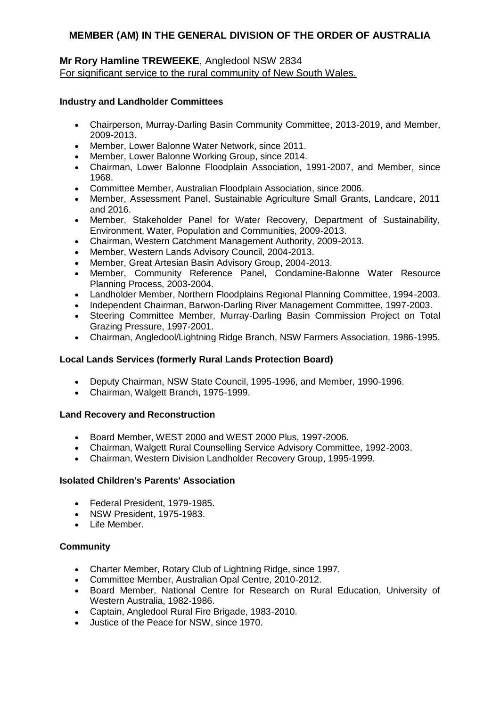# **Mr Rory Hamline TREWEEKE**, Angledool NSW 2834 For significant service to the rural community of New South Wales.

### **Industry and Landholder Committees**

- Chairperson, Murray-Darling Basin Community Committee, 2013-2019, and Member, 2009-2013.
- Member, Lower Balonne Water Network, since 2011.
- Member, Lower Balonne Working Group, since 2014.
- Chairman, Lower Balonne Floodplain Association, 1991-2007, and Member, since 1968.
- Committee Member, Australian Floodplain Association, since 2006.
- Member, Assessment Panel, Sustainable Agriculture Small Grants, Landcare, 2011 and 2016.
- Member, Stakeholder Panel for Water Recovery, Department of Sustainability, Environment, Water, Population and Communities, 2009-2013.
- Chairman, Western Catchment Management Authority, 2009-2013.
- Member, Western Lands Advisory Council, 2004-2013.
- Member, Great Artesian Basin Advisory Group, 2004-2013.
- Member, Community Reference Panel, Condamine-Balonne Water Resource Planning Process, 2003-2004.
- Landholder Member, Northern Floodplains Regional Planning Committee, 1994-2003.
- Independent Chairman, Barwon-Darling River Management Committee, 1997-2003.
- Steering Committee Member, Murray-Darling Basin Commission Project on Total Grazing Pressure, 1997-2001.
- Chairman, Angledool/Lightning Ridge Branch, NSW Farmers Association, 1986-1995.

### **Local Lands Services (formerly Rural Lands Protection Board)**

- Deputy Chairman, NSW State Council, 1995-1996, and Member, 1990-1996.
- Chairman, Walgett Branch, 1975-1999.

### **Land Recovery and Reconstruction**

- Board Member, WEST 2000 and WEST 2000 Plus, 1997-2006.
- Chairman, Walgett Rural Counselling Service Advisory Committee, 1992-2003.
- Chairman, Western Division Landholder Recovery Group, 1995-1999.

### **Isolated Children's Parents' Association**

- Federal President, 1979-1985.
- NSW President, 1975-1983.
- Life Member.

### **Community**

- Charter Member, Rotary Club of Lightning Ridge, since 1997.
- Committee Member, Australian Opal Centre, 2010-2012.
- Board Member, National Centre for Research on Rural Education, University of Western Australia, 1982-1986.
- Captain, Angledool Rural Fire Brigade, 1983-2010.
- Justice of the Peace for NSW, since 1970.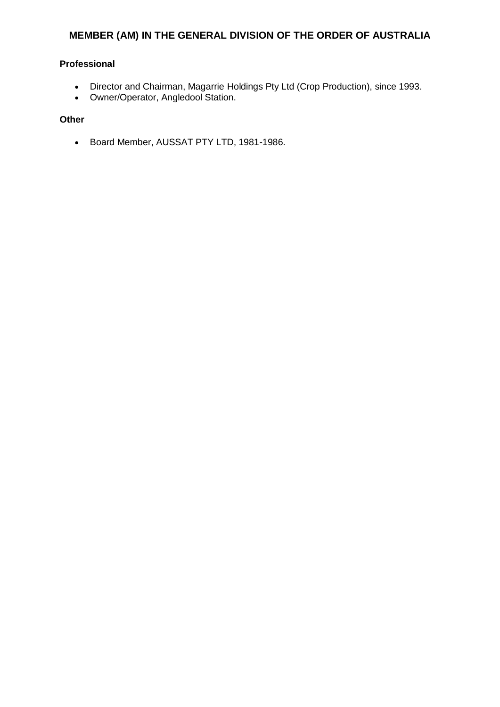## **Professional**

- Director and Chairman, Magarrie Holdings Pty Ltd (Crop Production), since 1993.
- Owner/Operator, Angledool Station.

## **Other**

Board Member, AUSSAT PTY LTD, 1981-1986.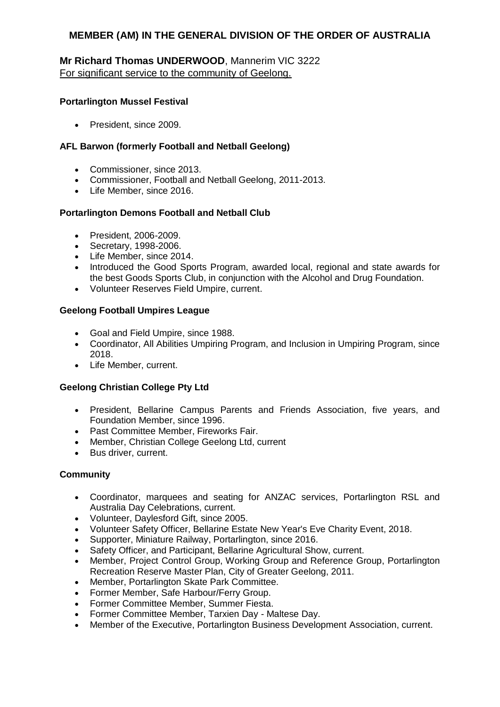## **Mr Richard Thomas UNDERWOOD**, Mannerim VIC 3222 For significant service to the community of Geelong.

### **Portarlington Mussel Festival**

• President, since 2009.

## **AFL Barwon (formerly Football and Netball Geelong)**

- Commissioner, since 2013.
- Commissioner, Football and Netball Geelong, 2011-2013.
- Life Member, since 2016.

## **Portarlington Demons Football and Netball Club**

- President, 2006-2009.
- Secretary, 1998-2006.
- Life Member, since 2014.
- Introduced the Good Sports Program, awarded local, regional and state awards for the best Goods Sports Club, in conjunction with the Alcohol and Drug Foundation.
- Volunteer Reserves Field Umpire, current.

### **Geelong Football Umpires League**

- Goal and Field Umpire, since 1988.
- Coordinator, All Abilities Umpiring Program, and Inclusion in Umpiring Program, since 2018.
- Life Member, current.

### **Geelong Christian College Pty Ltd**

- President, Bellarine Campus Parents and Friends Association, five years, and Foundation Member, since 1996.
- Past Committee Member, Fireworks Fair.
- Member, Christian College Geelong Ltd, current
- Bus driver, current.

### **Community**

- Coordinator, marquees and seating for ANZAC services, Portarlington RSL and Australia Day Celebrations, current.
- Volunteer, Daylesford Gift, since 2005.
- Volunteer Safety Officer, Bellarine Estate New Year's Eve Charity Event, 2018.
- Supporter, Miniature Railway, Portarlington, since 2016.
- Safety Officer, and Participant, Bellarine Agricultural Show, current.
- Member, Project Control Group, Working Group and Reference Group, Portarlington Recreation Reserve Master Plan, City of Greater Geelong, 2011.
- Member, Portarlington Skate Park Committee.
- Former Member, Safe Harbour/Ferry Group.
- Former Committee Member, Summer Fiesta.
- Former Committee Member, Tarxien Day Maltese Day.
- Member of the Executive, Portarlington Business Development Association, current.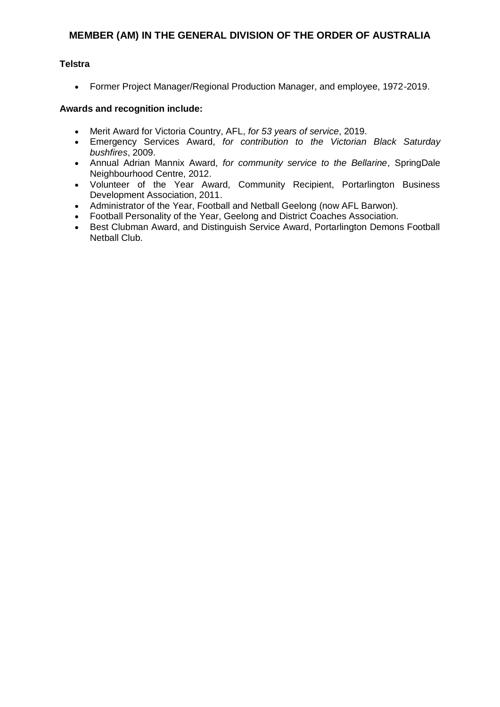### **Telstra**

Former Project Manager/Regional Production Manager, and employee, 1972-2019.

- Merit Award for Victoria Country, AFL, *for 53 years of service*, 2019.
- Emergency Services Award, *for contribution to the Victorian Black Saturday bushfires*, 2009.
- Annual Adrian Mannix Award, *for community service to the Bellarine*, SpringDale Neighbourhood Centre, 2012.
- Volunteer of the Year Award, Community Recipient, Portarlington Business Development Association, 2011.
- Administrator of the Year, Football and Netball Geelong (now AFL Barwon).
- Football Personality of the Year, Geelong and District Coaches Association.
- Best Clubman Award, and Distinguish Service Award, Portarlington Demons Football Netball Club.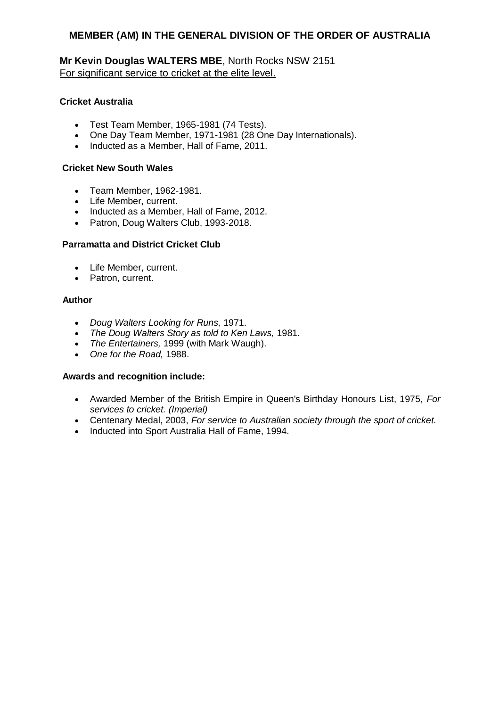**Mr Kevin Douglas WALTERS MBE**, North Rocks NSW 2151 For significant service to cricket at the elite level.

### **Cricket Australia**

- Test Team Member, 1965-1981 (74 Tests).
- One Day Team Member, 1971-1981 (28 One Day Internationals).
- Inducted as a Member, Hall of Fame, 2011.

### **Cricket New South Wales**

- Team Member, 1962-1981.
- Life Member, current.
- Inducted as a Member, Hall of Fame, 2012.
- Patron, Doug Walters Club, 1993-2018.

## **Parramatta and District Cricket Club**

- Life Member, current.
- Patron, current.

### **Author**

- *Doug Walters Looking for Runs,* 1971.
- *The Doug Walters Story as told to Ken Laws,* 1981*.*
- *The Entertainers,* 1999 (with Mark Waugh).
- *One for the Road,* 1988.

- Awarded Member of the British Empire in Queen's Birthday Honours List, 1975, *For services to cricket. (Imperial)*
- Centenary Medal, 2003, *For service to Australian society through the sport of cricket.*
- Inducted into Sport Australia Hall of Fame, 1994.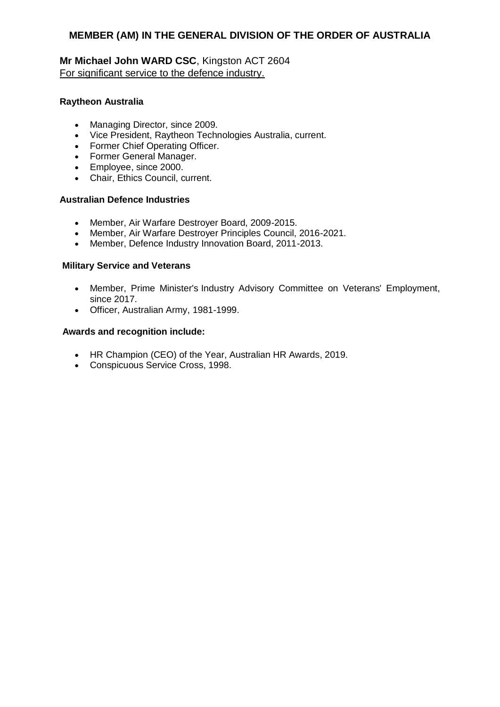# **Mr Michael John WARD CSC**, Kingston ACT 2604 For significant service to the defence industry.

### **Raytheon Australia**

- Managing Director, since 2009.
- Vice President, Raytheon Technologies Australia, current.
- Former Chief Operating Officer.
- Former General Manager.
- Employee, since 2000.
- Chair, Ethics Council, current.

## **Australian Defence Industries**

- Member, Air Warfare Destroyer Board, 2009-2015.
- Member, Air Warfare Destroyer Principles Council, 2016-2021.
- Member, Defence Industry Innovation Board, 2011-2013.

#### **Military Service and Veterans**

- Member, Prime Minister's Industry Advisory Committee on Veterans' Employment, since 2017.
- Officer, Australian Army, 1981-1999.

- HR Champion (CEO) of the Year, Australian HR Awards, 2019.
- Conspicuous Service Cross, 1998.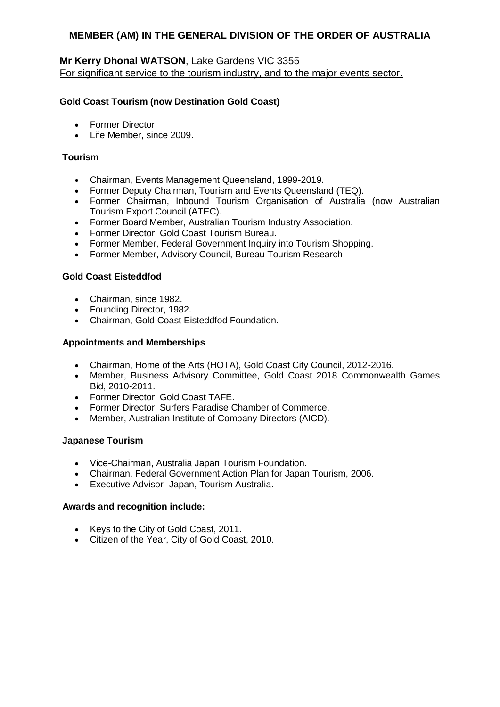## **Mr Kerry Dhonal WATSON**, Lake Gardens VIC 3355 For significant service to the tourism industry, and to the major events sector.

### **Gold Coast Tourism (now Destination Gold Coast)**

- Former Director.
- Life Member, since 2009.

### **Tourism**

- Chairman, Events Management Queensland, 1999-2019.
- Former Deputy Chairman, Tourism and Events Queensland (TEQ).
- Former Chairman, Inbound Tourism Organisation of Australia (now Australian Tourism Export Council (ATEC).
- Former Board Member, Australian Tourism Industry Association.
- Former Director, Gold Coast Tourism Bureau.
- Former Member, Federal Government Inquiry into Tourism Shopping.
- Former Member, Advisory Council, Bureau Tourism Research.

#### **Gold Coast Eisteddfod**

- Chairman, since 1982.
- Founding Director, 1982.
- Chairman, Gold Coast Eisteddfod Foundation.

#### **Appointments and Memberships**

- Chairman, Home of the Arts (HOTA), Gold Coast City Council, 2012-2016.
- Member, Business Advisory Committee, Gold Coast 2018 Commonwealth Games Bid, 2010-2011.
- Former Director, Gold Coast TAFE.
- Former Director, Surfers Paradise Chamber of Commerce.
- Member, Australian Institute of Company Directors (AICD).

#### **Japanese Tourism**

- Vice-Chairman, Australia Japan Tourism Foundation.
- Chairman, Federal Government Action Plan for Japan Tourism, 2006.
- Executive Advisor -Japan, Tourism Australia.

- Keys to the City of Gold Coast, 2011.
- Citizen of the Year, City of Gold Coast, 2010.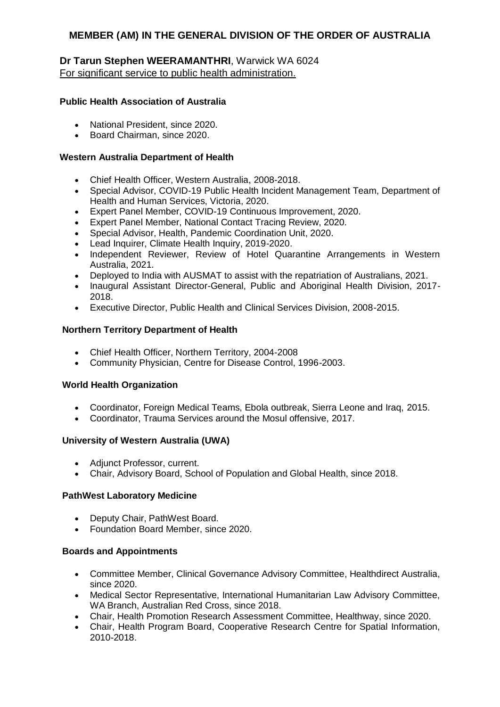## **Dr Tarun Stephen WEERAMANTHRI**, Warwick WA 6024 For significant service to public health administration.

### **Public Health Association of Australia**

- National President, since 2020.
- Board Chairman, since 2020.

#### **Western Australia Department of Health**

- Chief Health Officer, Western Australia, 2008-2018.
- Special Advisor, COVID-19 Public Health Incident Management Team, Department of Health and Human Services, Victoria, 2020.
- Expert Panel Member, COVID-19 Continuous Improvement, 2020.
- Expert Panel Member, National Contact Tracing Review, 2020.
- Special Advisor, Health, Pandemic Coordination Unit, 2020.
- Lead Inquirer, Climate Health Inquiry, 2019-2020.
- Independent Reviewer, Review of Hotel Quarantine Arrangements in Western Australia, 2021.
- Deployed to India with AUSMAT to assist with the repatriation of Australians, 2021.
- Inaugural Assistant Director-General, Public and Aboriginal Health Division, 2017-2018.
- Executive Director, Public Health and Clinical Services Division, 2008-2015.

#### **Northern Territory Department of Health**

- Chief Health Officer, Northern Territory, 2004-2008
- Community Physician, Centre for Disease Control, 1996-2003.

### **World Health Organization**

- Coordinator, Foreign Medical Teams, Ebola outbreak, Sierra Leone and Iraq, 2015.
- Coordinator, Trauma Services around the Mosul offensive, 2017.

### **University of Western Australia (UWA)**

- Adjunct Professor, current.
- Chair, Advisory Board, School of Population and Global Health, since 2018.

#### **PathWest Laboratory Medicine**

- Deputy Chair, PathWest Board.
- Foundation Board Member, since 2020.

#### **Boards and Appointments**

- Committee Member, Clinical Governance Advisory Committee, Healthdirect Australia, since 2020.
- Medical Sector Representative, International Humanitarian Law Advisory Committee, WA Branch, Australian Red Cross, since 2018.
- Chair, Health Promotion Research Assessment Committee, Healthway, since 2020.
- Chair, Health Program Board, Cooperative Research Centre for Spatial Information, 2010-2018.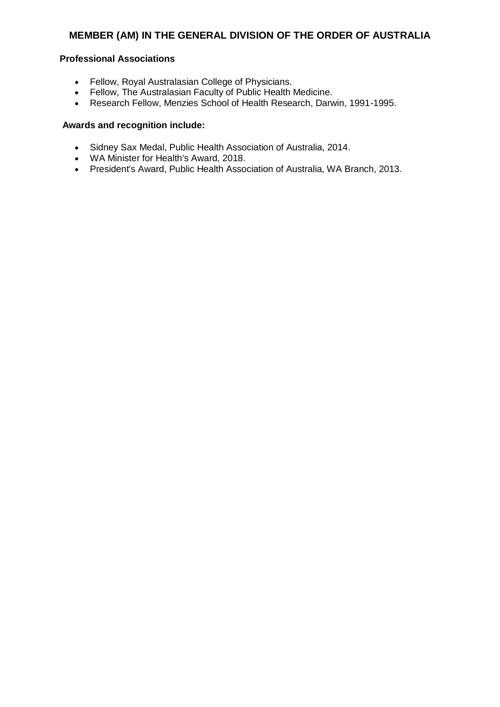## **Professional Associations**

- Fellow, Royal Australasian College of Physicians.
- Fellow, The Australasian Faculty of Public Health Medicine.
- Research Fellow, Menzies School of Health Research, Darwin, 1991-1995.

- Sidney Sax Medal, Public Health Association of Australia, 2014.
- WA Minister for Health's Award, 2018.
- President's Award, Public Health Association of Australia, WA Branch, 2013.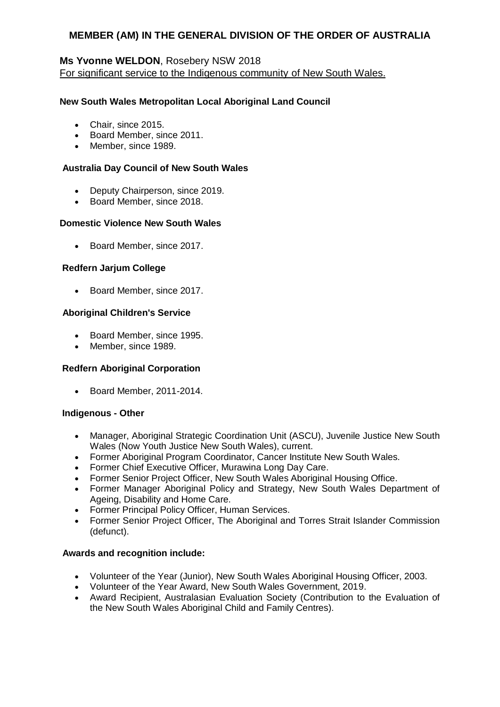## **Ms Yvonne WELDON**, Rosebery NSW 2018

For significant service to the Indigenous community of New South Wales.

### **New South Wales Metropolitan Local Aboriginal Land Council**

- Chair, since 2015.
- Board Member, since 2011.
- Member, since 1989.

#### **Australia Day Council of New South Wales**

- Deputy Chairperson, since 2019.
- Board Member, since 2018.

#### **Domestic Violence New South Wales**

• Board Member, since 2017.

#### **Redfern Jarjum College**

• Board Member, since 2017.

#### **Aboriginal Children's Service**

- Board Member, since 1995.
- Member, since 1989.

#### **Redfern Aboriginal Corporation**

• Board Member, 2011-2014.

#### **Indigenous - Other**

- Manager, Aboriginal Strategic Coordination Unit (ASCU), Juvenile Justice New South Wales (Now Youth Justice New South Wales), current.
- Former Aboriginal Program Coordinator, Cancer Institute New South Wales.
- Former Chief Executive Officer, Murawina Long Day Care.
- Former Senior Project Officer, New South Wales Aboriginal Housing Office.
- Former Manager Aboriginal Policy and Strategy, New South Wales Department of Ageing, Disability and Home Care.
- Former Principal Policy Officer, Human Services.
- Former Senior Project Officer, The Aboriginal and Torres Strait Islander Commission (defunct).

- Volunteer of the Year (Junior), New South Wales Aboriginal Housing Officer, 2003.
- Volunteer of the Year Award, New South Wales Government, 2019.
- Award Recipient, Australasian Evaluation Society (Contribution to the Evaluation of the New South Wales Aboriginal Child and Family Centres).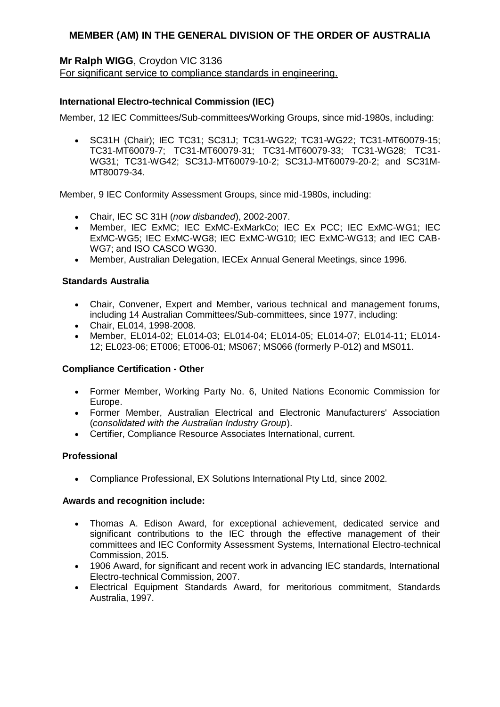## **Mr Ralph WIGG**, Croydon VIC 3136

For significant service to compliance standards in engineering.

### **International Electro-technical Commission (IEC)**

Member, 12 IEC Committees/Sub-committees/Working Groups, since mid-1980s, including:

 SC31H (Chair); IEC TC31; SC31J; TC31-WG22; TC31-WG22; TC31-MT60079-15; TC31-MT60079-7; TC31-MT60079-31; TC31-MT60079-33; TC31-WG28; TC31- WG31; TC31-WG42; SC31J-MT60079-10-2; SC31J-MT60079-20-2; and SC31M-MT80079-34.

Member, 9 IEC Conformity Assessment Groups, since mid-1980s, including:

- Chair, IEC SC 31H (*now disbanded*), 2002-2007.
- Member, IEC ExMC; IEC ExMC-ExMarkCo; IEC Ex PCC; IEC ExMC-WG1; IEC ExMC-WG5; IEC ExMC-WG8; IEC ExMC-WG10; IEC ExMC-WG13; and IEC CAB-WG7; and ISO CASCO WG30.
- Member, Australian Delegation, IECEx Annual General Meetings, since 1996.

#### **Standards Australia**

- Chair, Convener, Expert and Member, various technical and management forums, including 14 Australian Committees/Sub-committees, since 1977, including:
- Chair, EL014, 1998-2008.
- Member, EL014-02; EL014-03; EL014-04; EL014-05; EL014-07; EL014-11; EL014- 12; EL023-06; ET006; ET006-01; MS067; MS066 (formerly P-012) and MS011.

#### **Compliance Certification - Other**

- Former Member, Working Party No. 6, United Nations Economic Commission for Europe.
- Former Member, Australian Electrical and Electronic Manufacturers' Association (*consolidated with the Australian Industry Group*).
- Certifier, Compliance Resource Associates International, current.

### **Professional**

Compliance Professional, EX Solutions International Pty Ltd, since 2002.

- Thomas A. Edison Award, for exceptional achievement, dedicated service and significant contributions to the IEC through the effective management of their committees and IEC Conformity Assessment Systems, International Electro-technical Commission, 2015.
- 1906 Award, for significant and recent work in advancing IEC standards, International Electro-technical Commission, 2007.
- Electrical Equipment Standards Award, for meritorious commitment, Standards Australia, 1997.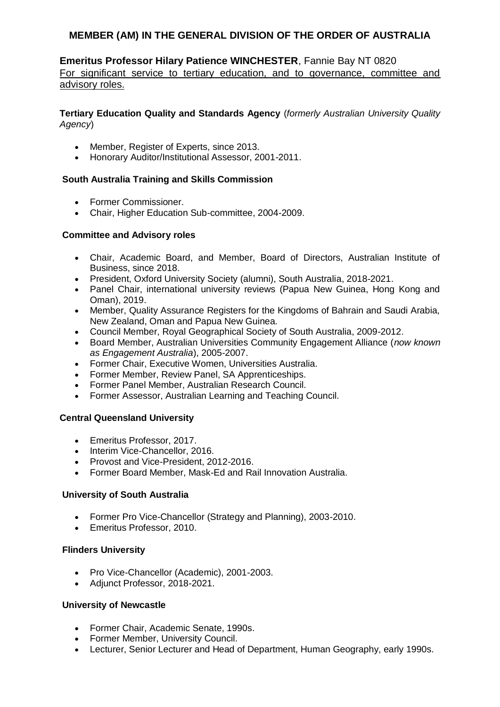## **Emeritus Professor Hilary Patience WINCHESTER**, Fannie Bay NT 0820 For significant service to tertiary education, and to governance, committee and advisory roles.

**Tertiary Education Quality and Standards Agency** (*formerly Australian University Quality Agency*)

- Member, Register of Experts, since 2013.
- Honorary Auditor/Institutional Assessor, 2001-2011.

## **South Australia Training and Skills Commission**

- Former Commissioner.
- Chair, Higher Education Sub-committee, 2004-2009.

### **Committee and Advisory roles**

- Chair, Academic Board, and Member, Board of Directors, Australian Institute of Business, since 2018.
- President, Oxford University Society (alumni), South Australia, 2018-2021.
- Panel Chair, international university reviews (Papua New Guinea, Hong Kong and Oman), 2019.
- Member, Quality Assurance Registers for the Kingdoms of Bahrain and Saudi Arabia, New Zealand, Oman and Papua New Guinea.
- Council Member, Royal Geographical Society of South Australia, 2009-2012.
- Board Member, Australian Universities Community Engagement Alliance (*now known as Engagement Australia*), 2005-2007.
- Former Chair, Executive Women, Universities Australia.
- Former Member, Review Panel, SA Apprenticeships.
- Former Panel Member, Australian Research Council.
- Former Assessor, Australian Learning and Teaching Council.

### **Central Queensland University**

- Emeritus Professor, 2017.
- Interim Vice-Chancellor, 2016.
- Provost and Vice-President, 2012-2016.
- Former Board Member, Mask-Ed and Rail Innovation Australia.

### **University of South Australia**

- Former Pro Vice-Chancellor (Strategy and Planning), 2003-2010.
- Emeritus Professor, 2010.

### **Flinders University**

- Pro Vice-Chancellor (Academic), 2001-2003.
- Adjunct Professor, 2018-2021.

### **University of Newcastle**

- Former Chair, Academic Senate, 1990s.
- Former Member, University Council.
- Lecturer, Senior Lecturer and Head of Department, Human Geography, early 1990s.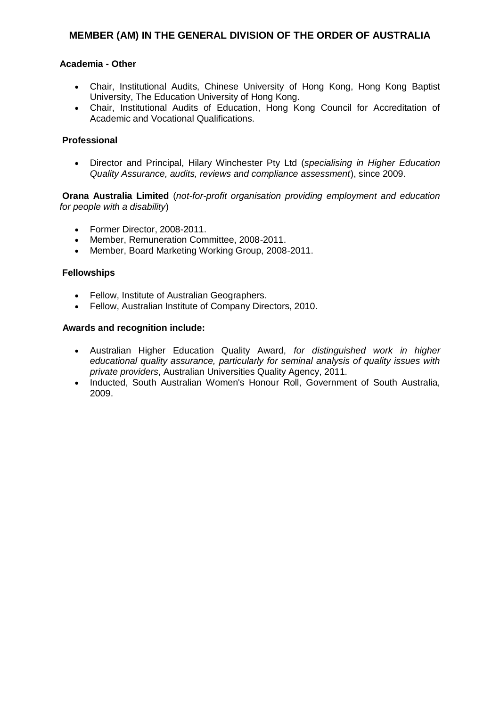#### **Academia - Other**

- Chair, Institutional Audits, Chinese University of Hong Kong, Hong Kong Baptist University, The Education University of Hong Kong.
- Chair, Institutional Audits of Education, Hong Kong Council for Accreditation of Academic and Vocational Qualifications.

#### **Professional**

 Director and Principal, Hilary Winchester Pty Ltd (*specialising in Higher Education Quality Assurance, audits, reviews and compliance assessment*), since 2009.

**Orana Australia Limited** (*not-for-profit organisation providing employment and education for people with a disability*)

- Former Director, 2008-2011.
- Member, Remuneration Committee, 2008-2011.
- Member, Board Marketing Working Group, 2008-2011.

#### **Fellowships**

- Fellow, Institute of Australian Geographers.
- Fellow, Australian Institute of Company Directors, 2010.

- Australian Higher Education Quality Award, *for distinguished work in higher educational quality assurance, particularly for seminal analysis of quality issues with private providers*, Australian Universities Quality Agency, 2011.
- Inducted, South Australian Women's Honour Roll, Government of South Australia, 2009.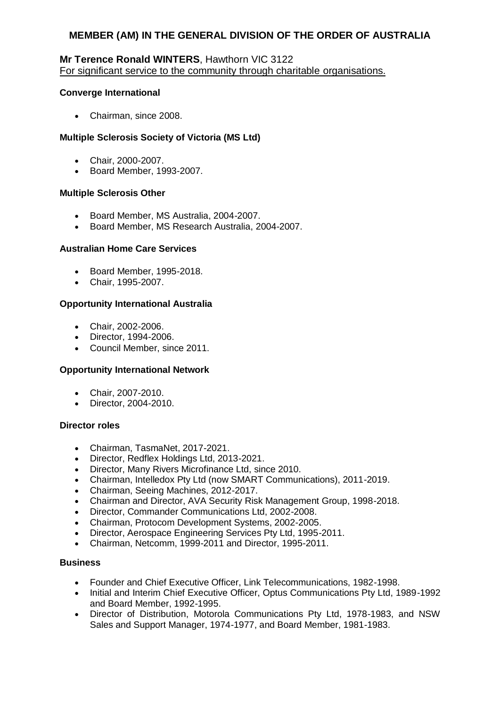### **Mr Terence Ronald WINTERS**, Hawthorn VIC 3122 For significant service to the community through charitable organisations.

### **Converge International**

• Chairman, since 2008.

### **Multiple Sclerosis Society of Victoria (MS Ltd)**

- Chair, 2000-2007.
- Board Member, 1993-2007.

### **Multiple Sclerosis Other**

- Board Member, MS Australia, 2004-2007.
- Board Member, MS Research Australia, 2004-2007.

### **Australian Home Care Services**

- Board Member, 1995-2018.
- Chair, 1995-2007.

## **Opportunity International Australia**

- Chair, 2002-2006.
- Director, 1994-2006.
- Council Member, since 2011.

### **Opportunity International Network**

- Chair, 2007-2010.
- Director, 2004-2010.

### **Director roles**

- Chairman, TasmaNet, 2017-2021.
- Director, Redflex Holdings Ltd, 2013-2021.
- Director, Many Rivers Microfinance Ltd, since 2010.
- Chairman, Intelledox Pty Ltd (now SMART Communications), 2011-2019.
- Chairman, Seeing Machines, 2012-2017.
- Chairman and Director, AVA Security Risk Management Group, 1998-2018.
- Director, Commander Communications Ltd, 2002-2008.
- Chairman, Protocom Development Systems, 2002-2005.
- Director, Aerospace Engineering Services Pty Ltd, 1995-2011.
- Chairman, Netcomm, 1999-2011 and Director, 1995-2011.

### **Business**

- Founder and Chief Executive Officer, Link Telecommunications, 1982-1998.
- Initial and Interim Chief Executive Officer, Optus Communications Pty Ltd, 1989-1992 and Board Member, 1992-1995.
- Director of Distribution, Motorola Communications Pty Ltd, 1978-1983, and NSW Sales and Support Manager, 1974-1977, and Board Member, 1981-1983.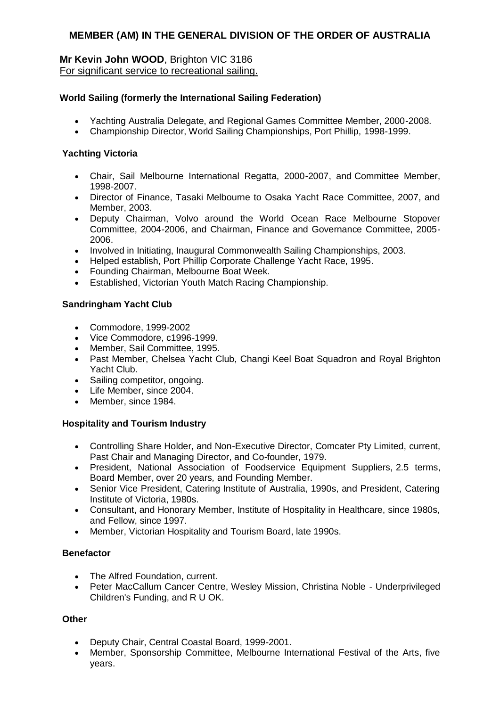### **Mr Kevin John WOOD**, Brighton VIC 3186 For significant service to recreational sailing.

### **World Sailing (formerly the International Sailing Federation)**

- Yachting Australia Delegate, and Regional Games Committee Member, 2000-2008.
- Championship Director, World Sailing Championships, Port Phillip, 1998-1999.

### **Yachting Victoria**

- Chair, Sail Melbourne International Regatta, 2000-2007, and Committee Member, 1998-2007.
- Director of Finance, Tasaki Melbourne to Osaka Yacht Race Committee, 2007, and Member, 2003.
- Deputy Chairman, Volvo around the World Ocean Race Melbourne Stopover Committee, 2004-2006, and Chairman, Finance and Governance Committee, 2005- 2006.
- Involved in Initiating, Inaugural Commonwealth Sailing Championships, 2003.
- Helped establish, Port Phillip Corporate Challenge Yacht Race, 1995.
- Founding Chairman, Melbourne Boat Week.
- Established, Victorian Youth Match Racing Championship.

## **Sandringham Yacht Club**

- Commodore, 1999-2002
- Vice Commodore, c1996-1999.
- Member, Sail Committee, 1995.
- Past Member, Chelsea Yacht Club, Changi Keel Boat Squadron and Royal Brighton Yacht Club.
- Sailing competitor, ongoing.
- Life Member, since 2004.
- Member, since 1984.

## **Hospitality and Tourism Industry**

- Controlling Share Holder, and Non-Executive Director, Comcater Pty Limited, current, Past Chair and Managing Director, and Co-founder, 1979.
- President, National Association of Foodservice Equipment Suppliers, 2.5 terms, Board Member, over 20 years*,* and Founding Member.
- Senior Vice President, Catering Institute of Australia, 1990s, and President, Catering Institute of Victoria, 1980s.
- Consultant, and Honorary Member, Institute of Hospitality in Healthcare, since 1980s, and Fellow, since 1997.
- Member, Victorian Hospitality and Tourism Board, late 1990s.

### **Benefactor**

- The Alfred Foundation, current.
- Peter MacCallum Cancer Centre, Wesley Mission, Christina Noble Underprivileged Children's Funding, and R U OK.

### **Other**

- Deputy Chair, Central Coastal Board, 1999-2001.
- Member, Sponsorship Committee, Melbourne International Festival of the Arts, five years.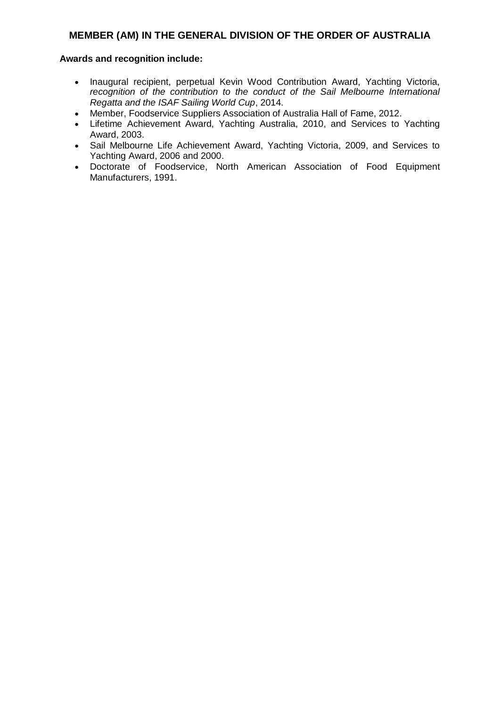- Inaugural recipient, perpetual Kevin Wood Contribution Award, Yachting Victoria, *recognition of the contribution to the conduct of the Sail Melbourne International Regatta and the ISAF Sailing World Cup*, 2014.
- Member, Foodservice Suppliers Association of Australia Hall of Fame, 2012.
- Lifetime Achievement Award, Yachting Australia, 2010, and Services to Yachting Award, 2003.
- Sail Melbourne Life Achievement Award, Yachting Victoria, 2009, and Services to Yachting Award, 2006 and 2000.
- Doctorate of Foodservice, North American Association of Food Equipment Manufacturers, 1991.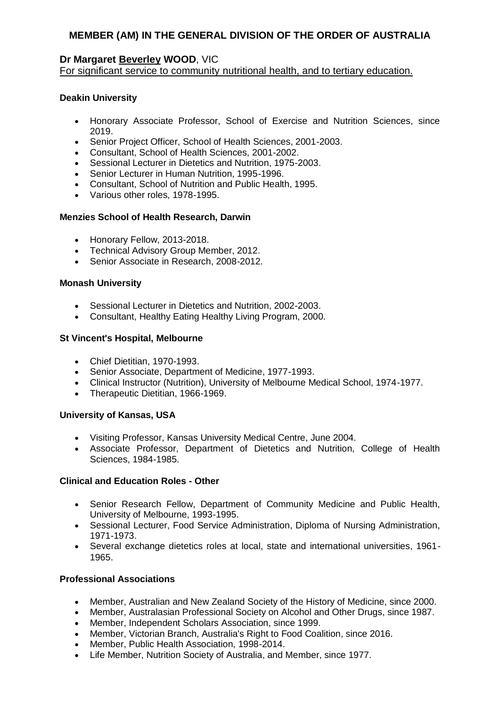## **Dr Margaret Beverley WOOD**, VIC

For significant service to community nutritional health, and to tertiary education.

## **Deakin University**

- Honorary Associate Professor, School of Exercise and Nutrition Sciences, since 2019.
- Senior Project Officer, School of Health Sciences, 2001-2003.
- Consultant, School of Health Sciences, 2001-2002.
- Sessional Lecturer in Dietetics and Nutrition, 1975-2003.
- Senior Lecturer in Human Nutrition, 1995-1996.
- Consultant, School of Nutrition and Public Health, 1995.
- Various other roles, 1978-1995.

### **Menzies School of Health Research, Darwin**

- Honorary Fellow, 2013-2018.
- Technical Advisory Group Member, 2012.
- Senior Associate in Research, 2008-2012.

## **Monash University**

- Sessional Lecturer in Dietetics and Nutrition, 2002-2003.
- Consultant, Healthy Eating Healthy Living Program, 2000.

### **St Vincent's Hospital, Melbourne**

- Chief Dietitian, 1970-1993.
- Senior Associate, Department of Medicine, 1977-1993.
- Clinical Instructor (Nutrition), University of Melbourne Medical School, 1974-1977.
- Therapeutic Dietitian, 1966-1969.

### **University of Kansas, USA**

- Visiting Professor, Kansas University Medical Centre, June 2004.
- Associate Professor, Department of Dietetics and Nutrition, College of Health Sciences, 1984-1985.

### **Clinical and Education Roles - Other**

- Senior Research Fellow, Department of Community Medicine and Public Health, University of Melbourne, 1993-1995.
- Sessional Lecturer, Food Service Administration, Diploma of Nursing Administration, 1971-1973.
- Several exchange dietetics roles at local, state and international universities, 1961- 1965.

### **Professional Associations**

- Member, Australian and New Zealand Society of the History of Medicine, since 2000.
- Member, Australasian Professional Society on Alcohol and Other Drugs, since 1987.
- Member, Independent Scholars Association, since 1999.
- Member, Victorian Branch, Australia's Right to Food Coalition, since 2016.
- Member, Public Health Association, 1998-2014.
- Life Member, Nutrition Society of Australia, and Member, since 1977.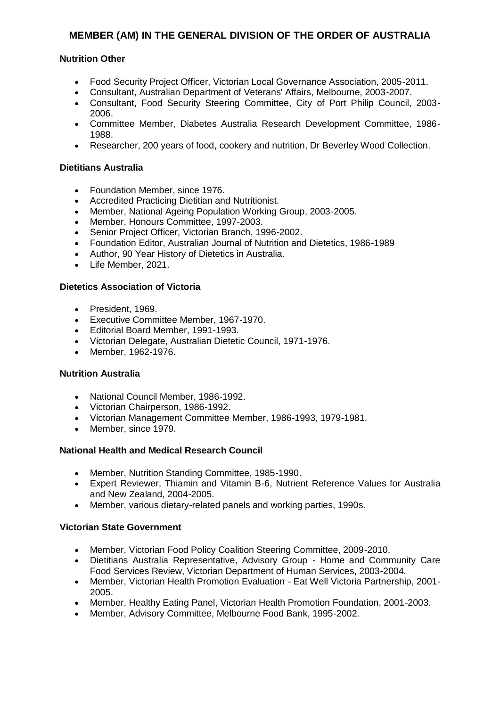### **Nutrition Other**

- Food Security Project Officer, Victorian Local Governance Association, 2005-2011.
- Consultant, Australian Department of Veterans' Affairs, Melbourne, 2003-2007.
- Consultant, Food Security Steering Committee, City of Port Philip Council, 2003- 2006.
- Committee Member, Diabetes Australia Research Development Committee, 1986- 1988.
- Researcher, 200 years of food, cookery and nutrition, Dr Beverley Wood Collection.

#### **Dietitians Australia**

- Foundation Member, since 1976.
- Accredited Practicing Dietitian and Nutritionist.
- Member, National Ageing Population Working Group, 2003-2005.
- Member, Honours Committee, 1997-2003.
- Senior Project Officer, Victorian Branch, 1996-2002.
- Foundation Editor, Australian Journal of Nutrition and Dietetics, 1986-1989
- Author, 90 Year History of Dietetics in Australia.
- Life Member, 2021.

#### **Dietetics Association of Victoria**

- President, 1969.
- Executive Committee Member, 1967-1970.
- Editorial Board Member, 1991-1993.
- Victorian Delegate, Australian Dietetic Council, 1971-1976.
- Member, 1962-1976.

### **Nutrition Australia**

- National Council Member, 1986-1992.
- Victorian Chairperson, 1986-1992.
- Victorian Management Committee Member, 1986-1993, 1979-1981.
- Member, since 1979.

#### **National Health and Medical Research Council**

- Member, Nutrition Standing Committee, 1985-1990.
- Expert Reviewer, Thiamin and Vitamin B-6, Nutrient Reference Values for Australia and New Zealand, 2004-2005.
- Member, various dietary-related panels and working parties, 1990s.

#### **Victorian State Government**

- Member, Victorian Food Policy Coalition Steering Committee, 2009-2010.
- Dietitians Australia Representative, Advisory Group Home and Community Care Food Services Review, Victorian Department of Human Services, 2003-2004.
- Member, Victorian Health Promotion Evaluation Eat Well Victoria Partnership, 2001- 2005.
- Member, Healthy Eating Panel, Victorian Health Promotion Foundation, 2001-2003.
- Member, Advisory Committee, Melbourne Food Bank, 1995-2002.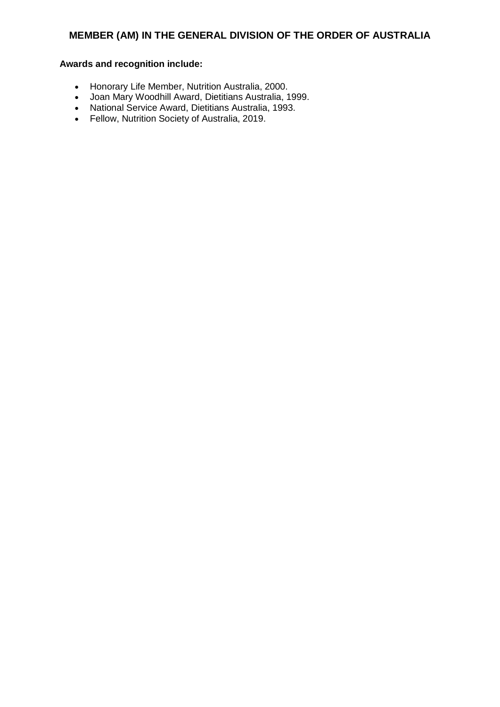- Honorary Life Member, Nutrition Australia, 2000.
- Joan Mary Woodhill Award, Dietitians Australia, 1999.
- National Service Award, Dietitians Australia, 1993.
- Fellow, Nutrition Society of Australia, 2019.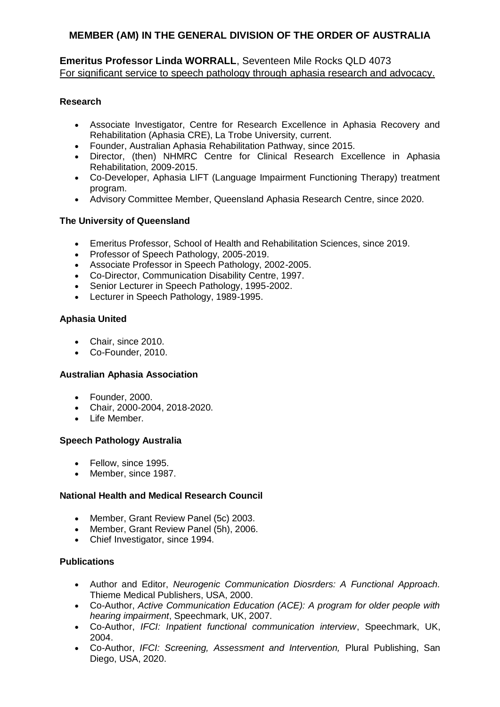## **Emeritus Professor Linda WORRALL**, Seventeen Mile Rocks QLD 4073 For significant service to speech pathology through aphasia research and advocacy.

## **Research**

- Associate Investigator, Centre for Research Excellence in Aphasia Recovery and Rehabilitation (Aphasia CRE), La Trobe University, current.
- Founder, Australian Aphasia Rehabilitation Pathway, since 2015.
- Director, (then) NHMRC Centre for Clinical Research Excellence in Aphasia Rehabilitation, 2009-2015.
- Co-Developer, Aphasia LIFT (Language Impairment Functioning Therapy) treatment program.
- Advisory Committee Member, Queensland Aphasia Research Centre, since 2020.

## **The University of Queensland**

- Emeritus Professor, School of Health and Rehabilitation Sciences, since 2019.
- Professor of Speech Pathology, 2005-2019.
- Associate Professor in Speech Pathology, 2002-2005.
- Co-Director, Communication Disability Centre, 1997.
- Senior Lecturer in Speech Pathology, 1995-2002.
- Lecturer in Speech Pathology, 1989-1995.

## **Aphasia United**

- Chair, since 2010.
- Co-Founder, 2010.

### **Australian Aphasia Association**

- Founder, 2000.
- Chair, 2000-2004, 2018-2020.
- Life Member.

### **Speech Pathology Australia**

- Fellow, since 1995.
- Member, since 1987.

## **National Health and Medical Research Council**

- Member, Grant Review Panel (5c) 2003.
- Member, Grant Review Panel (5h), 2006.
- Chief Investigator, since 1994.

### **Publications**

- Author and Editor, *Neurogenic Communication Diosrders: A Functional Approach.* Thieme Medical Publishers, USA, 2000.
- Co-Author, *Active Communication Education (ACE): A program for older people with hearing impairment*, Speechmark, UK, 2007.
- Co-Author, *IFCI: Inpatient functional communication interview*, Speechmark, UK, 2004.
- Co-Author, *IFCI: Screening, Assessment and Intervention,* Plural Publishing, San Diego, USA, 2020.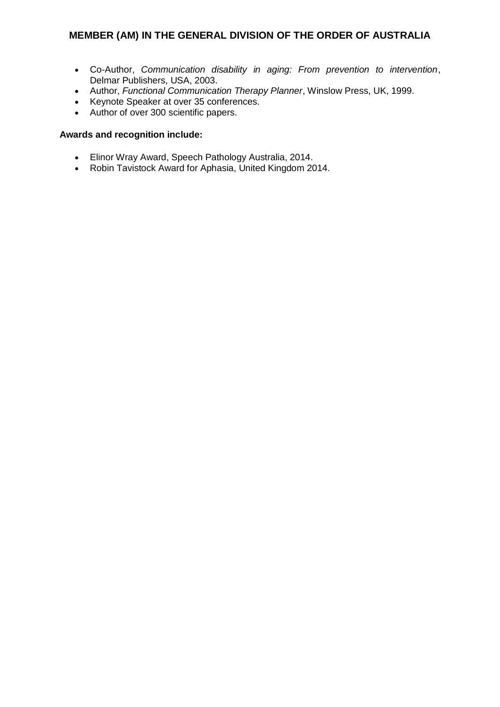- Co-Author, *Communication disability in aging: From prevention to intervention*, Delmar Publishers, USA, 2003.
- Author, *Functional Communication Therapy Planner*, Winslow Press, UK, 1999.
- Keynote Speaker at over 35 conferences.
- Author of over 300 scientific papers.

- Elinor Wray Award, Speech Pathology Australia, 2014.
- Robin Tavistock Award for Aphasia, United Kingdom 2014.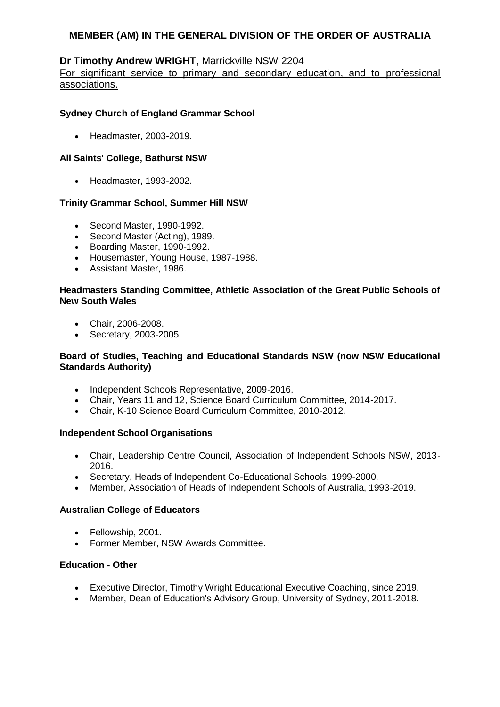## **Dr Timothy Andrew WRIGHT**, Marrickville NSW 2204

For significant service to primary and secondary education, and to professional associations.

## **Sydney Church of England Grammar School**

Headmaster, 2003-2019.

### **All Saints' College, Bathurst NSW**

Headmaster, 1993-2002.

### **Trinity Grammar School, Summer Hill NSW**

- Second Master, 1990-1992.
- Second Master (Acting), 1989.
- Boarding Master, 1990-1992.
- Housemaster, Young House, 1987-1988.
- Assistant Master, 1986.

### **Headmasters Standing Committee, Athletic Association of the Great Public Schools of New South Wales**

- Chair, 2006-2008.
- Secretary, 2003-2005.

### **Board of Studies, Teaching and Educational Standards NSW (now NSW Educational Standards Authority)**

- Independent Schools Representative, 2009-2016.
- Chair, Years 11 and 12, Science Board Curriculum Committee, 2014-2017.
- Chair, K-10 Science Board Curriculum Committee, 2010-2012.

### **Independent School Organisations**

- Chair, Leadership Centre Council, Association of Independent Schools NSW, 2013- 2016.
- Secretary, Heads of Independent Co-Educational Schools, 1999-2000.
- Member, Association of Heads of Independent Schools of Australia, 1993-2019.

### **Australian College of Educators**

- Fellowship, 2001.
- Former Member, NSW Awards Committee.

### **Education - Other**

- Executive Director, Timothy Wright Educational Executive Coaching, since 2019.
- Member, Dean of Education's Advisory Group, University of Sydney, 2011-2018.